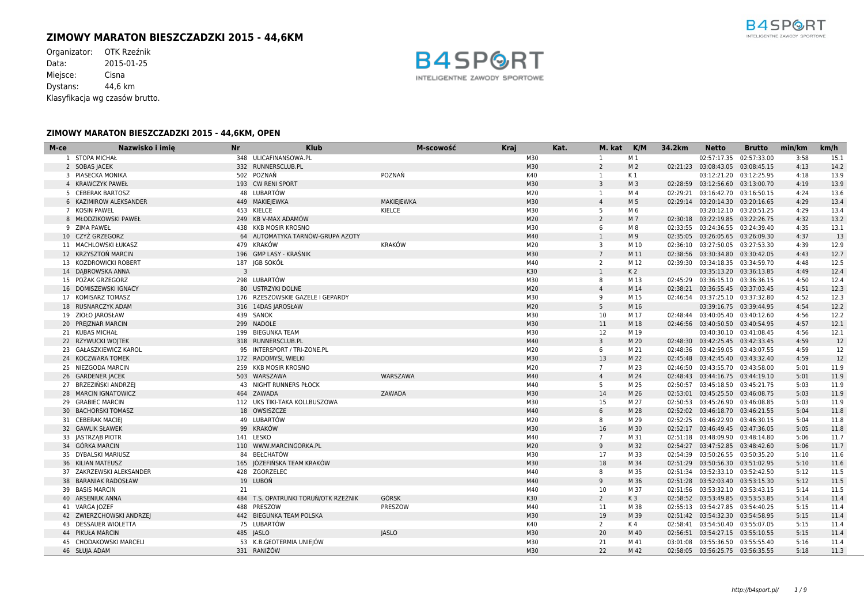# **ZIMOWY MARATON BIESZCZADZKI 2015 - 44,6KM**

Organizator: OTK Rzeźnik<br>Data: 2015-01-25 2015-01-25 Miejsce: Cisna Dystans: 44,6 km Klasyfikacja wg czasów brutto.



| M-ce | Nazwisko i imie<br><b>Nr</b> | <b>Klub</b>                          | M-scowość         | <b>Kraj</b> | Kat. | M. kat          | K/M            | 34.2km | <b>Netto</b>                       | <b>Brutto</b>           | min/km | km/h |
|------|------------------------------|--------------------------------------|-------------------|-------------|------|-----------------|----------------|--------|------------------------------------|-------------------------|--------|------|
|      | 1 STOPA MICHAŁ               | 348 ULICAFINANSOWA.PL                |                   | M30         |      | 1               | M 1            |        |                                    | 02:57:17.35 02:57:33.00 | 3:58   | 15.1 |
|      | 2 SOBAS JACEK                | 332 RUNNERSCLUB.PL                   |                   | M30         |      | 2               | M <sub>2</sub> |        | 02:21:23 03:08:43.05 03:08:45.15   |                         | 4:13   | 14.2 |
|      | 3 PIASECKA MONIKA            | 502 POZNAŃ                           | POZNAŃ            | K40         |      | 1               | K 1            |        |                                    | 03:12:21.20 03:12:25.95 | 4:18   | 13.9 |
|      | 4 KRAWCZYK PAWEŁ             | 193 CW RENI SPORT                    |                   | M30         |      | $\overline{3}$  | M <sub>3</sub> |        | 02:28:59 03:12:56.60 03:13:00.70   |                         | 4:19   | 13.9 |
|      | 5 CEBERAK BARTOSZ            | 48 LUBARTÓW                          |                   | M20         |      | 1               | M 4            |        | 02:29:21 03:16:42.70 03:16:50.15   |                         | 4:24   | 13.6 |
|      | 6 KAZIMIROW ALEKSANDER       | 449 MAKIEJEWKA                       | <b>MAKIEJEWKA</b> | M30         |      | $\overline{4}$  | M 5            |        | 02:29:14 03:20:14.30 03:20:16.65   |                         | 4:29   | 13.4 |
|      | 7 KOSIN PAWEL                | 453 KIELCE                           | KIELCE            | M30         |      | -5              | M 6            |        |                                    | 03:20:12.10 03:20:51.25 | 4:29   | 13.4 |
|      | 8 MŁODZIKOWSKI PAWEŁ         | 249 KB V-MAX ADAMÓW                  |                   | M20         |      | $\overline{2}$  | M 7            |        | 02:30:18 03:22:19.85 03:22:26.75   |                         | 4:32   | 13.2 |
|      | 9 ZIMA PAWEŁ                 | 438 KKB MOSIR KROSNO                 |                   | M30         |      | 6               | M 8            |        | 02:33:55 03:24:36.55 03:24:39.40   |                         | 4:35   | 13.1 |
|      | 10 CZYŻ GRZEGORZ             | 64 AUTOMATYKA TARNÓW-GRUPA AZOTY     |                   | M40         |      | 1               | M 9            |        | 02:35:05 03:26:05.65 03:26:09.30   |                         | 4:37   | 13   |
|      | 11 MACHLOWSKI ŁUKASZ         | 479 KRAKÓW                           | KRAKÓW            | M20         |      | 3               | M 10           |        | 02:36:10 03:27:50.05 03:27:53.30   |                         | 4:39   | 12.9 |
|      | 12 KRZYSZTOŃ MARCIN          | 196 GMP LASY - KRAŚNIK               |                   | M30         |      | $7\overline{ }$ | M 11           |        | 02:38:56 03:30:34.80 03:30:42.05   |                         | 4:43   | 12.7 |
|      | 13 KOZDROWICKI ROBERT        | 187 JGB SOKÓŁ                        |                   | M40         |      | 2               | M 12           |        | 02:39:30 03:34:18.35 03:34:59.70   |                         | 4:48   | 12.5 |
|      | 14 DABROWSKA ANNA            | 3                                    |                   | K30         |      | $\mathbf{1}$    | K <sub>2</sub> |        |                                    | 03:35:13.20 03:36:13.85 | 4:49   | 12.4 |
|      | 15 POŻAK GRZEGORZ            | 298 LUBARTÓW                         |                   | M30         |      | 8               | M 13           |        | 02:45:29 03:36:15.10 03:36:36.15   |                         | 4:50   | 12.4 |
|      | 16 DOMISZEWSKI IGNACY        | 80 USTRZYKI DOLNE                    |                   | M20         |      | $\overline{4}$  | M 14           |        | 02:38:21 03:36:55.45 03:37:03.45   |                         | 4:51   | 12.3 |
|      | 17 KOMISARZ TOMASZ           | 176 RZESZOWSKIE GAZELE I GEPARDY     |                   | M30         |      | 9               | M 15           |        | 02:46:54 03:37:25.10 03:37:32.80   |                         | 4:52   | 12.3 |
|      | 18 RUSNARCZYK ADAM           | 316 14DAS JAROSŁAW                   |                   | M20         |      | 5               | M 16           |        |                                    | 03:39:16.75 03:39:44.95 | 4:54   | 12.2 |
|      | 19 ZIOŁO JAROSŁAW            | 439 SANOK                            |                   | M30         |      | 10              | M 17           |        | 02:48:44  03:40:05.40  03:40:12.60 |                         | 4:56   | 12.2 |
|      | 20 PREJZNAR MARCIN           | 299 NADOLE                           |                   | M30         |      | 11              | M 18           |        | 02:46:56 03:40:50.50 03:40:54.95   |                         | 4:57   | 12.1 |
|      | 21 KUBAS MICHAŁ              | 199 BIEGUNKA TEAM                    |                   | M30         |      | 12              | M 19           |        |                                    | 03:40:30.10 03:41:08.45 | 4:56   | 12.1 |
|      | 22 RZYWUCKI WOJTEK           | 318 RUNNERSCLUB.PL                   |                   | M40         |      | 3               | M 20           |        | 02:48:30 03:42:25.45 03:42:33.45   |                         | 4:59   | 12   |
|      | 23 GAŁASZKIEWICZ KAROL       | 95 INTERSPORT / TRI-ZONE.PL          |                   | M20         |      | 6               | M 21           |        | 02:48:36 03:42:59.05 03:43:07.55   |                         | 4:59   | 12   |
|      | 24 KOCZWARA TOMEK            | 172 RADOMYŚL WIELKI                  |                   | M30         |      | 13              | M 22           |        | 02:45:48  03:42:45.40  03:43:32.40 |                         | 4:59   | 12   |
|      | 25 NIEZGODA MARCIN           | 259 KKB MOSIR KROSNO                 |                   | M20         |      | $7^{\circ}$     | M 23           |        | 02:46:50 03:43:55.70 03:43:58.00   |                         | 5:01   | 11.9 |
|      | 26 GARDENER JACEK            | 503 WARSZAWA                         | WARSZAWA          | M40         |      | $\overline{4}$  | M 24           |        | 02:48:43  03:44:16.75  03:44:19.10 |                         | 5:01   | 11.9 |
|      | 27 BRZEZIŃSKI ANDRZEI        | <b>43 NIGHT RUNNERS PŁOCK</b>        |                   | M40         |      | 5               | M 25           |        | 02:50:57 03:45:18.50 03:45:21.75   |                         | 5:03   | 11.9 |
|      | 28 MARCIN IGNATOWICZ         | 464 ZAWADA                           | ZAWADA            | M30         |      | 14              | M 26           |        | 02:53:01  03:45:25.50  03:46:08.75 |                         | 5:03   | 11.9 |
|      | 29 GRABIEC MARCIN            | 112 UKS TIKI-TAKA KOLLBUSZOWA        |                   | M30         |      | 15              | M 27           |        | 02:50:53 03:45:26.90 03:46:08.85   |                         | 5:03   | 11.9 |
|      | 30 BACHORSKI TOMASZ          | 18 OWSISZCZE                         |                   | M40         |      | 6               | M 28           |        | 02:52:02 03:46:18.70 03:46:21.55   |                         | 5:04   | 11.8 |
|      | 31 CEBERAK MACIEJ            | 49 LUBARTÓW                          |                   | M20         |      | 8               | M 29           |        | 02:52:25 03:46:22.90 03:46:30.15   |                         | 5:04   | 11.8 |
|      | 32 GAWLIK SŁAWEK             | 99 KRAKÓW                            |                   | M30         |      | 16              | M 30           |        | 02:52:17 03:46:49.45 03:47:36.05   |                         | 5:05   | 11.8 |
|      | 33 JASTRZĄB PIOTR            | 141 LESKO                            |                   | M40         |      | $7^{\circ}$     | M 31           |        | 02:51:18 03:48:09.90 03:48:14.80   |                         | 5:06   | 11.7 |
|      | 34 GÓRKA MARCIN              | 110 WWW.MARCINGORKA.PL               |                   | M20         |      | 9               | M 32           |        | 02:54:27  03:47:52.85  03:48:42.60 |                         | 5:06   | 11.7 |
|      | 35 DYBALSKI MARIUSZ          | 84 BEŁCHATÓW                         |                   | M30         |      | 17              | M 33           |        | 02:54:39 03:50:26.55 03:50:35.20   |                         | 5:10   | 11.6 |
|      | 36 KILIAN MATEUSZ            | 165 JÓZEFIŃSKA TEAM KRAKÓW           |                   | M30         |      | 18              | M 34           |        | 02:51:29  03:50:56.30  03:51:02.95 |                         | 5:10   | 11.6 |
|      | 37 ZAKRZEWSKI ALEKSANDER     | 428 ZGORZELEC                        |                   | M40         |      | 8               | M 35           |        | 02:51:34  03:52:33.10  03:52:42.50 |                         | 5:12   | 11.5 |
|      | 38 BARANIAK RADOSŁAW         | 19 LUBOŃ                             |                   | M40         |      | 9               | M 36           |        | 02:51:28  03:52:03.40  03:53:15.30 |                         | 5:12   | 11.5 |
|      | 39 BASIS MARCIN<br>21        |                                      |                   | M40         |      | 10              | M 37           |        | 02:51:56 03:53:32.10 03:53:43.15   |                         | 5:14   | 11.5 |
|      | 40 ARSENIUK ANNA             | 484 T.S. OPATRUNKI TORUŃ/OTK RZEŹNIK | <b>GÓRSK</b>      | K30         |      | 2               | K3             |        | 02:58:52 03:53:49.85 03:53:53.85   |                         | 5:14   | 11.4 |
|      | 41 VARGA JOZEF               | 488 PRESZOW                          | PRESZOW           | M40         |      | 11              | M 38           |        | 02:55:13 03:54:27.85 03:54:40.25   |                         | 5:15   | 11.4 |
|      | 42 ZWIERZCHOWSKI ANDRZEJ     | 442 BIEGUNKA TEAM POLSKA             |                   | M30         |      | 19              | M 39           |        | 02:51:42  03:54:32.30  03:54:58.95 |                         | 5:15   | 11.4 |
|      | 43 DESSAUER WIOLETTA         | 75 LUBARTÓW                          |                   | K40         |      | $\overline{2}$  | K 4            |        | 02:58:41  03:54:50.40  03:55:07.05 |                         | 5:15   | 11.4 |
|      | 44 PIKUŁA MARCIN             | 485 JASLO                            | <b>JASLO</b>      | M30         |      | 20              | M 40           |        | 02:56:51  03:54:27.15  03:55:10.55 |                         | 5:15   | 11.4 |
|      | 45 CHODAKOWSKI MARCELI       | 53 K.B.GEOTERMIA UNIEJÓW             |                   | M30         |      | 21              | M 41           |        | 03:01:08 03:55:36.50 03:55:55.40   |                         | 5:16   | 11.4 |
|      | 46 SŁUJA ADAM                | 331 RANIŻÓW                          |                   | M30         |      | 22              | M 42           |        | 02:58:05 03:56:25.75 03:56:35.55   |                         | 5:18   | 11.3 |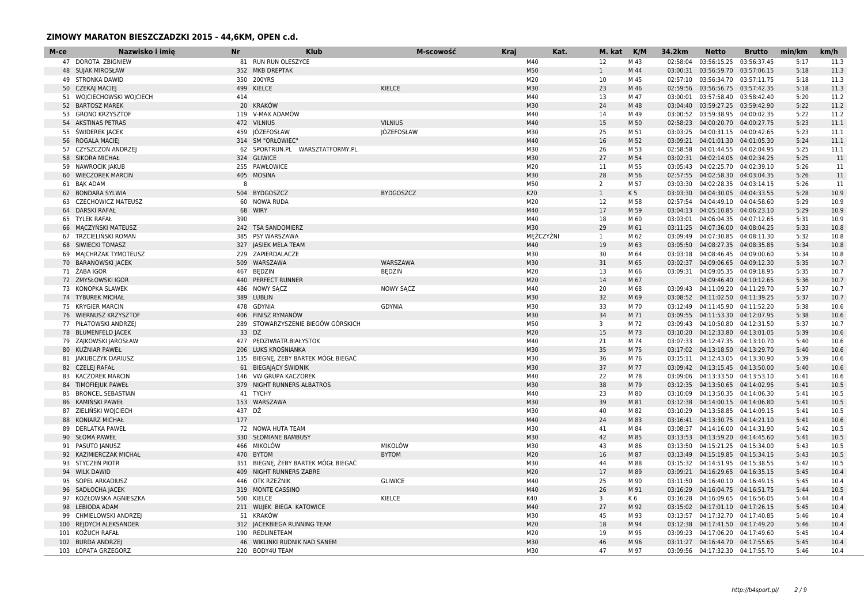| M-ce | Nazwisko i imie           | Nr     | <b>Klub</b>                         | M-scowość         | <b>Kraj</b> | Kat.      | M. kat K/M     |                | 34.2km   | <b>Netto</b>                       | <b>Brutto</b> | min/km | km/h |
|------|---------------------------|--------|-------------------------------------|-------------------|-------------|-----------|----------------|----------------|----------|------------------------------------|---------------|--------|------|
|      | 47 DOROTA ZBIGNIEW        |        | 81 RUN RUN OLESZYCE                 |                   |             | M40       | 12             | M 43           | 02:58:04 | 03:56:15.25                        | 03:56:37.45   | 5:17   | 11.3 |
|      | <b>48 SUJAK MIROSŁAW</b>  |        | 352 MKB DREPTAK                     |                   |             | M50       | $\mathbf{1}$   | M 44           |          | 03:00:31 03:56:59.70 03:57:06.15   |               | 5:18   | 11.3 |
|      | 49 STRONKA DAWID          |        | 350 200YRS                          |                   |             | M20       | 10             | M 45           |          | 02:57:10 03:56:34.70 03:57:11.75   |               | 5:18   | 11.3 |
|      | 50 CZEKAJ MACIEJ          |        | 499 KIELCE                          | KIELCE            |             | M30       | 23             | M 46           |          | 02:59:56 03:56:56.75 03:57:42.35   |               | 5:18   | 11.3 |
|      | 51 WOJCIECHOWSKI WOJCIECH | 414    |                                     |                   |             | M40       | 13             | M 47           |          | 03:00:01 03:57:58.40 03:58:42.40   |               | 5:20   | 11.2 |
|      | 52 BARTOSZ MAREK          |        | 20 KRAKÓW                           |                   |             | M30       | 24             | M 48           |          | 03:04:40 03:59:27.25 03:59:42.90   |               | 5:22   | 11.2 |
|      | 53 GRONO KRZYSZTOF        |        | 119 V-MAX ADAMÓW                    |                   |             | M40       | 14             | M 49           |          | 03:00:52 03:59:38.95 04:00:02.35   |               | 5:22   | 11.2 |
|      | 54 AKSTINAS PETRAS        |        | 472 VILNIUS                         | <b>VILNIUS</b>    |             | M40       | 15             | M 50           |          | 02:58:23  04:00:20.70  04:00:27.75 |               | 5:23   | 11.1 |
|      | 55 ŚWIDEREK JACEK         |        | 459 JÓZEFOSŁAW                      | <b>JÓZEFOSŁAW</b> |             | M30       | 25             | M 51           |          | 03:03:25 04:00:31.15 04:00:42.65   |               | 5:23   | 11.1 |
| 56   | ROGALA MACIEJ             |        | 314 SM "ORŁOWIEC"                   |                   |             | M40       | 16             | M 52           |          | 03:09:21  04:01:01.30  04:01:05.30 |               | 5:24   | 11.1 |
|      | 57 CZYSZCZOŃ ANDRZEJ      |        | 62 SPORTRUN.PL WARSZTATFORMY.PL     |                   |             | M30       | 26             | M 53           |          | 02:58:58 04:01:44.55 04:02:04.95   |               | 5:25   | 11.1 |
|      | 58 SIKORA MICHAŁ          |        | 324 GLIWICE                         |                   |             | M30       | 27             | M 54           |          | 03:02:31  04:02:14.05  04:02:34.25 |               | 5:25   | 11   |
|      | 59 NAWROCIK JAKUB         |        | 255 PAWŁOWICE                       |                   |             | M20       | 11             | M 55           |          | 03:05:43  04:02:25.70  04:02:39.10 |               | 5:26   | 11   |
|      | 60 WIECZOREK MARCIN       |        | 405 MOSINA                          |                   |             | M30       | 28             | M 56           |          | 02:57:55 04:02:58.30 04:03:04.35   |               | 5:26   | 11   |
|      | 61 BAK ADAM               | 8      |                                     |                   |             | M50       | $\overline{2}$ | M 57           |          | 03:03:30  04:02:28.35  04:03:14.15 |               | 5:26   | 11   |
|      | 62 BONDARA SYLWIA         |        | 504 BYDGOSZCZ                       | <b>BYDGOSZCZ</b>  |             | K20       | $\mathbf{1}$   | K <sub>5</sub> |          | 03:03:30  04:04:30.05  04:04:33.55 |               | 5:28   | 10.9 |
| 63   | <b>CZECHOWICZ MATEUSZ</b> |        | 60 NOWA RUDA                        |                   |             | M20       | 12             | M 58           | 02:57:54 | 04:04:49.10 04:04:58.60            |               | 5:29   | 10.9 |
|      | 64 DARSKI RAFAŁ           |        | 68 WIRY                             |                   |             | M40       | 17             | M 59           |          | 03:04:13  04:05:10.85  04:06:23.10 |               | 5:29   | 10.9 |
|      | 65 TYLEK RAFAŁ            | 390    |                                     |                   |             | M40       | 18             | M 60           |          | 03:03:01  04:06:04.35  04:07:12.65 |               | 5:31   | 10.9 |
|      | 66 MACZYŃSKI MATEUSZ      |        | 242 TSA SANDOMIERZ                  |                   |             | M30       | 29             | M 61           |          | 03:11:25  04:07:36.00  04:08:04.25 |               | 5:33   | 10.8 |
|      | 67 TRZCIELIŃSKI ROMAN     |        | 385 PSY WARSZAWA                    |                   |             | MEŻCZYŹNI | 1              | M 62           |          | 03:09:49  04:07:30.85  04:08:11.30 |               | 5:32   | 10.8 |
|      | 68 SIWIECKI TOMASZ        |        | 327 JASIEK MELA TEAM                |                   |             | M40       | 19             | M 63           |          | 03:05:50 04:08:27.35 04:08:35.85   |               | 5:34   | 10.8 |
|      | 69 MAJCHRZAK TYMOTEUSZ    |        | 229 ZAPIERDALACZE                   |                   |             | M30       | 30             | M 64           |          | 03:03:18  04:08:46.45  04:09:00.60 |               | 5:34   | 10.8 |
|      | 70 BARANOWSKI JACEK       |        | 509 WARSZAWA                        | WARSZAWA          |             | M30       | 31             | M 65           |          | 03:02:37  04:09:06.65  04:09:12.30 |               | 5:35   | 10.7 |
|      | 71 ŻABA IGOR              |        | 467 BEDZIN                          | <b>BEDZIN</b>     |             | M20       | 13             | M 66           |          | 03:09:31  04:09:05.35  04:09:18.95 |               | 5:35   | 10.7 |
|      | 72 ZMYSŁOWSKI IGOR        |        | 440 PERFECT RUNNER                  |                   |             | M20       | 14             | M 67           |          | 04:09:46.40 04:10:12.65            |               | 5:36   | 10.7 |
|      | 73 KONOPKA SLAWEK         |        | 486 NOWY SACZ                       | <b>NOWY SACZ</b>  |             | M40       | 20             | M 68           |          | 03:09:43  04:11:09.20  04:11:29.70 |               | 5:37   | 10.7 |
|      | 74 TYBUREK MICHAŁ         |        | 389 LUBLIN                          |                   |             | M30       | 32             | M 69           |          | 03:08:52  04:11:02.50  04:11:39.25 |               | 5:37   | 10.7 |
|      | 75 KRYGIER MARCIN         |        | 478 GDYNIA                          | <b>GDYNIA</b>     |             | M30       | 33             | M 70           |          | 03:12:49  04:11:45.90  04:11:52.20 |               | 5:38   | 10.6 |
|      | 76 WIERNUSZ KRZYSZTOF     |        | 406 FINISZ RYMANÓW                  |                   |             | M30       | 34             | M 71           |          | 03:09:55  04:11:53.30  04:12:07.95 |               | 5:38   | 10.6 |
|      | 77 PIŁATOWSKI ANDRZEJ     |        | 289 STOWARZYSZENIE BIEGÓW GÓRSKICH  |                   |             | M50       | 3              | M 72           |          | 03:09:43  04:10:50.80  04:12:31.50 |               | 5:37   | 10.7 |
|      | 78 BLUMENFELD JACEK       | 33 DŹ  |                                     |                   |             | M20       | 15             | M 73           |          | 03:10:20 04:12:33.80 04:13:01.05   |               | 5:39   | 10.6 |
|      | 79 ZAJKOWSKI JAROSŁAW     |        | 427 PEDZIWIATR.BIAŁYSTOK            |                   |             | M40       | 21             | M 74           |          | 03:07:33  04:12:47.35  04:13:10.70 |               | 5:40   | 10.6 |
|      | 80 KUŹNIAR PAWEŁ          |        | 206 LUKS KROŚNIANKA                 |                   |             | M30       | 35             | M 75           |          | 03:17:02  04:13:18.50  04:13:29.70 |               | 5:40   | 10.6 |
|      | 81 JAKUBCZYK DARIUSZ      |        | 135 BIEGNE, ŻEBY BARTEK MÓGŁ BIEGAĆ |                   |             | M30       | 36             | M 76           | 03:15:11 | 04:12:43.05 04:13:30.90            |               | 5:39   | 10.6 |
|      | 82 CZELEJ RAFAŁ           |        | 61 BIEGAJACY ŚWIDNIK                |                   |             | M30       | 37             | M 77           |          | 03:09:42  04:13:15.45  04:13:50.00 |               | 5:40   | 10.6 |
|      | 83 KACZOREK MARCIN        |        | 146 VW GRUPA KACZOREK               |                   |             | M40       | 22             | M 78           |          | 03:09:06  04:13:33.50  04:13:53.10 |               | 5:41   | 10.6 |
|      | 84 TIMOFIEJUK PAWEŁ       |        | 379 NIGHT RUNNERS ALBATROS          |                   |             | M30       | 38             | M 79           |          | 03:12:35 04:13:50.65 04:14:02.95   |               | 5:41   | 10.5 |
| 85   | <b>BRONCEL SEBASTIAN</b>  |        | 41 TYCHY                            |                   |             | M40       | 23             | M 80           |          | 03:10:09  04:13:50.35  04:14:06.30 |               | 5:41   | 10.5 |
|      | 86 KAMINSKI PAWEŁ         |        | 153 WARSZAWA                        |                   |             | M30       | 39             | M 81           |          | 03:12:38  04:14:00.15  04:14:06.80 |               | 5:41   | 10.5 |
|      | 87 ZIELIŃSKI WOJCIECH     | 437 DŹ |                                     |                   |             | M30       | 40             | M 82           |          | 03:10:29  04:13:58.85  04:14:09.15 |               | 5:41   | 10.5 |
| 88   | <b>KONIARZ MICHAŁ</b>     | 177    |                                     |                   |             | M40       | 24             | M 83           |          | 03:16:41  04:13:30.75  04:14:21.10 |               | 5:41   | 10.6 |
|      | 89 DERLATKA PAWEŁ         |        | 72 NOWA HUTA TEAM                   |                   |             | M30       | 41             | M 84           |          | 03:08:37  04:14:16.00  04:14:31.90 |               | 5:42   | 10.5 |
|      | 90 SŁOMA PAWEŁ            |        | 330 SŁOMIANE BAMBUSY                |                   |             | M30       | 42             | M 85           |          | 03:13:53  04:13:59.20  04:14:45.60 |               | 5:41   | 10.5 |
|      | 91 PASUTO JANUSZ          |        | 466 MIKOLÓW                         | <b>MIKOLÓW</b>    |             | M30       | 43             | M 86           |          | 03:13:50  04:15:21.25  04:15:34.00 |               | 5:43   | 10.5 |
| 92   | KAZIMIERCZAK MICHAŁ       |        | 470 BYTOM                           | <b>BYTOM</b>      |             | M20       | 16             | M 87           |          | 03:13:49  04:15:19.85  04:15:34.15 |               | 5:43   | 10.5 |
|      | 93 STYCZEŃ PIOTR          |        | 351 BIEGNE, ŻEBY BARTEK MÓGŁ BIEGAĆ |                   |             | M30       | 44             | M 88           |          | 03:15:32  04:14:51.95  04:15:38.55 |               | 5:42   | 10.5 |
|      | 94 WILK DAWID             |        | 409 NIGHT RUNNERS ZABRE             |                   |             | M20       | 17             | M 89           |          | 03:09:21  04:16:29.65  04:16:35.15 |               | 5:45   | 10.4 |
|      | 95 SOPEL ARKADIUSZ        |        | 446 OTK RZEŹNIK                     | <b>GLIWICE</b>    |             | M40       | 25             | M 90           |          | 03:11:50  04:16:40.10  04:16:49.15 |               | 5:45   | 10.4 |
|      | 96 SADŁOCHA JACEK         |        | 319 MONTE CASSINO                   |                   |             | M40       | 26             | M 91           |          | 03:16:29  04:16:04.75  04:16:51.75 |               | 5:44   | 10.5 |
|      | 97 KOZŁOWSKA AGNIESZKA    |        | 500 KIELCE                          | KIELCE            |             | K40       | 3              | K 6            |          | 03:16:28  04:16:09.65  04:16:56.05 |               | 5:44   | 10.4 |
|      | 98 LEBIODA ADAM           |        | 211 WUJEK BIEGA KATOWICE            |                   |             | M40       | 27             | M 92           |          | 03:15:02  04:17:01.10  04:17:26.15 |               | 5:45   | 10.4 |
|      | 99 CHMIELOWSKI ANDRZEJ    |        | 51 KRAKÓW                           |                   |             | M30       | 45             | M 93           |          | 03:13:57  04:17:32.70  04:17:40.85 |               | 5:46   | 10.4 |
|      | 100 REJDYCH ALEKSANDER    |        | 312 JACEKBIEGA RUNNING TEAM         |                   |             | M20       | 18             | M 94           |          | 03:12:38  04:17:41.50  04:17:49.20 |               | 5:46   | 10.4 |
|      | 101 KOŻUCH RAFAŁ          |        | 190 REDLINETEAM                     |                   |             | M20       | 19             | M 95           |          | 03:09:23  04:17:06.20  04:17:49.60 |               | 5:45   | 10.4 |
|      | 102 BURDA ANDRZEJ         |        | 46 WIKLINKI RUDNIK NAD SANEM        |                   |             | M30       | 46             | M 96           |          | 03:11:27  04:16:44.70  04:17:55.65 |               | 5:45   | 10.4 |
|      | 103 ŁOPATA GRZEGORZ       |        | 220 BODY4U TEAM                     |                   |             | M30       | 47             | M 97           |          | 03:09:56  04:17:32.30  04:17:55.70 |               | 5:46   | 10.4 |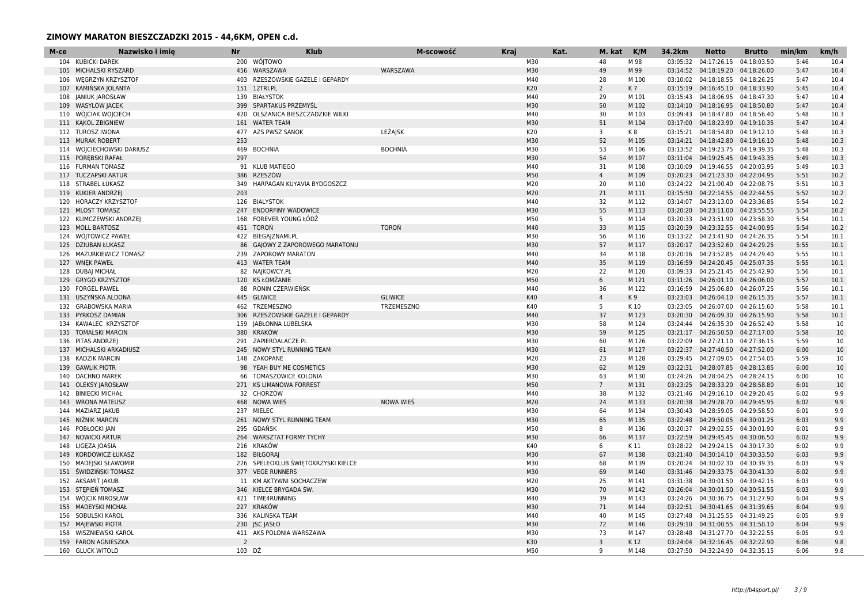| M-ce | Nazwisko i imie           | <b>Nr</b>      | <b>Klub</b>                         | M-scowość      | <b>Kraj</b> | Kat. | M. kat         | K/M   | 34.2km   | <b>Netto</b>                       | <b>Brutto</b> | min/km | km/h |
|------|---------------------------|----------------|-------------------------------------|----------------|-------------|------|----------------|-------|----------|------------------------------------|---------------|--------|------|
|      | 104 KUBICKI DAREK         |                | 200 WÓJTOWO                         |                | M30         |      | 48             | M 98  | 03:05:32 | 04:17:26.15                        | 04:18:03.50   | 5:46   | 10.4 |
|      | 105 MICHALSKI RYSZARD     |                | 456 WARSZAWA                        | WARSZAWA       | M30         |      | 49             | M 99  |          | 03:14:52  04:18:19.20  04:18:26.00 |               | 5:47   | 10.4 |
| 106  | <b>WEGRZYN KRZYSZTOR</b>  |                | 403 RZESZOWSKIE GAZELE I GEPARDY    |                | M40         |      | 28             | M 100 | 03:10:02 | 04:18:18.55                        | 04:18:26.25   | 5:47   | 10.4 |
|      | 107 KAMIŃSKA JOLANTA      |                | 151 12TRI.PL                        |                | K20         |      | $\overline{2}$ | K7    |          | 03:15:19  04:16:45.10  04:18:33.90 |               | 5:45   | 10.4 |
|      | 108 JANIUK JAROSŁAW       |                | 139 BIAŁYSTOK                       |                | M40         |      | 29             | M 101 |          | 03:15:43  04:18:06.95  04:18:47.30 |               | 5:47   | 10.4 |
|      | 109 WASYLÓW JACEK         |                | 399 SPARTAKUS PRZEMYŚL              |                | M30         |      | 50             | M 102 |          | 03:14:10  04:18:16.95  04:18:50.80 |               | 5:47   | 10.4 |
|      | 110 WÓJCIAK WOJCIECH      | 420            | OLSZANICA BIESZCZADZKIE WILKI       |                | M40         |      | 30             | M 103 |          | 03:09:43 04:18:47.80               | 04:18:56.40   | 5:48   | 10.3 |
|      | 111 KAKOL ZBIGNIEW        |                | 161 WATER TEAM                      |                | M30         |      | 51             | M 104 |          | 03:17:00  04:18:23.90  04:19:10.35 |               | 5:47   | 10.4 |
|      | 112 TUROSZ IWONA          |                | 477 AZS PWSZ SANOK                  | LEŻAJSK        | K20         |      | 3              | K8    |          | 03:15:21  04:18:54.80  04:19:12.10 |               | 5:48   | 10.3 |
| 113  | <b>MURAK ROBERT</b>       | 253            |                                     |                | M30         |      | 52             | M 105 |          | 03:14:21  04:18:42.80              | 04:19:16.10   | 5:48   | 10.3 |
|      | 114 WOJCIECHOWSKI DARIUSZ | 469            | <b>BOCHNIA</b>                      | <b>BOCHNIA</b> | M30         |      | 53             | M 106 |          | 03:13:52  04:19:23.75  04:19:39.35 |               | 5:48   | 10.3 |
|      | 115 POREBSKI RAFAŁ        | 297            |                                     |                | M30         |      | 54             | M 107 |          | 03:11:04  04:19:25.45  04:19:43.35 |               | 5:49   | 10.3 |
|      | 116 FURMAN TOMASZ         |                | 91 KLUB MATIEGO                     |                | M40         |      | 31             | M 108 |          | 03:10:09  04:19:46.55  04:20:03.95 |               | 5:49   | 10.3 |
|      | 117 TUCZAPSKI ARTUR       | 386            | RZESZÓW                             |                | M50         |      | $\overline{4}$ | M 109 |          | 03:20:23  04:21:23.30  04:22:04.95 |               | 5:51   | 10.2 |
|      | 118 STRABEL ŁUKASZ        | 349            | HARPAGAN KUYAVIA BYDGOSZCZ          |                | M20         |      | 20             | M 110 |          | 03:24:22  04:21:00.40  04:22:08.75 |               | 5:51   | 10.3 |
|      | 119 KUKIER ANDRZEJ        | 203            |                                     |                | M20         |      | 21             | M 111 |          | 03:15:50  04:22:14.55  04:22:44.55 |               | 5:52   | 10.2 |
| 120  | HORACZY KRZYSZTOF         |                | 126 BIALYSTOK                       |                | M40         |      | 32             | M 112 |          | 03:14:07 04:23:13.00               | 04:23:36.85   | 5:54   | 10.2 |
|      | 121 MLOST TOMASZ          |                | 247 ENDORFINY WADOWICE              |                | M30         |      | 55             | M 113 |          | 03:20:20  04:23:11.00  04:23:55.55 |               | 5:54   | 10.2 |
|      | 122 KLIMCZEWSKI ANDRZEJ   |                | 168 FOREVER YOUNG ŁÓDŹ              |                | M50         |      | 5              | M 114 |          | 03:20:33  04:23:51.90  04:23:58.30 |               | 5:54   | 10.1 |
|      | 123 MOLL BARTOSZ          |                | 451 TOROŃ                           | <b>TORON</b>   | M40         |      | 33             | M 115 |          | 03:20:39  04:23:32.55  04:24:00.95 |               | 5:54   | 10.2 |
|      | 124 WOJTOWICZ PAWEŁ       |                | 422 BIEGA ZNAMI.PL                  |                | M30         |      | 56             | M 116 |          | 03:13:22  04:23:41.90              | 04:24:26.35   | 5:54   | 10.1 |
|      | 125 DZIUBAN ŁUKASZ        |                | 86 GAJOWY Z ZAPOROWEGO MARATONU     |                | M30         |      | 57             | M 117 |          | 03:20:17 04:23:52.60               | 04:24:29.25   | 5:55   | 10.1 |
|      | 126 MAZURKIEWICZ TOMASZ   |                | 239 ZAPOROWY MARATON                |                | M40         |      | 34             | M 118 |          | 03:20:16  04:23:52.85  04:24:29.40 |               | 5:55   | 10.1 |
|      | 127 WNEK PAWEŁ            |                | 413 WATER TEAM                      |                | M40         |      | 35             | M 119 |          | 03:16:59  04:24:20.45  04:25:07.35 |               | 5:55   | 10.1 |
|      | 128 DUBAI MICHAŁ          |                | 82 NAJKOWCY.PL                      |                | M20         |      | 22             | M 120 |          | 03:09:33  04:25:21.45  04:25:42.90 |               | 5:56   | 10.1 |
| 129  | <b>GRYGO KRZYSZTOF</b>    |                | 120 KS ŁOMŻANIE                     |                | M50         |      | 6              | M 121 |          | 03:11:26  04:26:01.10  04:26:06.00 |               | 5:57   | 10.1 |
| 130  | <b>FORGEL PAWEŁ</b>       | 88             | RONIN CZERWIEŃSK                    |                | M40         |      | 36             | M 122 |          | 03:16:59  04:25:06.80  04:26:07.25 |               | 5:56   | 10.1 |
|      | 131 USZYŃSKA ALDONA       |                | 445 GLIWICE                         | <b>GLIWICE</b> | K40         |      | $\overline{4}$ | K9    |          | 03:23:03  04:26:04.10  04:26:15.35 |               | 5:57   | 10.1 |
|      | 132 GRABOWSKA MARIA       |                | 462 TRZEMESZNO                      | TRZEMESZNO     | K40         |      | 5              | K 10  |          | 03:23:05 04:26:07.00               | 04:26:15.60   | 5:58   | 10.1 |
|      | 133 PYRKOSZ DAMIAN        |                | 306 RZESZOWSKIE GAZELE I GEPARDY    |                | M40         |      | 37             | M 123 |          | 03:20:30  04:26:09.30  04:26:15.90 |               | 5:58   | 10.1 |
| 134  | KAWALEC KRZYSZTOF         |                | 159 JABŁONNA LUBELSKA               |                | M30         |      | 58             | M 124 |          | 03:24:44  04:26:35.30  04:26:52.40 |               | 5:58   | 10   |
|      | 135 TOMALSKI MARCIN       |                | 380 KRAKÓW                          |                | M30         |      | 59             | M 125 |          | 03:21:17  04:26:50.50  04:27:17.00 |               | 5:58   | 10   |
|      | 136 PITAS ANDRZEJ         |                | 291 ZAPIERDALACZE.PL                |                | M30         |      | 60             | M 126 |          | 03:22:09  04:27:21.10  04:27:36.15 |               | 5:59   | 10   |
|      | 137 MICHALSKI ARKADIUSZ   |                | 245 NOWY STYL RUNNING TEAM          |                | M30         |      | 61             | M 127 |          | 03:22:37  04:27:40.50  04:27:52.00 |               | 6:00   | 10   |
| 138  | <b>KADZIK MARCIN</b>      | 148            | ZAKOPANE                            |                | M20         |      | 23             | M 128 | 03:29:45 | 04:27:09.05                        | 04:27:54.05   | 5:59   | 10   |
|      | 139 GAWLIK PIOTR          | 98             | YEAH BUY ME COSMETICS               |                | M30         |      | 62             | M 129 |          | 03:22:31  04:28:07.85  04:28:13.85 |               | 6:00   | 10   |
| 140  | <b>DACHNO MAREK</b>       | 66             | TOMASZOWICE KOLONIA                 |                | M30         |      | 63             | M 130 |          | 03:24:26  04:28:04.25  04:28:24.15 |               | 6:00   | 10   |
|      | 141 OLEKSY JAROSŁAW       |                | 271 KS LIMANOWA FORREST             |                | M50         |      | $7^{\circ}$    | M 131 |          | 03:23:25  04:28:33.20  04:28:58.80 |               | 6:01   | 10   |
| 142  | <b>BINIECKI MICHAŁ</b>    |                | 32 CHORZÓW                          |                | M40         |      | 38             | M 132 |          | 03:21:46  04:29:16.10  04:29:20.45 |               | 6:02   | 9.9  |
|      | 143 WRONA MATEUSZ         |                | 468 NOWA WIES                       | NOWA WIEŚ      | M20         |      | 24             | M 133 |          | 03:20:38  04:29:28.70  04:29:45.95 |               | 6:02   | 9.9  |
| 144  | <b>MAZIARZ JAKUB</b>      |                | 237 MIELEC                          |                | M30         |      | 64             | M 134 |          | 03:30:43  04:28:59.05  04:29:58.50 |               | 6:01   | 9.9  |
| 145  | NIŻNIK MARCIN             |                | 261 NOWY STYL RUNNING TEAM          |                | M30         |      | 65             | M 135 |          | 03:22:48  04:29:50.05  04:30:01.25 |               | 6:03   | 9.9  |
| 146  | POBŁOCKI JAN              | 295            | GDAŃSK                              |                | M50         |      | 8              | M 136 |          | 03:20:37 04:29:02.55 04:30:01.90   |               | 6:01   | 9.9  |
| 147  | <b>NOWICKI ARTUR</b>      | 264            | <b>WARSZTAT FORMY TYCHY</b>         |                | M30         |      | 66             | M 137 |          | 03:22:59 04:29:45.45 04:30:06.50   |               | 6:02   | 9.9  |
| 148  | LIGEZA JOASIA             | 216            | KRAKÓW                              |                | K40         |      | 6              | K 11  |          | 03:28:22  04:29:24.15  04:30:17.30 |               | 6:02   | 9.9  |
| 149  | KORDOWICZ ŁUKASZ          |                | 182 BIŁGORAJ                        |                | M30         |      | 67             | M 138 |          | 03:21:40  04:30:14.10  04:30:33.50 |               | 6:03   | 9.9  |
|      | 150 MADEJSKI SŁAWOMIR     |                | 226 SPELEOKLUB ŚWIĘTOKRZYSKI KIELCE |                | M30         |      | 68             | M 139 |          | 03:20:24  04:30:02.30  04:30:39.35 |               | 6:03   | 9.9  |
|      | 151 ŚWIDZIŃSKI TOMASZ     |                | 377 VEGE RUNNERS                    |                | M30         |      | 69             | M 140 |          | 03:31:46  04:29:33.75  04:30:41.30 |               | 6:02   | 9.9  |
|      | 152 AKSAMIT JAKUB         |                | 11 KM AKTYWNI SOCHACZEW             |                | M20         |      | 25             | M 141 |          | 03:31:38 04:30:01.50               | 04:30:42.15   | 6:03   | 9.9  |
|      | 153 STEPIEN TOMASZ        |                | 346 KIELCE BRYGADA ŚW               |                | M30         |      | 70             | M 142 |          | 03:26:04  04:30:01.50  04:30:51.55 |               | 6:03   | 9.9  |
|      | 154 WÓJCIK MIROSŁAW       |                | 421 TIME4RUNNING                    |                | M40         |      | 39             | M 143 |          | 03:24:26  04:30:36.75  04:31:27.90 |               | 6:04   | 9.9  |
|      | 155 MADEYSKI MICHAŁ       |                | 227 KRAKÓW                          |                | M30         |      | 71             | M 144 |          | 03:22:51  04:30:41.65  04:31:39.65 |               | 6:04   | 9.9  |
|      | 156 SOBULSKI KAROL        |                | 336 KALIŃSKA TEAM                   |                | M40         |      | 40             | M 145 |          | 03:27:48  04:31:25.55  04:31:49.25 |               | 6:05   | 9.9  |
|      | 157 MAJEWSKI PIOTR        |                | 230 JSC JASŁO                       |                | M30         |      | 72             | M 146 |          | 03:29:10  04:31:00.55  04:31:50.10 |               | 6:04   | 9.9  |
|      | 158 WISZNIEWSKI KAROL     |                | 411 AKS POLONIA WARSZAWA            |                | M30         |      | 73             | M 147 |          | 03:28:48  04:31:27.70  04:32:22.55 |               | 6:05   | 9.9  |
|      | 159 FARON AGNIESZKA       | $\overline{2}$ |                                     |                | K30         |      | $\overline{3}$ | K 12  |          | 03:24:04  04:32:16.45  04:32:22.90 |               | 6:06   | 9.8  |
|      | 160 GLUCK WITOLD          | 103 DŹ         |                                     |                | M50         |      | q              | M 148 |          | 03:27:50  04:32:24.90  04:32:35.15 |               | 6:06   | 9.8  |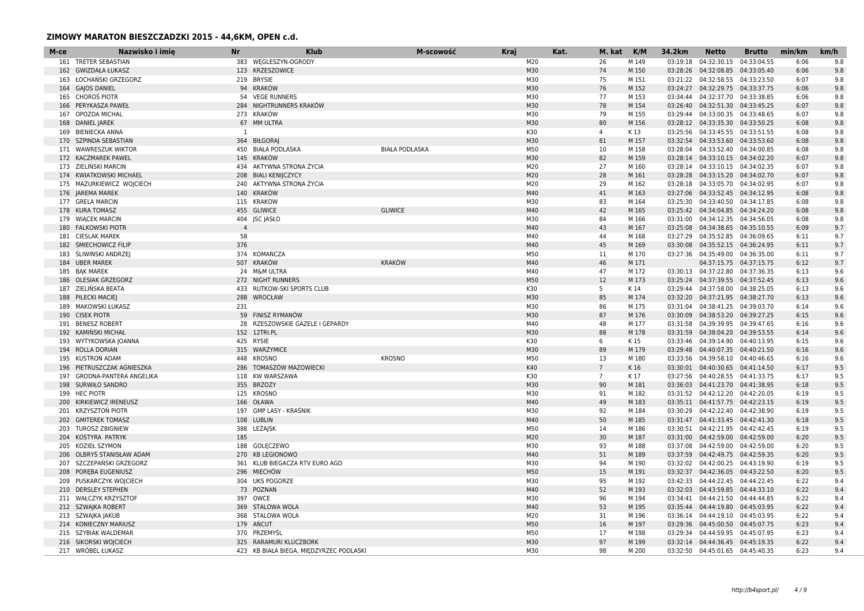| 383 WEGLESZYN-OGRODY<br>M20<br>26<br>M 149<br>04:32:30.15<br>04:33:04.55<br>9.8<br>161 TRETER SEBASTIAN<br>03:19:18<br>6:06<br>123 KRZESZOWICE<br>M30<br>74<br>04:32:08.85 04:33:05.40<br>9.8<br>162 GWIZDAŁA ŁUKASZ<br>M 150<br>03:28:26<br>6:06<br>163 ŁOCHAŃSKI GRZEGORZ<br>219 BRYSIE<br>M30<br>75<br>M 151<br>03:21:22  04:32:58.55  04:33:23.50<br>6:07<br>9.8<br>M30<br>9.8<br>164 GAJOS DANIEL<br>94 KRAKÓW<br>76<br>M 152<br>03:24:27  04:32:29.75  04:33:37.75<br>6:06<br>165 CHOROŚ PIOTR<br>54 VEGE RUNNERS<br>M30<br>03:34:44  04:32:37.70  04:33:38.85<br>9.8<br>77<br>M 153<br>6:06<br>M30<br>PERYKASZA PAWEŁ<br>284 NIGHTRUNNERS KRAKÓW<br>78<br>M 154<br>03:26:40  04:32:51.30  04:33:45.25<br>6:07<br>9.8<br>166<br>M30<br>OPOZDA MICHAL<br>273 KRAKÓW<br>79<br>M 155<br>03:29:44  04:33:00.35  04:33:48.65<br>9.8<br>6:07<br>167<br>67 MM ULTRA<br>M30<br>80<br><b>DANIEL JAREK</b><br>M 156<br>03:28:12  04:33:35.30  04:33:50.25<br>6:08<br>9.8<br>168<br>9.8<br>169 BIENIECKA ANNA<br><sup>1</sup><br>K30<br>$\overline{4}$<br>03:25:56 04:33:45.55 04:33:51.55<br>6:08<br>K 13<br>M30<br>81<br>9.8<br>SZPINDA SEBASTIAN<br>364 BIŁGORAJ<br>M 157<br>03:32:54 04:33:53.60 04:33:53.60<br>6:08<br>170<br>M50<br>9.8<br>171 WAWRESZUK WIKTOR<br>450 BIAŁA PODLASKA<br><b>BIAŁA PODLASKA</b><br>10<br>M 158<br>03:28:04  04:33:52.40  04:34:00.85<br>6:08<br>M30<br>172 KACZMAREK PAWEL<br>145 KRAKÓW<br>82<br>M 159<br>03:28:14  04:33:10.15  04:34:02.20<br>6:07<br>9.8<br>434 AKTYWNA STRONA ŻYCIA<br>M20<br>27<br>173 ZIELINSKI MARCIN<br>M 160<br>03:28:14  04:33:10.15  04:34:02.35<br>6:07<br>9.8<br>M20<br>28<br>9.8<br>174 KWIATKOWSKI MICHAEL<br>208 BIALI KENIJCZYCY<br>M 161<br>03:28:28  04:33:15.20  04:34:02.70<br>6:07<br>240 AKTYWNA STRONA ŻYCIA<br>M20<br>29<br>03:28:18  04:33:05.70  04:34:02.95<br>9.8<br>175 MAZURKIEWICZ WOJCIECH<br>M 162<br>6:07<br>M40<br>41<br>176 JAREMA MAREK<br>140 KRAKÓW<br>03:27:06  04:33:52.45  04:34:12.95<br>6:08<br>9.8<br>M 163<br>M30<br>177 GRELA MARCIN<br>115 KRAKOW<br>83<br>04:33:40.50 04:34:17.85<br>9.8<br>M 164<br>03:25:30<br>6:08<br>M40<br>42<br>9.8<br>178 KURA TOMASZ<br>455 GLIWICE<br><b>GLIWICE</b><br>M 165<br>03:25:42  04:34:04.85  04:34:24.20<br>6:08<br>M30<br>9.8<br>179 WIACEK MARCIN<br>404 JSC JASŁO<br>84<br>M 166<br>03:31:00 04:34:12.35 04:34:56.05<br>6:08<br>M40<br>43<br>9.7<br><b>FALKOWSKI PIOTR</b><br>$\overline{4}$<br>M 167<br>03:25:08  04:34:38.65  04:35:10.55<br>6:09<br>180<br>181 CIESLAK MAREK<br>58<br>M40<br>44<br>M 168<br>03:27:29  04:35:52.85  04:36:09.65<br>9.7<br>6:11<br>376<br>M40<br>45<br>9.7<br><b>SMIECHOWICZ FILIP</b><br>M 169<br>03:30:08  04:35:52.15  04:36:24.95<br>6:11<br>182<br>374 KOMAŃCZA<br>M50<br>183 ŚLIWIŃSKI ANDRZEJ<br>11<br>M 170<br>03:27:36  04:35:49.00  04:36:35.00<br>6:11<br>9.7<br><b>KRAKÓW</b><br>M40<br>184 UBER MAREK<br>507 KRAKÓW<br>46<br>M 171<br>04:37:15.75   04:37:15.75<br>6:12<br>9.7<br>M40<br>185 BAK MAREK<br>24 M&M ULTRA<br>47<br>M 172<br>03:30:13  04:37:22.80  04:37:36.35<br>6:13<br>9.6<br>M50<br>186 OLESIAK GRZEGORZ<br>272 NIGHT RUNNERS<br>12<br>M 173<br>03:25:24  04:37:39.55  04:37:52.45<br>6:13<br>9.6<br>K30<br>9.6<br>ZIELIŃSKA BEATA<br>433 RUTKOW-SKI SPORTS CLUB<br>5<br>03:29:44  04:37:58.00  04:38:25.05<br>6:13<br>187<br>K 14<br>M30<br>288<br>85<br>9.6<br>PILECKI MACIEJ<br>WROCŁAW<br>M 174<br>03:32:20  04:37:21.95  04:38:27.70<br>6:13<br>188<br>MAKOWSKI ŁUKASZ<br>231<br>M30<br>86<br>03:31:04  04:38:41.25  04:39:03.70<br>9.6<br>189<br>M 175<br>6:14<br>M30<br>190 CISEK PIOTR<br>59 FINISZ RYMANÓW<br>87<br>M 176<br>03:30:09  04:38:53.20  04:39:27.25<br>6:15<br>9.6<br>M40<br><b>BENESZ ROBERT</b><br>28 RZESZOWSKIE GAZELE I GEPARDY<br>48<br>M 177<br>03:31:58  04:39:39.95  04:39:47.65<br>9.6<br>6:16<br>191<br>192 KAMIŃSKI MICHAŁ<br>152 12TRI.PL<br>M30<br>88<br>M 178<br>03:31:59  04:38:04.20  04:39:53.55<br>9.6<br>6:14<br>K30<br>9.6<br>193 WYTYKOWSKA JOANNA<br>425 RYSIE<br>6<br>K 15<br>03:33:46  04:39:14.90  04:40:13.95<br>6:15<br>M30<br>194 ROLLA DORIAN<br>315 WARZYMICE<br>89<br>03:29:48  04:40:07.35  04:40:21.50<br>9.6<br>M 179<br>6:16<br>M50<br>KUSTROŃ ADAM<br>448 KROSNO<br><b>KROSNO</b><br>04:39:58.10 04:40:46.65<br>9.6<br>13<br>M 180<br>03:33:56<br>6:16<br>195<br>K40<br>9.5<br>286 TOMASZÓW MAZOWIECKI<br>$7\overline{ }$<br>03:30:01  04:40:30.65  04:41:14.50<br>6:17<br>196<br>PIETRUSZCZAK AGNIESZKA<br>K 16<br>K30<br>9.5<br>GRODNA-PANTERA ANGELIKA<br>118 KW WARSZAWA<br>$7^{\circ}$<br>K 17<br>03:27:56 04:40:28.55 04:41:33.75<br>6:17<br>197<br>198 SURWIŁO SANDRO<br>355 BRZOZY<br>M30<br>90<br>03:36:03  04:41:23.70  04:41:38.95<br>9.5<br>M 181<br>6:18<br><b>HEC PIOTR</b><br>125 KROSNO<br>M30<br>M 182<br>03:31:52  04:42:12.20  04:42:20.05<br>9.5<br>199<br>91<br>6:19<br>M40<br>9.5<br>KIRKIEWICZ IRENEUSZ<br>166 OŁAWA<br>49<br>M 183<br>03:35:11  04:41:57.75  04:42:23.15<br>6:19<br>200<br>201 KRZYSZTOŃ PIOTR<br>197 GMP LASY - KRAŚNIK<br>M30<br>9.5<br>92<br>M 184<br>03:30:29  04:42:22.40  04:42:38.90<br>6:19<br><b>GMITEREK TOMASZ</b><br>108 LUBLIN<br>M40<br>50<br>M 185<br>03:31:47  04:41:33.45  04:42:41.30<br>9.5<br>6:18<br>202<br>M50<br>388 LEŻAJSK<br>9.5<br><b>TUROSZ ZBIGNIEW</b><br>14<br>M 186<br>03:30:51  04:42:21.95  04:42:42.45<br>6:19<br>203<br>M20<br>204 KOSTYRA PATRYK<br>185<br>30<br>03:31:00  04:42:59.00  04:42:59.00<br>9.5<br>M 187<br>6:20<br>9.5<br>KOZIEŁ SZYMON<br>188 GOLECZEWO<br>M30<br>93<br>M 188<br>03:37:08  04:42:59.00  04:42:59.00<br>6:20<br>205<br>M40<br>51<br>9.5<br>OLBRYS STANISŁAW ADAM<br>270 KB LEGIONOWO<br>M 189<br>03:37:59  04:42:49.75  04:42:59.35<br>6:20<br>206<br>207 SZCZEPAŃSKI GRZEGORZ<br>361 KLUB BIEGACZA RTV EURO AGD<br>M30<br>9.5<br>94<br>M 190<br>03:32:02  04:42:00.25  04:43:19.90<br>6:19<br>M50<br>9.5<br>208 POREBA EUGENIUSZ<br>296 MIECHÓW<br>15<br>M 191<br>03:32:37  04:42:36.05  04:43:22.50<br>6:20<br>209 PUSKARCZYK WOJCIECH<br>304 UKS POGORZE<br>M30<br>95<br>M 192<br>03:42:33  04:44:22.45  04:44:22.45<br>9.4<br>6:22<br>73 POZNAN<br>M40<br>52<br>M 193<br>6:22<br>9.4<br>210 DERSLEY STEPHEN<br>03:32:03  04:43:59.85  04:44:33.10<br>211 WAŁCZYK KRZYSZTOF<br>M30<br>397 OWCE<br>96<br>M 194<br>03:34:41  04:44:21.50  04:44:44.85<br>6:22<br>9.4<br>M40<br>53<br>212 SZWAJKA ROBERT<br>369 STALOWA WOLA<br>M 195<br>03:35:44  04:44:19.80  04:45:03.95<br>6:22<br>9.4<br>368 STALOWA WOLA<br>M20<br>213 SZWAJKA JAKUB<br>31<br>M 196<br>03:36:14  04:44:19.10  04:45:03.95<br>6:22<br>9.4<br>M50<br>214 KONIECZNY MARIUSZ<br>179 ANCUT<br>16<br>M 197<br>03:29:36  04:45:00.50  04:45:07.75<br>6:23<br>9.4<br>215 SZYBIAK WALDEMAR<br>370 PRZEMYŚL<br>M50<br>17<br>M 198<br>03:29:34  04:44:59.95  04:45:07.95<br>6:23<br>9.4<br>216 SIKORSKI WOJCIECH<br>M30<br>97<br>9.4<br>325 RARAMURI KLUCZBORK<br>M 199<br>03:32:14  04:44:36.45  04:45:19.35<br>6:22<br>217 WRÓBEL ŁUKASZ<br>423 KB BIAŁA BIEGA, MIĘDZYRZEC PODLASKI<br>M30<br>98<br>M 200<br>03:32:50  04:45:01.65  04:45:40.35<br>6:23<br>9.4 | M-ce | Nazwisko i imie | <b>Nr</b> | <b>Klub</b> | M-scowość | <b>Kraj</b> | Kat. | M. kat | K/M | 34.2km | <b>Netto</b> | <b>Brutto</b> | min/km | km/h |
|---------------------------------------------------------------------------------------------------------------------------------------------------------------------------------------------------------------------------------------------------------------------------------------------------------------------------------------------------------------------------------------------------------------------------------------------------------------------------------------------------------------------------------------------------------------------------------------------------------------------------------------------------------------------------------------------------------------------------------------------------------------------------------------------------------------------------------------------------------------------------------------------------------------------------------------------------------------------------------------------------------------------------------------------------------------------------------------------------------------------------------------------------------------------------------------------------------------------------------------------------------------------------------------------------------------------------------------------------------------------------------------------------------------------------------------------------------------------------------------------------------------------------------------------------------------------------------------------------------------------------------------------------------------------------------------------------------------------------------------------------------------------------------------------------------------------------------------------------------------------------------------------------------------------------------------------------------------------------------------------------------------------------------------------------------------------------------------------------------------------------------------------------------------------------------------------------------------------------------------------------------------------------------------------------------------------------------------------------------------------------------------------------------------------------------------------------------------------------------------------------------------------------------------------------------------------------------------------------------------------------------------------------------------------------------------------------------------------------------------------------------------------------------------------------------------------------------------------------------------------------------------------------------------------------------------------------------------------------------------------------------------------------------------------------------------------------------------------------------------------------------------------------------------------------------------------------------------------------------------------------------------------------------------------------------------------------------------------------------------------------------------------------------------------------------------------------------------------------------------------------------------------------------------------------------------------------------------------------------------------------------------------------------------------------------------------------------------------------------------------------------------------------------------------------------------------------------------------------------------------------------------------------------------------------------------------------------------------------------------------------------------------------------------------------------------------------------------------------------------------------------------------------------------------------------------------------------------------------------------------------------------------------------------------------------------------------------------------------------------------------------------------------------------------------------------------------------------------------------------------------------------------------------------------------------------------------------------------------------------------------------------------------------------------------------------------------------------------------------------------------------------------------------------------------------------------------------------------------------------------------------------------------------------------------------------------------------------------------------------------------------------------------------------------------------------------------------------------------------------------------------------------------------------------------------------------------------------------------------------------------------------------------------------------------------------------------------------------------------------------------------------------------------------------------------------------------------------------------------------------------------------------------------------------------------------------------------------------------------------------------------------------------------------------------------------------------------------------------------------------------------------------------------------------------------------------------------------------------------------------------------------------------------------------------------------------------------------------------------------------------------------------------------------------------------------------------------------------------------------------------------------------------------------------------------------------------------------------------------------------------------------------------------------------------------------------------------------------------------------------------------------------------------------------------------------------------------------------------------------------------------------------------------------------------------------------------------------------------------------------------------------------------------------------------------------------------------------------------------------------------------------------------------------------------------------------------------------------------------------------------------------------------------------------------------------------------------------------------------------------------------------------------------------------------------------------------------------------------------|------|-----------------|-----------|-------------|-----------|-------------|------|--------|-----|--------|--------------|---------------|--------|------|
|                                                                                                                                                                                                                                                                                                                                                                                                                                                                                                                                                                                                                                                                                                                                                                                                                                                                                                                                                                                                                                                                                                                                                                                                                                                                                                                                                                                                                                                                                                                                                                                                                                                                                                                                                                                                                                                                                                                                                                                                                                                                                                                                                                                                                                                                                                                                                                                                                                                                                                                                                                                                                                                                                                                                                                                                                                                                                                                                                                                                                                                                                                                                                                                                                                                                                                                                                                                                                                                                                                                                                                                                                                                                                                                                                                                                                                                                                                                                                                                                                                                                                                                                                                                                                                                                                                                                                                                                                                                                                                                                                                                                                                                                                                                                                                                                                                                                                                                                                                                                                                                                                                                                                                                                                                                                                                                                                                                                                                                                                                                                                                                                                                                                                                                                                                                                                                                                                                                                                                                                                                                                                                                                                                                                                                                                                                                                                                                                                                                                                                                                                                                                                                                                                                                                                                                                                                                                                                                                                                                                                                                                                                         |      |                 |           |             |           |             |      |        |     |        |              |               |        |      |
|                                                                                                                                                                                                                                                                                                                                                                                                                                                                                                                                                                                                                                                                                                                                                                                                                                                                                                                                                                                                                                                                                                                                                                                                                                                                                                                                                                                                                                                                                                                                                                                                                                                                                                                                                                                                                                                                                                                                                                                                                                                                                                                                                                                                                                                                                                                                                                                                                                                                                                                                                                                                                                                                                                                                                                                                                                                                                                                                                                                                                                                                                                                                                                                                                                                                                                                                                                                                                                                                                                                                                                                                                                                                                                                                                                                                                                                                                                                                                                                                                                                                                                                                                                                                                                                                                                                                                                                                                                                                                                                                                                                                                                                                                                                                                                                                                                                                                                                                                                                                                                                                                                                                                                                                                                                                                                                                                                                                                                                                                                                                                                                                                                                                                                                                                                                                                                                                                                                                                                                                                                                                                                                                                                                                                                                                                                                                                                                                                                                                                                                                                                                                                                                                                                                                                                                                                                                                                                                                                                                                                                                                                                         |      |                 |           |             |           |             |      |        |     |        |              |               |        |      |
|                                                                                                                                                                                                                                                                                                                                                                                                                                                                                                                                                                                                                                                                                                                                                                                                                                                                                                                                                                                                                                                                                                                                                                                                                                                                                                                                                                                                                                                                                                                                                                                                                                                                                                                                                                                                                                                                                                                                                                                                                                                                                                                                                                                                                                                                                                                                                                                                                                                                                                                                                                                                                                                                                                                                                                                                                                                                                                                                                                                                                                                                                                                                                                                                                                                                                                                                                                                                                                                                                                                                                                                                                                                                                                                                                                                                                                                                                                                                                                                                                                                                                                                                                                                                                                                                                                                                                                                                                                                                                                                                                                                                                                                                                                                                                                                                                                                                                                                                                                                                                                                                                                                                                                                                                                                                                                                                                                                                                                                                                                                                                                                                                                                                                                                                                                                                                                                                                                                                                                                                                                                                                                                                                                                                                                                                                                                                                                                                                                                                                                                                                                                                                                                                                                                                                                                                                                                                                                                                                                                                                                                                                                         |      |                 |           |             |           |             |      |        |     |        |              |               |        |      |
|                                                                                                                                                                                                                                                                                                                                                                                                                                                                                                                                                                                                                                                                                                                                                                                                                                                                                                                                                                                                                                                                                                                                                                                                                                                                                                                                                                                                                                                                                                                                                                                                                                                                                                                                                                                                                                                                                                                                                                                                                                                                                                                                                                                                                                                                                                                                                                                                                                                                                                                                                                                                                                                                                                                                                                                                                                                                                                                                                                                                                                                                                                                                                                                                                                                                                                                                                                                                                                                                                                                                                                                                                                                                                                                                                                                                                                                                                                                                                                                                                                                                                                                                                                                                                                                                                                                                                                                                                                                                                                                                                                                                                                                                                                                                                                                                                                                                                                                                                                                                                                                                                                                                                                                                                                                                                                                                                                                                                                                                                                                                                                                                                                                                                                                                                                                                                                                                                                                                                                                                                                                                                                                                                                                                                                                                                                                                                                                                                                                                                                                                                                                                                                                                                                                                                                                                                                                                                                                                                                                                                                                                                                         |      |                 |           |             |           |             |      |        |     |        |              |               |        |      |
|                                                                                                                                                                                                                                                                                                                                                                                                                                                                                                                                                                                                                                                                                                                                                                                                                                                                                                                                                                                                                                                                                                                                                                                                                                                                                                                                                                                                                                                                                                                                                                                                                                                                                                                                                                                                                                                                                                                                                                                                                                                                                                                                                                                                                                                                                                                                                                                                                                                                                                                                                                                                                                                                                                                                                                                                                                                                                                                                                                                                                                                                                                                                                                                                                                                                                                                                                                                                                                                                                                                                                                                                                                                                                                                                                                                                                                                                                                                                                                                                                                                                                                                                                                                                                                                                                                                                                                                                                                                                                                                                                                                                                                                                                                                                                                                                                                                                                                                                                                                                                                                                                                                                                                                                                                                                                                                                                                                                                                                                                                                                                                                                                                                                                                                                                                                                                                                                                                                                                                                                                                                                                                                                                                                                                                                                                                                                                                                                                                                                                                                                                                                                                                                                                                                                                                                                                                                                                                                                                                                                                                                                                                         |      |                 |           |             |           |             |      |        |     |        |              |               |        |      |
|                                                                                                                                                                                                                                                                                                                                                                                                                                                                                                                                                                                                                                                                                                                                                                                                                                                                                                                                                                                                                                                                                                                                                                                                                                                                                                                                                                                                                                                                                                                                                                                                                                                                                                                                                                                                                                                                                                                                                                                                                                                                                                                                                                                                                                                                                                                                                                                                                                                                                                                                                                                                                                                                                                                                                                                                                                                                                                                                                                                                                                                                                                                                                                                                                                                                                                                                                                                                                                                                                                                                                                                                                                                                                                                                                                                                                                                                                                                                                                                                                                                                                                                                                                                                                                                                                                                                                                                                                                                                                                                                                                                                                                                                                                                                                                                                                                                                                                                                                                                                                                                                                                                                                                                                                                                                                                                                                                                                                                                                                                                                                                                                                                                                                                                                                                                                                                                                                                                                                                                                                                                                                                                                                                                                                                                                                                                                                                                                                                                                                                                                                                                                                                                                                                                                                                                                                                                                                                                                                                                                                                                                                                         |      |                 |           |             |           |             |      |        |     |        |              |               |        |      |
|                                                                                                                                                                                                                                                                                                                                                                                                                                                                                                                                                                                                                                                                                                                                                                                                                                                                                                                                                                                                                                                                                                                                                                                                                                                                                                                                                                                                                                                                                                                                                                                                                                                                                                                                                                                                                                                                                                                                                                                                                                                                                                                                                                                                                                                                                                                                                                                                                                                                                                                                                                                                                                                                                                                                                                                                                                                                                                                                                                                                                                                                                                                                                                                                                                                                                                                                                                                                                                                                                                                                                                                                                                                                                                                                                                                                                                                                                                                                                                                                                                                                                                                                                                                                                                                                                                                                                                                                                                                                                                                                                                                                                                                                                                                                                                                                                                                                                                                                                                                                                                                                                                                                                                                                                                                                                                                                                                                                                                                                                                                                                                                                                                                                                                                                                                                                                                                                                                                                                                                                                                                                                                                                                                                                                                                                                                                                                                                                                                                                                                                                                                                                                                                                                                                                                                                                                                                                                                                                                                                                                                                                                                         |      |                 |           |             |           |             |      |        |     |        |              |               |        |      |
|                                                                                                                                                                                                                                                                                                                                                                                                                                                                                                                                                                                                                                                                                                                                                                                                                                                                                                                                                                                                                                                                                                                                                                                                                                                                                                                                                                                                                                                                                                                                                                                                                                                                                                                                                                                                                                                                                                                                                                                                                                                                                                                                                                                                                                                                                                                                                                                                                                                                                                                                                                                                                                                                                                                                                                                                                                                                                                                                                                                                                                                                                                                                                                                                                                                                                                                                                                                                                                                                                                                                                                                                                                                                                                                                                                                                                                                                                                                                                                                                                                                                                                                                                                                                                                                                                                                                                                                                                                                                                                                                                                                                                                                                                                                                                                                                                                                                                                                                                                                                                                                                                                                                                                                                                                                                                                                                                                                                                                                                                                                                                                                                                                                                                                                                                                                                                                                                                                                                                                                                                                                                                                                                                                                                                                                                                                                                                                                                                                                                                                                                                                                                                                                                                                                                                                                                                                                                                                                                                                                                                                                                                                         |      |                 |           |             |           |             |      |        |     |        |              |               |        |      |
|                                                                                                                                                                                                                                                                                                                                                                                                                                                                                                                                                                                                                                                                                                                                                                                                                                                                                                                                                                                                                                                                                                                                                                                                                                                                                                                                                                                                                                                                                                                                                                                                                                                                                                                                                                                                                                                                                                                                                                                                                                                                                                                                                                                                                                                                                                                                                                                                                                                                                                                                                                                                                                                                                                                                                                                                                                                                                                                                                                                                                                                                                                                                                                                                                                                                                                                                                                                                                                                                                                                                                                                                                                                                                                                                                                                                                                                                                                                                                                                                                                                                                                                                                                                                                                                                                                                                                                                                                                                                                                                                                                                                                                                                                                                                                                                                                                                                                                                                                                                                                                                                                                                                                                                                                                                                                                                                                                                                                                                                                                                                                                                                                                                                                                                                                                                                                                                                                                                                                                                                                                                                                                                                                                                                                                                                                                                                                                                                                                                                                                                                                                                                                                                                                                                                                                                                                                                                                                                                                                                                                                                                                                         |      |                 |           |             |           |             |      |        |     |        |              |               |        |      |
|                                                                                                                                                                                                                                                                                                                                                                                                                                                                                                                                                                                                                                                                                                                                                                                                                                                                                                                                                                                                                                                                                                                                                                                                                                                                                                                                                                                                                                                                                                                                                                                                                                                                                                                                                                                                                                                                                                                                                                                                                                                                                                                                                                                                                                                                                                                                                                                                                                                                                                                                                                                                                                                                                                                                                                                                                                                                                                                                                                                                                                                                                                                                                                                                                                                                                                                                                                                                                                                                                                                                                                                                                                                                                                                                                                                                                                                                                                                                                                                                                                                                                                                                                                                                                                                                                                                                                                                                                                                                                                                                                                                                                                                                                                                                                                                                                                                                                                                                                                                                                                                                                                                                                                                                                                                                                                                                                                                                                                                                                                                                                                                                                                                                                                                                                                                                                                                                                                                                                                                                                                                                                                                                                                                                                                                                                                                                                                                                                                                                                                                                                                                                                                                                                                                                                                                                                                                                                                                                                                                                                                                                                                         |      |                 |           |             |           |             |      |        |     |        |              |               |        |      |
|                                                                                                                                                                                                                                                                                                                                                                                                                                                                                                                                                                                                                                                                                                                                                                                                                                                                                                                                                                                                                                                                                                                                                                                                                                                                                                                                                                                                                                                                                                                                                                                                                                                                                                                                                                                                                                                                                                                                                                                                                                                                                                                                                                                                                                                                                                                                                                                                                                                                                                                                                                                                                                                                                                                                                                                                                                                                                                                                                                                                                                                                                                                                                                                                                                                                                                                                                                                                                                                                                                                                                                                                                                                                                                                                                                                                                                                                                                                                                                                                                                                                                                                                                                                                                                                                                                                                                                                                                                                                                                                                                                                                                                                                                                                                                                                                                                                                                                                                                                                                                                                                                                                                                                                                                                                                                                                                                                                                                                                                                                                                                                                                                                                                                                                                                                                                                                                                                                                                                                                                                                                                                                                                                                                                                                                                                                                                                                                                                                                                                                                                                                                                                                                                                                                                                                                                                                                                                                                                                                                                                                                                                                         |      |                 |           |             |           |             |      |        |     |        |              |               |        |      |
|                                                                                                                                                                                                                                                                                                                                                                                                                                                                                                                                                                                                                                                                                                                                                                                                                                                                                                                                                                                                                                                                                                                                                                                                                                                                                                                                                                                                                                                                                                                                                                                                                                                                                                                                                                                                                                                                                                                                                                                                                                                                                                                                                                                                                                                                                                                                                                                                                                                                                                                                                                                                                                                                                                                                                                                                                                                                                                                                                                                                                                                                                                                                                                                                                                                                                                                                                                                                                                                                                                                                                                                                                                                                                                                                                                                                                                                                                                                                                                                                                                                                                                                                                                                                                                                                                                                                                                                                                                                                                                                                                                                                                                                                                                                                                                                                                                                                                                                                                                                                                                                                                                                                                                                                                                                                                                                                                                                                                                                                                                                                                                                                                                                                                                                                                                                                                                                                                                                                                                                                                                                                                                                                                                                                                                                                                                                                                                                                                                                                                                                                                                                                                                                                                                                                                                                                                                                                                                                                                                                                                                                                                                         |      |                 |           |             |           |             |      |        |     |        |              |               |        |      |
|                                                                                                                                                                                                                                                                                                                                                                                                                                                                                                                                                                                                                                                                                                                                                                                                                                                                                                                                                                                                                                                                                                                                                                                                                                                                                                                                                                                                                                                                                                                                                                                                                                                                                                                                                                                                                                                                                                                                                                                                                                                                                                                                                                                                                                                                                                                                                                                                                                                                                                                                                                                                                                                                                                                                                                                                                                                                                                                                                                                                                                                                                                                                                                                                                                                                                                                                                                                                                                                                                                                                                                                                                                                                                                                                                                                                                                                                                                                                                                                                                                                                                                                                                                                                                                                                                                                                                                                                                                                                                                                                                                                                                                                                                                                                                                                                                                                                                                                                                                                                                                                                                                                                                                                                                                                                                                                                                                                                                                                                                                                                                                                                                                                                                                                                                                                                                                                                                                                                                                                                                                                                                                                                                                                                                                                                                                                                                                                                                                                                                                                                                                                                                                                                                                                                                                                                                                                                                                                                                                                                                                                                                                         |      |                 |           |             |           |             |      |        |     |        |              |               |        |      |
|                                                                                                                                                                                                                                                                                                                                                                                                                                                                                                                                                                                                                                                                                                                                                                                                                                                                                                                                                                                                                                                                                                                                                                                                                                                                                                                                                                                                                                                                                                                                                                                                                                                                                                                                                                                                                                                                                                                                                                                                                                                                                                                                                                                                                                                                                                                                                                                                                                                                                                                                                                                                                                                                                                                                                                                                                                                                                                                                                                                                                                                                                                                                                                                                                                                                                                                                                                                                                                                                                                                                                                                                                                                                                                                                                                                                                                                                                                                                                                                                                                                                                                                                                                                                                                                                                                                                                                                                                                                                                                                                                                                                                                                                                                                                                                                                                                                                                                                                                                                                                                                                                                                                                                                                                                                                                                                                                                                                                                                                                                                                                                                                                                                                                                                                                                                                                                                                                                                                                                                                                                                                                                                                                                                                                                                                                                                                                                                                                                                                                                                                                                                                                                                                                                                                                                                                                                                                                                                                                                                                                                                                                                         |      |                 |           |             |           |             |      |        |     |        |              |               |        |      |
|                                                                                                                                                                                                                                                                                                                                                                                                                                                                                                                                                                                                                                                                                                                                                                                                                                                                                                                                                                                                                                                                                                                                                                                                                                                                                                                                                                                                                                                                                                                                                                                                                                                                                                                                                                                                                                                                                                                                                                                                                                                                                                                                                                                                                                                                                                                                                                                                                                                                                                                                                                                                                                                                                                                                                                                                                                                                                                                                                                                                                                                                                                                                                                                                                                                                                                                                                                                                                                                                                                                                                                                                                                                                                                                                                                                                                                                                                                                                                                                                                                                                                                                                                                                                                                                                                                                                                                                                                                                                                                                                                                                                                                                                                                                                                                                                                                                                                                                                                                                                                                                                                                                                                                                                                                                                                                                                                                                                                                                                                                                                                                                                                                                                                                                                                                                                                                                                                                                                                                                                                                                                                                                                                                                                                                                                                                                                                                                                                                                                                                                                                                                                                                                                                                                                                                                                                                                                                                                                                                                                                                                                                                         |      |                 |           |             |           |             |      |        |     |        |              |               |        |      |
|                                                                                                                                                                                                                                                                                                                                                                                                                                                                                                                                                                                                                                                                                                                                                                                                                                                                                                                                                                                                                                                                                                                                                                                                                                                                                                                                                                                                                                                                                                                                                                                                                                                                                                                                                                                                                                                                                                                                                                                                                                                                                                                                                                                                                                                                                                                                                                                                                                                                                                                                                                                                                                                                                                                                                                                                                                                                                                                                                                                                                                                                                                                                                                                                                                                                                                                                                                                                                                                                                                                                                                                                                                                                                                                                                                                                                                                                                                                                                                                                                                                                                                                                                                                                                                                                                                                                                                                                                                                                                                                                                                                                                                                                                                                                                                                                                                                                                                                                                                                                                                                                                                                                                                                                                                                                                                                                                                                                                                                                                                                                                                                                                                                                                                                                                                                                                                                                                                                                                                                                                                                                                                                                                                                                                                                                                                                                                                                                                                                                                                                                                                                                                                                                                                                                                                                                                                                                                                                                                                                                                                                                                                         |      |                 |           |             |           |             |      |        |     |        |              |               |        |      |
|                                                                                                                                                                                                                                                                                                                                                                                                                                                                                                                                                                                                                                                                                                                                                                                                                                                                                                                                                                                                                                                                                                                                                                                                                                                                                                                                                                                                                                                                                                                                                                                                                                                                                                                                                                                                                                                                                                                                                                                                                                                                                                                                                                                                                                                                                                                                                                                                                                                                                                                                                                                                                                                                                                                                                                                                                                                                                                                                                                                                                                                                                                                                                                                                                                                                                                                                                                                                                                                                                                                                                                                                                                                                                                                                                                                                                                                                                                                                                                                                                                                                                                                                                                                                                                                                                                                                                                                                                                                                                                                                                                                                                                                                                                                                                                                                                                                                                                                                                                                                                                                                                                                                                                                                                                                                                                                                                                                                                                                                                                                                                                                                                                                                                                                                                                                                                                                                                                                                                                                                                                                                                                                                                                                                                                                                                                                                                                                                                                                                                                                                                                                                                                                                                                                                                                                                                                                                                                                                                                                                                                                                                                         |      |                 |           |             |           |             |      |        |     |        |              |               |        |      |
|                                                                                                                                                                                                                                                                                                                                                                                                                                                                                                                                                                                                                                                                                                                                                                                                                                                                                                                                                                                                                                                                                                                                                                                                                                                                                                                                                                                                                                                                                                                                                                                                                                                                                                                                                                                                                                                                                                                                                                                                                                                                                                                                                                                                                                                                                                                                                                                                                                                                                                                                                                                                                                                                                                                                                                                                                                                                                                                                                                                                                                                                                                                                                                                                                                                                                                                                                                                                                                                                                                                                                                                                                                                                                                                                                                                                                                                                                                                                                                                                                                                                                                                                                                                                                                                                                                                                                                                                                                                                                                                                                                                                                                                                                                                                                                                                                                                                                                                                                                                                                                                                                                                                                                                                                                                                                                                                                                                                                                                                                                                                                                                                                                                                                                                                                                                                                                                                                                                                                                                                                                                                                                                                                                                                                                                                                                                                                                                                                                                                                                                                                                                                                                                                                                                                                                                                                                                                                                                                                                                                                                                                                                         |      |                 |           |             |           |             |      |        |     |        |              |               |        |      |
|                                                                                                                                                                                                                                                                                                                                                                                                                                                                                                                                                                                                                                                                                                                                                                                                                                                                                                                                                                                                                                                                                                                                                                                                                                                                                                                                                                                                                                                                                                                                                                                                                                                                                                                                                                                                                                                                                                                                                                                                                                                                                                                                                                                                                                                                                                                                                                                                                                                                                                                                                                                                                                                                                                                                                                                                                                                                                                                                                                                                                                                                                                                                                                                                                                                                                                                                                                                                                                                                                                                                                                                                                                                                                                                                                                                                                                                                                                                                                                                                                                                                                                                                                                                                                                                                                                                                                                                                                                                                                                                                                                                                                                                                                                                                                                                                                                                                                                                                                                                                                                                                                                                                                                                                                                                                                                                                                                                                                                                                                                                                                                                                                                                                                                                                                                                                                                                                                                                                                                                                                                                                                                                                                                                                                                                                                                                                                                                                                                                                                                                                                                                                                                                                                                                                                                                                                                                                                                                                                                                                                                                                                                         |      |                 |           |             |           |             |      |        |     |        |              |               |        |      |
|                                                                                                                                                                                                                                                                                                                                                                                                                                                                                                                                                                                                                                                                                                                                                                                                                                                                                                                                                                                                                                                                                                                                                                                                                                                                                                                                                                                                                                                                                                                                                                                                                                                                                                                                                                                                                                                                                                                                                                                                                                                                                                                                                                                                                                                                                                                                                                                                                                                                                                                                                                                                                                                                                                                                                                                                                                                                                                                                                                                                                                                                                                                                                                                                                                                                                                                                                                                                                                                                                                                                                                                                                                                                                                                                                                                                                                                                                                                                                                                                                                                                                                                                                                                                                                                                                                                                                                                                                                                                                                                                                                                                                                                                                                                                                                                                                                                                                                                                                                                                                                                                                                                                                                                                                                                                                                                                                                                                                                                                                                                                                                                                                                                                                                                                                                                                                                                                                                                                                                                                                                                                                                                                                                                                                                                                                                                                                                                                                                                                                                                                                                                                                                                                                                                                                                                                                                                                                                                                                                                                                                                                                                         |      |                 |           |             |           |             |      |        |     |        |              |               |        |      |
|                                                                                                                                                                                                                                                                                                                                                                                                                                                                                                                                                                                                                                                                                                                                                                                                                                                                                                                                                                                                                                                                                                                                                                                                                                                                                                                                                                                                                                                                                                                                                                                                                                                                                                                                                                                                                                                                                                                                                                                                                                                                                                                                                                                                                                                                                                                                                                                                                                                                                                                                                                                                                                                                                                                                                                                                                                                                                                                                                                                                                                                                                                                                                                                                                                                                                                                                                                                                                                                                                                                                                                                                                                                                                                                                                                                                                                                                                                                                                                                                                                                                                                                                                                                                                                                                                                                                                                                                                                                                                                                                                                                                                                                                                                                                                                                                                                                                                                                                                                                                                                                                                                                                                                                                                                                                                                                                                                                                                                                                                                                                                                                                                                                                                                                                                                                                                                                                                                                                                                                                                                                                                                                                                                                                                                                                                                                                                                                                                                                                                                                                                                                                                                                                                                                                                                                                                                                                                                                                                                                                                                                                                                         |      |                 |           |             |           |             |      |        |     |        |              |               |        |      |
|                                                                                                                                                                                                                                                                                                                                                                                                                                                                                                                                                                                                                                                                                                                                                                                                                                                                                                                                                                                                                                                                                                                                                                                                                                                                                                                                                                                                                                                                                                                                                                                                                                                                                                                                                                                                                                                                                                                                                                                                                                                                                                                                                                                                                                                                                                                                                                                                                                                                                                                                                                                                                                                                                                                                                                                                                                                                                                                                                                                                                                                                                                                                                                                                                                                                                                                                                                                                                                                                                                                                                                                                                                                                                                                                                                                                                                                                                                                                                                                                                                                                                                                                                                                                                                                                                                                                                                                                                                                                                                                                                                                                                                                                                                                                                                                                                                                                                                                                                                                                                                                                                                                                                                                                                                                                                                                                                                                                                                                                                                                                                                                                                                                                                                                                                                                                                                                                                                                                                                                                                                                                                                                                                                                                                                                                                                                                                                                                                                                                                                                                                                                                                                                                                                                                                                                                                                                                                                                                                                                                                                                                                                         |      |                 |           |             |           |             |      |        |     |        |              |               |        |      |
|                                                                                                                                                                                                                                                                                                                                                                                                                                                                                                                                                                                                                                                                                                                                                                                                                                                                                                                                                                                                                                                                                                                                                                                                                                                                                                                                                                                                                                                                                                                                                                                                                                                                                                                                                                                                                                                                                                                                                                                                                                                                                                                                                                                                                                                                                                                                                                                                                                                                                                                                                                                                                                                                                                                                                                                                                                                                                                                                                                                                                                                                                                                                                                                                                                                                                                                                                                                                                                                                                                                                                                                                                                                                                                                                                                                                                                                                                                                                                                                                                                                                                                                                                                                                                                                                                                                                                                                                                                                                                                                                                                                                                                                                                                                                                                                                                                                                                                                                                                                                                                                                                                                                                                                                                                                                                                                                                                                                                                                                                                                                                                                                                                                                                                                                                                                                                                                                                                                                                                                                                                                                                                                                                                                                                                                                                                                                                                                                                                                                                                                                                                                                                                                                                                                                                                                                                                                                                                                                                                                                                                                                                                         |      |                 |           |             |           |             |      |        |     |        |              |               |        |      |
|                                                                                                                                                                                                                                                                                                                                                                                                                                                                                                                                                                                                                                                                                                                                                                                                                                                                                                                                                                                                                                                                                                                                                                                                                                                                                                                                                                                                                                                                                                                                                                                                                                                                                                                                                                                                                                                                                                                                                                                                                                                                                                                                                                                                                                                                                                                                                                                                                                                                                                                                                                                                                                                                                                                                                                                                                                                                                                                                                                                                                                                                                                                                                                                                                                                                                                                                                                                                                                                                                                                                                                                                                                                                                                                                                                                                                                                                                                                                                                                                                                                                                                                                                                                                                                                                                                                                                                                                                                                                                                                                                                                                                                                                                                                                                                                                                                                                                                                                                                                                                                                                                                                                                                                                                                                                                                                                                                                                                                                                                                                                                                                                                                                                                                                                                                                                                                                                                                                                                                                                                                                                                                                                                                                                                                                                                                                                                                                                                                                                                                                                                                                                                                                                                                                                                                                                                                                                                                                                                                                                                                                                                                         |      |                 |           |             |           |             |      |        |     |        |              |               |        |      |
|                                                                                                                                                                                                                                                                                                                                                                                                                                                                                                                                                                                                                                                                                                                                                                                                                                                                                                                                                                                                                                                                                                                                                                                                                                                                                                                                                                                                                                                                                                                                                                                                                                                                                                                                                                                                                                                                                                                                                                                                                                                                                                                                                                                                                                                                                                                                                                                                                                                                                                                                                                                                                                                                                                                                                                                                                                                                                                                                                                                                                                                                                                                                                                                                                                                                                                                                                                                                                                                                                                                                                                                                                                                                                                                                                                                                                                                                                                                                                                                                                                                                                                                                                                                                                                                                                                                                                                                                                                                                                                                                                                                                                                                                                                                                                                                                                                                                                                                                                                                                                                                                                                                                                                                                                                                                                                                                                                                                                                                                                                                                                                                                                                                                                                                                                                                                                                                                                                                                                                                                                                                                                                                                                                                                                                                                                                                                                                                                                                                                                                                                                                                                                                                                                                                                                                                                                                                                                                                                                                                                                                                                                                         |      |                 |           |             |           |             |      |        |     |        |              |               |        |      |
|                                                                                                                                                                                                                                                                                                                                                                                                                                                                                                                                                                                                                                                                                                                                                                                                                                                                                                                                                                                                                                                                                                                                                                                                                                                                                                                                                                                                                                                                                                                                                                                                                                                                                                                                                                                                                                                                                                                                                                                                                                                                                                                                                                                                                                                                                                                                                                                                                                                                                                                                                                                                                                                                                                                                                                                                                                                                                                                                                                                                                                                                                                                                                                                                                                                                                                                                                                                                                                                                                                                                                                                                                                                                                                                                                                                                                                                                                                                                                                                                                                                                                                                                                                                                                                                                                                                                                                                                                                                                                                                                                                                                                                                                                                                                                                                                                                                                                                                                                                                                                                                                                                                                                                                                                                                                                                                                                                                                                                                                                                                                                                                                                                                                                                                                                                                                                                                                                                                                                                                                                                                                                                                                                                                                                                                                                                                                                                                                                                                                                                                                                                                                                                                                                                                                                                                                                                                                                                                                                                                                                                                                                                         |      |                 |           |             |           |             |      |        |     |        |              |               |        |      |
|                                                                                                                                                                                                                                                                                                                                                                                                                                                                                                                                                                                                                                                                                                                                                                                                                                                                                                                                                                                                                                                                                                                                                                                                                                                                                                                                                                                                                                                                                                                                                                                                                                                                                                                                                                                                                                                                                                                                                                                                                                                                                                                                                                                                                                                                                                                                                                                                                                                                                                                                                                                                                                                                                                                                                                                                                                                                                                                                                                                                                                                                                                                                                                                                                                                                                                                                                                                                                                                                                                                                                                                                                                                                                                                                                                                                                                                                                                                                                                                                                                                                                                                                                                                                                                                                                                                                                                                                                                                                                                                                                                                                                                                                                                                                                                                                                                                                                                                                                                                                                                                                                                                                                                                                                                                                                                                                                                                                                                                                                                                                                                                                                                                                                                                                                                                                                                                                                                                                                                                                                                                                                                                                                                                                                                                                                                                                                                                                                                                                                                                                                                                                                                                                                                                                                                                                                                                                                                                                                                                                                                                                                                         |      |                 |           |             |           |             |      |        |     |        |              |               |        |      |
|                                                                                                                                                                                                                                                                                                                                                                                                                                                                                                                                                                                                                                                                                                                                                                                                                                                                                                                                                                                                                                                                                                                                                                                                                                                                                                                                                                                                                                                                                                                                                                                                                                                                                                                                                                                                                                                                                                                                                                                                                                                                                                                                                                                                                                                                                                                                                                                                                                                                                                                                                                                                                                                                                                                                                                                                                                                                                                                                                                                                                                                                                                                                                                                                                                                                                                                                                                                                                                                                                                                                                                                                                                                                                                                                                                                                                                                                                                                                                                                                                                                                                                                                                                                                                                                                                                                                                                                                                                                                                                                                                                                                                                                                                                                                                                                                                                                                                                                                                                                                                                                                                                                                                                                                                                                                                                                                                                                                                                                                                                                                                                                                                                                                                                                                                                                                                                                                                                                                                                                                                                                                                                                                                                                                                                                                                                                                                                                                                                                                                                                                                                                                                                                                                                                                                                                                                                                                                                                                                                                                                                                                                                         |      |                 |           |             |           |             |      |        |     |        |              |               |        |      |
|                                                                                                                                                                                                                                                                                                                                                                                                                                                                                                                                                                                                                                                                                                                                                                                                                                                                                                                                                                                                                                                                                                                                                                                                                                                                                                                                                                                                                                                                                                                                                                                                                                                                                                                                                                                                                                                                                                                                                                                                                                                                                                                                                                                                                                                                                                                                                                                                                                                                                                                                                                                                                                                                                                                                                                                                                                                                                                                                                                                                                                                                                                                                                                                                                                                                                                                                                                                                                                                                                                                                                                                                                                                                                                                                                                                                                                                                                                                                                                                                                                                                                                                                                                                                                                                                                                                                                                                                                                                                                                                                                                                                                                                                                                                                                                                                                                                                                                                                                                                                                                                                                                                                                                                                                                                                                                                                                                                                                                                                                                                                                                                                                                                                                                                                                                                                                                                                                                                                                                                                                                                                                                                                                                                                                                                                                                                                                                                                                                                                                                                                                                                                                                                                                                                                                                                                                                                                                                                                                                                                                                                                                                         |      |                 |           |             |           |             |      |        |     |        |              |               |        |      |
|                                                                                                                                                                                                                                                                                                                                                                                                                                                                                                                                                                                                                                                                                                                                                                                                                                                                                                                                                                                                                                                                                                                                                                                                                                                                                                                                                                                                                                                                                                                                                                                                                                                                                                                                                                                                                                                                                                                                                                                                                                                                                                                                                                                                                                                                                                                                                                                                                                                                                                                                                                                                                                                                                                                                                                                                                                                                                                                                                                                                                                                                                                                                                                                                                                                                                                                                                                                                                                                                                                                                                                                                                                                                                                                                                                                                                                                                                                                                                                                                                                                                                                                                                                                                                                                                                                                                                                                                                                                                                                                                                                                                                                                                                                                                                                                                                                                                                                                                                                                                                                                                                                                                                                                                                                                                                                                                                                                                                                                                                                                                                                                                                                                                                                                                                                                                                                                                                                                                                                                                                                                                                                                                                                                                                                                                                                                                                                                                                                                                                                                                                                                                                                                                                                                                                                                                                                                                                                                                                                                                                                                                                                         |      |                 |           |             |           |             |      |        |     |        |              |               |        |      |
|                                                                                                                                                                                                                                                                                                                                                                                                                                                                                                                                                                                                                                                                                                                                                                                                                                                                                                                                                                                                                                                                                                                                                                                                                                                                                                                                                                                                                                                                                                                                                                                                                                                                                                                                                                                                                                                                                                                                                                                                                                                                                                                                                                                                                                                                                                                                                                                                                                                                                                                                                                                                                                                                                                                                                                                                                                                                                                                                                                                                                                                                                                                                                                                                                                                                                                                                                                                                                                                                                                                                                                                                                                                                                                                                                                                                                                                                                                                                                                                                                                                                                                                                                                                                                                                                                                                                                                                                                                                                                                                                                                                                                                                                                                                                                                                                                                                                                                                                                                                                                                                                                                                                                                                                                                                                                                                                                                                                                                                                                                                                                                                                                                                                                                                                                                                                                                                                                                                                                                                                                                                                                                                                                                                                                                                                                                                                                                                                                                                                                                                                                                                                                                                                                                                                                                                                                                                                                                                                                                                                                                                                                                         |      |                 |           |             |           |             |      |        |     |        |              |               |        |      |
|                                                                                                                                                                                                                                                                                                                                                                                                                                                                                                                                                                                                                                                                                                                                                                                                                                                                                                                                                                                                                                                                                                                                                                                                                                                                                                                                                                                                                                                                                                                                                                                                                                                                                                                                                                                                                                                                                                                                                                                                                                                                                                                                                                                                                                                                                                                                                                                                                                                                                                                                                                                                                                                                                                                                                                                                                                                                                                                                                                                                                                                                                                                                                                                                                                                                                                                                                                                                                                                                                                                                                                                                                                                                                                                                                                                                                                                                                                                                                                                                                                                                                                                                                                                                                                                                                                                                                                                                                                                                                                                                                                                                                                                                                                                                                                                                                                                                                                                                                                                                                                                                                                                                                                                                                                                                                                                                                                                                                                                                                                                                                                                                                                                                                                                                                                                                                                                                                                                                                                                                                                                                                                                                                                                                                                                                                                                                                                                                                                                                                                                                                                                                                                                                                                                                                                                                                                                                                                                                                                                                                                                                                                         |      |                 |           |             |           |             |      |        |     |        |              |               |        |      |
|                                                                                                                                                                                                                                                                                                                                                                                                                                                                                                                                                                                                                                                                                                                                                                                                                                                                                                                                                                                                                                                                                                                                                                                                                                                                                                                                                                                                                                                                                                                                                                                                                                                                                                                                                                                                                                                                                                                                                                                                                                                                                                                                                                                                                                                                                                                                                                                                                                                                                                                                                                                                                                                                                                                                                                                                                                                                                                                                                                                                                                                                                                                                                                                                                                                                                                                                                                                                                                                                                                                                                                                                                                                                                                                                                                                                                                                                                                                                                                                                                                                                                                                                                                                                                                                                                                                                                                                                                                                                                                                                                                                                                                                                                                                                                                                                                                                                                                                                                                                                                                                                                                                                                                                                                                                                                                                                                                                                                                                                                                                                                                                                                                                                                                                                                                                                                                                                                                                                                                                                                                                                                                                                                                                                                                                                                                                                                                                                                                                                                                                                                                                                                                                                                                                                                                                                                                                                                                                                                                                                                                                                                                         |      |                 |           |             |           |             |      |        |     |        |              |               |        |      |
|                                                                                                                                                                                                                                                                                                                                                                                                                                                                                                                                                                                                                                                                                                                                                                                                                                                                                                                                                                                                                                                                                                                                                                                                                                                                                                                                                                                                                                                                                                                                                                                                                                                                                                                                                                                                                                                                                                                                                                                                                                                                                                                                                                                                                                                                                                                                                                                                                                                                                                                                                                                                                                                                                                                                                                                                                                                                                                                                                                                                                                                                                                                                                                                                                                                                                                                                                                                                                                                                                                                                                                                                                                                                                                                                                                                                                                                                                                                                                                                                                                                                                                                                                                                                                                                                                                                                                                                                                                                                                                                                                                                                                                                                                                                                                                                                                                                                                                                                                                                                                                                                                                                                                                                                                                                                                                                                                                                                                                                                                                                                                                                                                                                                                                                                                                                                                                                                                                                                                                                                                                                                                                                                                                                                                                                                                                                                                                                                                                                                                                                                                                                                                                                                                                                                                                                                                                                                                                                                                                                                                                                                                                         |      |                 |           |             |           |             |      |        |     |        |              |               |        |      |
|                                                                                                                                                                                                                                                                                                                                                                                                                                                                                                                                                                                                                                                                                                                                                                                                                                                                                                                                                                                                                                                                                                                                                                                                                                                                                                                                                                                                                                                                                                                                                                                                                                                                                                                                                                                                                                                                                                                                                                                                                                                                                                                                                                                                                                                                                                                                                                                                                                                                                                                                                                                                                                                                                                                                                                                                                                                                                                                                                                                                                                                                                                                                                                                                                                                                                                                                                                                                                                                                                                                                                                                                                                                                                                                                                                                                                                                                                                                                                                                                                                                                                                                                                                                                                                                                                                                                                                                                                                                                                                                                                                                                                                                                                                                                                                                                                                                                                                                                                                                                                                                                                                                                                                                                                                                                                                                                                                                                                                                                                                                                                                                                                                                                                                                                                                                                                                                                                                                                                                                                                                                                                                                                                                                                                                                                                                                                                                                                                                                                                                                                                                                                                                                                                                                                                                                                                                                                                                                                                                                                                                                                                                         |      |                 |           |             |           |             |      |        |     |        |              |               |        |      |
|                                                                                                                                                                                                                                                                                                                                                                                                                                                                                                                                                                                                                                                                                                                                                                                                                                                                                                                                                                                                                                                                                                                                                                                                                                                                                                                                                                                                                                                                                                                                                                                                                                                                                                                                                                                                                                                                                                                                                                                                                                                                                                                                                                                                                                                                                                                                                                                                                                                                                                                                                                                                                                                                                                                                                                                                                                                                                                                                                                                                                                                                                                                                                                                                                                                                                                                                                                                                                                                                                                                                                                                                                                                                                                                                                                                                                                                                                                                                                                                                                                                                                                                                                                                                                                                                                                                                                                                                                                                                                                                                                                                                                                                                                                                                                                                                                                                                                                                                                                                                                                                                                                                                                                                                                                                                                                                                                                                                                                                                                                                                                                                                                                                                                                                                                                                                                                                                                                                                                                                                                                                                                                                                                                                                                                                                                                                                                                                                                                                                                                                                                                                                                                                                                                                                                                                                                                                                                                                                                                                                                                                                                                         |      |                 |           |             |           |             |      |        |     |        |              |               |        |      |
|                                                                                                                                                                                                                                                                                                                                                                                                                                                                                                                                                                                                                                                                                                                                                                                                                                                                                                                                                                                                                                                                                                                                                                                                                                                                                                                                                                                                                                                                                                                                                                                                                                                                                                                                                                                                                                                                                                                                                                                                                                                                                                                                                                                                                                                                                                                                                                                                                                                                                                                                                                                                                                                                                                                                                                                                                                                                                                                                                                                                                                                                                                                                                                                                                                                                                                                                                                                                                                                                                                                                                                                                                                                                                                                                                                                                                                                                                                                                                                                                                                                                                                                                                                                                                                                                                                                                                                                                                                                                                                                                                                                                                                                                                                                                                                                                                                                                                                                                                                                                                                                                                                                                                                                                                                                                                                                                                                                                                                                                                                                                                                                                                                                                                                                                                                                                                                                                                                                                                                                                                                                                                                                                                                                                                                                                                                                                                                                                                                                                                                                                                                                                                                                                                                                                                                                                                                                                                                                                                                                                                                                                                                         |      |                 |           |             |           |             |      |        |     |        |              |               |        |      |
|                                                                                                                                                                                                                                                                                                                                                                                                                                                                                                                                                                                                                                                                                                                                                                                                                                                                                                                                                                                                                                                                                                                                                                                                                                                                                                                                                                                                                                                                                                                                                                                                                                                                                                                                                                                                                                                                                                                                                                                                                                                                                                                                                                                                                                                                                                                                                                                                                                                                                                                                                                                                                                                                                                                                                                                                                                                                                                                                                                                                                                                                                                                                                                                                                                                                                                                                                                                                                                                                                                                                                                                                                                                                                                                                                                                                                                                                                                                                                                                                                                                                                                                                                                                                                                                                                                                                                                                                                                                                                                                                                                                                                                                                                                                                                                                                                                                                                                                                                                                                                                                                                                                                                                                                                                                                                                                                                                                                                                                                                                                                                                                                                                                                                                                                                                                                                                                                                                                                                                                                                                                                                                                                                                                                                                                                                                                                                                                                                                                                                                                                                                                                                                                                                                                                                                                                                                                                                                                                                                                                                                                                                                         |      |                 |           |             |           |             |      |        |     |        |              |               |        |      |
|                                                                                                                                                                                                                                                                                                                                                                                                                                                                                                                                                                                                                                                                                                                                                                                                                                                                                                                                                                                                                                                                                                                                                                                                                                                                                                                                                                                                                                                                                                                                                                                                                                                                                                                                                                                                                                                                                                                                                                                                                                                                                                                                                                                                                                                                                                                                                                                                                                                                                                                                                                                                                                                                                                                                                                                                                                                                                                                                                                                                                                                                                                                                                                                                                                                                                                                                                                                                                                                                                                                                                                                                                                                                                                                                                                                                                                                                                                                                                                                                                                                                                                                                                                                                                                                                                                                                                                                                                                                                                                                                                                                                                                                                                                                                                                                                                                                                                                                                                                                                                                                                                                                                                                                                                                                                                                                                                                                                                                                                                                                                                                                                                                                                                                                                                                                                                                                                                                                                                                                                                                                                                                                                                                                                                                                                                                                                                                                                                                                                                                                                                                                                                                                                                                                                                                                                                                                                                                                                                                                                                                                                                                         |      |                 |           |             |           |             |      |        |     |        |              |               |        |      |
|                                                                                                                                                                                                                                                                                                                                                                                                                                                                                                                                                                                                                                                                                                                                                                                                                                                                                                                                                                                                                                                                                                                                                                                                                                                                                                                                                                                                                                                                                                                                                                                                                                                                                                                                                                                                                                                                                                                                                                                                                                                                                                                                                                                                                                                                                                                                                                                                                                                                                                                                                                                                                                                                                                                                                                                                                                                                                                                                                                                                                                                                                                                                                                                                                                                                                                                                                                                                                                                                                                                                                                                                                                                                                                                                                                                                                                                                                                                                                                                                                                                                                                                                                                                                                                                                                                                                                                                                                                                                                                                                                                                                                                                                                                                                                                                                                                                                                                                                                                                                                                                                                                                                                                                                                                                                                                                                                                                                                                                                                                                                                                                                                                                                                                                                                                                                                                                                                                                                                                                                                                                                                                                                                                                                                                                                                                                                                                                                                                                                                                                                                                                                                                                                                                                                                                                                                                                                                                                                                                                                                                                                                                         |      |                 |           |             |           |             |      |        |     |        |              |               |        |      |
|                                                                                                                                                                                                                                                                                                                                                                                                                                                                                                                                                                                                                                                                                                                                                                                                                                                                                                                                                                                                                                                                                                                                                                                                                                                                                                                                                                                                                                                                                                                                                                                                                                                                                                                                                                                                                                                                                                                                                                                                                                                                                                                                                                                                                                                                                                                                                                                                                                                                                                                                                                                                                                                                                                                                                                                                                                                                                                                                                                                                                                                                                                                                                                                                                                                                                                                                                                                                                                                                                                                                                                                                                                                                                                                                                                                                                                                                                                                                                                                                                                                                                                                                                                                                                                                                                                                                                                                                                                                                                                                                                                                                                                                                                                                                                                                                                                                                                                                                                                                                                                                                                                                                                                                                                                                                                                                                                                                                                                                                                                                                                                                                                                                                                                                                                                                                                                                                                                                                                                                                                                                                                                                                                                                                                                                                                                                                                                                                                                                                                                                                                                                                                                                                                                                                                                                                                                                                                                                                                                                                                                                                                                         |      |                 |           |             |           |             |      |        |     |        |              |               |        |      |
|                                                                                                                                                                                                                                                                                                                                                                                                                                                                                                                                                                                                                                                                                                                                                                                                                                                                                                                                                                                                                                                                                                                                                                                                                                                                                                                                                                                                                                                                                                                                                                                                                                                                                                                                                                                                                                                                                                                                                                                                                                                                                                                                                                                                                                                                                                                                                                                                                                                                                                                                                                                                                                                                                                                                                                                                                                                                                                                                                                                                                                                                                                                                                                                                                                                                                                                                                                                                                                                                                                                                                                                                                                                                                                                                                                                                                                                                                                                                                                                                                                                                                                                                                                                                                                                                                                                                                                                                                                                                                                                                                                                                                                                                                                                                                                                                                                                                                                                                                                                                                                                                                                                                                                                                                                                                                                                                                                                                                                                                                                                                                                                                                                                                                                                                                                                                                                                                                                                                                                                                                                                                                                                                                                                                                                                                                                                                                                                                                                                                                                                                                                                                                                                                                                                                                                                                                                                                                                                                                                                                                                                                                                         |      |                 |           |             |           |             |      |        |     |        |              |               |        |      |
|                                                                                                                                                                                                                                                                                                                                                                                                                                                                                                                                                                                                                                                                                                                                                                                                                                                                                                                                                                                                                                                                                                                                                                                                                                                                                                                                                                                                                                                                                                                                                                                                                                                                                                                                                                                                                                                                                                                                                                                                                                                                                                                                                                                                                                                                                                                                                                                                                                                                                                                                                                                                                                                                                                                                                                                                                                                                                                                                                                                                                                                                                                                                                                                                                                                                                                                                                                                                                                                                                                                                                                                                                                                                                                                                                                                                                                                                                                                                                                                                                                                                                                                                                                                                                                                                                                                                                                                                                                                                                                                                                                                                                                                                                                                                                                                                                                                                                                                                                                                                                                                                                                                                                                                                                                                                                                                                                                                                                                                                                                                                                                                                                                                                                                                                                                                                                                                                                                                                                                                                                                                                                                                                                                                                                                                                                                                                                                                                                                                                                                                                                                                                                                                                                                                                                                                                                                                                                                                                                                                                                                                                                                         |      |                 |           |             |           |             |      |        |     |        |              |               |        |      |
|                                                                                                                                                                                                                                                                                                                                                                                                                                                                                                                                                                                                                                                                                                                                                                                                                                                                                                                                                                                                                                                                                                                                                                                                                                                                                                                                                                                                                                                                                                                                                                                                                                                                                                                                                                                                                                                                                                                                                                                                                                                                                                                                                                                                                                                                                                                                                                                                                                                                                                                                                                                                                                                                                                                                                                                                                                                                                                                                                                                                                                                                                                                                                                                                                                                                                                                                                                                                                                                                                                                                                                                                                                                                                                                                                                                                                                                                                                                                                                                                                                                                                                                                                                                                                                                                                                                                                                                                                                                                                                                                                                                                                                                                                                                                                                                                                                                                                                                                                                                                                                                                                                                                                                                                                                                                                                                                                                                                                                                                                                                                                                                                                                                                                                                                                                                                                                                                                                                                                                                                                                                                                                                                                                                                                                                                                                                                                                                                                                                                                                                                                                                                                                                                                                                                                                                                                                                                                                                                                                                                                                                                                                         |      |                 |           |             |           |             |      |        |     |        |              |               |        |      |
|                                                                                                                                                                                                                                                                                                                                                                                                                                                                                                                                                                                                                                                                                                                                                                                                                                                                                                                                                                                                                                                                                                                                                                                                                                                                                                                                                                                                                                                                                                                                                                                                                                                                                                                                                                                                                                                                                                                                                                                                                                                                                                                                                                                                                                                                                                                                                                                                                                                                                                                                                                                                                                                                                                                                                                                                                                                                                                                                                                                                                                                                                                                                                                                                                                                                                                                                                                                                                                                                                                                                                                                                                                                                                                                                                                                                                                                                                                                                                                                                                                                                                                                                                                                                                                                                                                                                                                                                                                                                                                                                                                                                                                                                                                                                                                                                                                                                                                                                                                                                                                                                                                                                                                                                                                                                                                                                                                                                                                                                                                                                                                                                                                                                                                                                                                                                                                                                                                                                                                                                                                                                                                                                                                                                                                                                                                                                                                                                                                                                                                                                                                                                                                                                                                                                                                                                                                                                                                                                                                                                                                                                                                         |      |                 |           |             |           |             |      |        |     |        |              |               |        |      |
|                                                                                                                                                                                                                                                                                                                                                                                                                                                                                                                                                                                                                                                                                                                                                                                                                                                                                                                                                                                                                                                                                                                                                                                                                                                                                                                                                                                                                                                                                                                                                                                                                                                                                                                                                                                                                                                                                                                                                                                                                                                                                                                                                                                                                                                                                                                                                                                                                                                                                                                                                                                                                                                                                                                                                                                                                                                                                                                                                                                                                                                                                                                                                                                                                                                                                                                                                                                                                                                                                                                                                                                                                                                                                                                                                                                                                                                                                                                                                                                                                                                                                                                                                                                                                                                                                                                                                                                                                                                                                                                                                                                                                                                                                                                                                                                                                                                                                                                                                                                                                                                                                                                                                                                                                                                                                                                                                                                                                                                                                                                                                                                                                                                                                                                                                                                                                                                                                                                                                                                                                                                                                                                                                                                                                                                                                                                                                                                                                                                                                                                                                                                                                                                                                                                                                                                                                                                                                                                                                                                                                                                                                                         |      |                 |           |             |           |             |      |        |     |        |              |               |        |      |
|                                                                                                                                                                                                                                                                                                                                                                                                                                                                                                                                                                                                                                                                                                                                                                                                                                                                                                                                                                                                                                                                                                                                                                                                                                                                                                                                                                                                                                                                                                                                                                                                                                                                                                                                                                                                                                                                                                                                                                                                                                                                                                                                                                                                                                                                                                                                                                                                                                                                                                                                                                                                                                                                                                                                                                                                                                                                                                                                                                                                                                                                                                                                                                                                                                                                                                                                                                                                                                                                                                                                                                                                                                                                                                                                                                                                                                                                                                                                                                                                                                                                                                                                                                                                                                                                                                                                                                                                                                                                                                                                                                                                                                                                                                                                                                                                                                                                                                                                                                                                                                                                                                                                                                                                                                                                                                                                                                                                                                                                                                                                                                                                                                                                                                                                                                                                                                                                                                                                                                                                                                                                                                                                                                                                                                                                                                                                                                                                                                                                                                                                                                                                                                                                                                                                                                                                                                                                                                                                                                                                                                                                                                         |      |                 |           |             |           |             |      |        |     |        |              |               |        |      |
|                                                                                                                                                                                                                                                                                                                                                                                                                                                                                                                                                                                                                                                                                                                                                                                                                                                                                                                                                                                                                                                                                                                                                                                                                                                                                                                                                                                                                                                                                                                                                                                                                                                                                                                                                                                                                                                                                                                                                                                                                                                                                                                                                                                                                                                                                                                                                                                                                                                                                                                                                                                                                                                                                                                                                                                                                                                                                                                                                                                                                                                                                                                                                                                                                                                                                                                                                                                                                                                                                                                                                                                                                                                                                                                                                                                                                                                                                                                                                                                                                                                                                                                                                                                                                                                                                                                                                                                                                                                                                                                                                                                                                                                                                                                                                                                                                                                                                                                                                                                                                                                                                                                                                                                                                                                                                                                                                                                                                                                                                                                                                                                                                                                                                                                                                                                                                                                                                                                                                                                                                                                                                                                                                                                                                                                                                                                                                                                                                                                                                                                                                                                                                                                                                                                                                                                                                                                                                                                                                                                                                                                                                                         |      |                 |           |             |           |             |      |        |     |        |              |               |        |      |
|                                                                                                                                                                                                                                                                                                                                                                                                                                                                                                                                                                                                                                                                                                                                                                                                                                                                                                                                                                                                                                                                                                                                                                                                                                                                                                                                                                                                                                                                                                                                                                                                                                                                                                                                                                                                                                                                                                                                                                                                                                                                                                                                                                                                                                                                                                                                                                                                                                                                                                                                                                                                                                                                                                                                                                                                                                                                                                                                                                                                                                                                                                                                                                                                                                                                                                                                                                                                                                                                                                                                                                                                                                                                                                                                                                                                                                                                                                                                                                                                                                                                                                                                                                                                                                                                                                                                                                                                                                                                                                                                                                                                                                                                                                                                                                                                                                                                                                                                                                                                                                                                                                                                                                                                                                                                                                                                                                                                                                                                                                                                                                                                                                                                                                                                                                                                                                                                                                                                                                                                                                                                                                                                                                                                                                                                                                                                                                                                                                                                                                                                                                                                                                                                                                                                                                                                                                                                                                                                                                                                                                                                                                         |      |                 |           |             |           |             |      |        |     |        |              |               |        |      |
|                                                                                                                                                                                                                                                                                                                                                                                                                                                                                                                                                                                                                                                                                                                                                                                                                                                                                                                                                                                                                                                                                                                                                                                                                                                                                                                                                                                                                                                                                                                                                                                                                                                                                                                                                                                                                                                                                                                                                                                                                                                                                                                                                                                                                                                                                                                                                                                                                                                                                                                                                                                                                                                                                                                                                                                                                                                                                                                                                                                                                                                                                                                                                                                                                                                                                                                                                                                                                                                                                                                                                                                                                                                                                                                                                                                                                                                                                                                                                                                                                                                                                                                                                                                                                                                                                                                                                                                                                                                                                                                                                                                                                                                                                                                                                                                                                                                                                                                                                                                                                                                                                                                                                                                                                                                                                                                                                                                                                                                                                                                                                                                                                                                                                                                                                                                                                                                                                                                                                                                                                                                                                                                                                                                                                                                                                                                                                                                                                                                                                                                                                                                                                                                                                                                                                                                                                                                                                                                                                                                                                                                                                                         |      |                 |           |             |           |             |      |        |     |        |              |               |        |      |
|                                                                                                                                                                                                                                                                                                                                                                                                                                                                                                                                                                                                                                                                                                                                                                                                                                                                                                                                                                                                                                                                                                                                                                                                                                                                                                                                                                                                                                                                                                                                                                                                                                                                                                                                                                                                                                                                                                                                                                                                                                                                                                                                                                                                                                                                                                                                                                                                                                                                                                                                                                                                                                                                                                                                                                                                                                                                                                                                                                                                                                                                                                                                                                                                                                                                                                                                                                                                                                                                                                                                                                                                                                                                                                                                                                                                                                                                                                                                                                                                                                                                                                                                                                                                                                                                                                                                                                                                                                                                                                                                                                                                                                                                                                                                                                                                                                                                                                                                                                                                                                                                                                                                                                                                                                                                                                                                                                                                                                                                                                                                                                                                                                                                                                                                                                                                                                                                                                                                                                                                                                                                                                                                                                                                                                                                                                                                                                                                                                                                                                                                                                                                                                                                                                                                                                                                                                                                                                                                                                                                                                                                                                         |      |                 |           |             |           |             |      |        |     |        |              |               |        |      |
|                                                                                                                                                                                                                                                                                                                                                                                                                                                                                                                                                                                                                                                                                                                                                                                                                                                                                                                                                                                                                                                                                                                                                                                                                                                                                                                                                                                                                                                                                                                                                                                                                                                                                                                                                                                                                                                                                                                                                                                                                                                                                                                                                                                                                                                                                                                                                                                                                                                                                                                                                                                                                                                                                                                                                                                                                                                                                                                                                                                                                                                                                                                                                                                                                                                                                                                                                                                                                                                                                                                                                                                                                                                                                                                                                                                                                                                                                                                                                                                                                                                                                                                                                                                                                                                                                                                                                                                                                                                                                                                                                                                                                                                                                                                                                                                                                                                                                                                                                                                                                                                                                                                                                                                                                                                                                                                                                                                                                                                                                                                                                                                                                                                                                                                                                                                                                                                                                                                                                                                                                                                                                                                                                                                                                                                                                                                                                                                                                                                                                                                                                                                                                                                                                                                                                                                                                                                                                                                                                                                                                                                                                                         |      |                 |           |             |           |             |      |        |     |        |              |               |        |      |
|                                                                                                                                                                                                                                                                                                                                                                                                                                                                                                                                                                                                                                                                                                                                                                                                                                                                                                                                                                                                                                                                                                                                                                                                                                                                                                                                                                                                                                                                                                                                                                                                                                                                                                                                                                                                                                                                                                                                                                                                                                                                                                                                                                                                                                                                                                                                                                                                                                                                                                                                                                                                                                                                                                                                                                                                                                                                                                                                                                                                                                                                                                                                                                                                                                                                                                                                                                                                                                                                                                                                                                                                                                                                                                                                                                                                                                                                                                                                                                                                                                                                                                                                                                                                                                                                                                                                                                                                                                                                                                                                                                                                                                                                                                                                                                                                                                                                                                                                                                                                                                                                                                                                                                                                                                                                                                                                                                                                                                                                                                                                                                                                                                                                                                                                                                                                                                                                                                                                                                                                                                                                                                                                                                                                                                                                                                                                                                                                                                                                                                                                                                                                                                                                                                                                                                                                                                                                                                                                                                                                                                                                                                         |      |                 |           |             |           |             |      |        |     |        |              |               |        |      |
|                                                                                                                                                                                                                                                                                                                                                                                                                                                                                                                                                                                                                                                                                                                                                                                                                                                                                                                                                                                                                                                                                                                                                                                                                                                                                                                                                                                                                                                                                                                                                                                                                                                                                                                                                                                                                                                                                                                                                                                                                                                                                                                                                                                                                                                                                                                                                                                                                                                                                                                                                                                                                                                                                                                                                                                                                                                                                                                                                                                                                                                                                                                                                                                                                                                                                                                                                                                                                                                                                                                                                                                                                                                                                                                                                                                                                                                                                                                                                                                                                                                                                                                                                                                                                                                                                                                                                                                                                                                                                                                                                                                                                                                                                                                                                                                                                                                                                                                                                                                                                                                                                                                                                                                                                                                                                                                                                                                                                                                                                                                                                                                                                                                                                                                                                                                                                                                                                                                                                                                                                                                                                                                                                                                                                                                                                                                                                                                                                                                                                                                                                                                                                                                                                                                                                                                                                                                                                                                                                                                                                                                                                                         |      |                 |           |             |           |             |      |        |     |        |              |               |        |      |
|                                                                                                                                                                                                                                                                                                                                                                                                                                                                                                                                                                                                                                                                                                                                                                                                                                                                                                                                                                                                                                                                                                                                                                                                                                                                                                                                                                                                                                                                                                                                                                                                                                                                                                                                                                                                                                                                                                                                                                                                                                                                                                                                                                                                                                                                                                                                                                                                                                                                                                                                                                                                                                                                                                                                                                                                                                                                                                                                                                                                                                                                                                                                                                                                                                                                                                                                                                                                                                                                                                                                                                                                                                                                                                                                                                                                                                                                                                                                                                                                                                                                                                                                                                                                                                                                                                                                                                                                                                                                                                                                                                                                                                                                                                                                                                                                                                                                                                                                                                                                                                                                                                                                                                                                                                                                                                                                                                                                                                                                                                                                                                                                                                                                                                                                                                                                                                                                                                                                                                                                                                                                                                                                                                                                                                                                                                                                                                                                                                                                                                                                                                                                                                                                                                                                                                                                                                                                                                                                                                                                                                                                                                         |      |                 |           |             |           |             |      |        |     |        |              |               |        |      |
|                                                                                                                                                                                                                                                                                                                                                                                                                                                                                                                                                                                                                                                                                                                                                                                                                                                                                                                                                                                                                                                                                                                                                                                                                                                                                                                                                                                                                                                                                                                                                                                                                                                                                                                                                                                                                                                                                                                                                                                                                                                                                                                                                                                                                                                                                                                                                                                                                                                                                                                                                                                                                                                                                                                                                                                                                                                                                                                                                                                                                                                                                                                                                                                                                                                                                                                                                                                                                                                                                                                                                                                                                                                                                                                                                                                                                                                                                                                                                                                                                                                                                                                                                                                                                                                                                                                                                                                                                                                                                                                                                                                                                                                                                                                                                                                                                                                                                                                                                                                                                                                                                                                                                                                                                                                                                                                                                                                                                                                                                                                                                                                                                                                                                                                                                                                                                                                                                                                                                                                                                                                                                                                                                                                                                                                                                                                                                                                                                                                                                                                                                                                                                                                                                                                                                                                                                                                                                                                                                                                                                                                                                                         |      |                 |           |             |           |             |      |        |     |        |              |               |        |      |
|                                                                                                                                                                                                                                                                                                                                                                                                                                                                                                                                                                                                                                                                                                                                                                                                                                                                                                                                                                                                                                                                                                                                                                                                                                                                                                                                                                                                                                                                                                                                                                                                                                                                                                                                                                                                                                                                                                                                                                                                                                                                                                                                                                                                                                                                                                                                                                                                                                                                                                                                                                                                                                                                                                                                                                                                                                                                                                                                                                                                                                                                                                                                                                                                                                                                                                                                                                                                                                                                                                                                                                                                                                                                                                                                                                                                                                                                                                                                                                                                                                                                                                                                                                                                                                                                                                                                                                                                                                                                                                                                                                                                                                                                                                                                                                                                                                                                                                                                                                                                                                                                                                                                                                                                                                                                                                                                                                                                                                                                                                                                                                                                                                                                                                                                                                                                                                                                                                                                                                                                                                                                                                                                                                                                                                                                                                                                                                                                                                                                                                                                                                                                                                                                                                                                                                                                                                                                                                                                                                                                                                                                                                         |      |                 |           |             |           |             |      |        |     |        |              |               |        |      |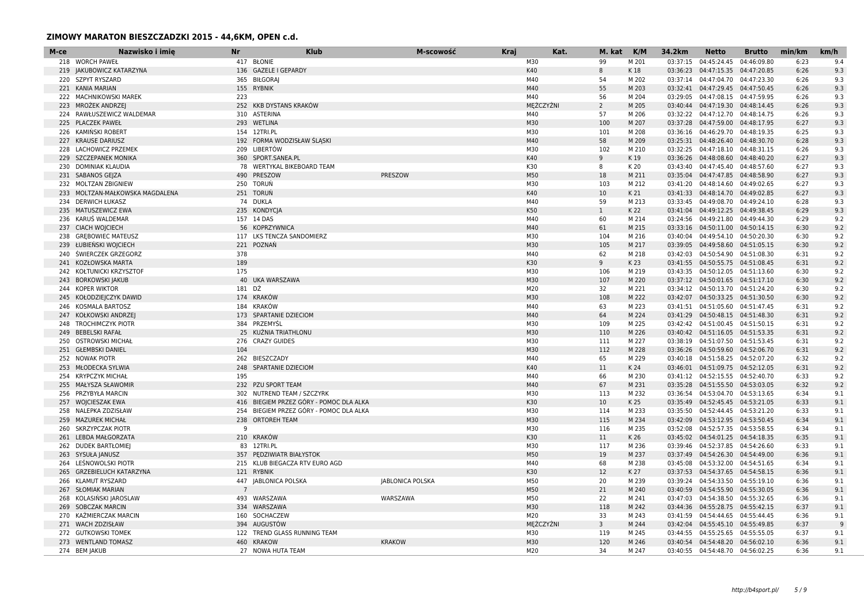| 417 BŁONIE<br>M30<br>99<br>M 201<br>04:45:24.45<br>04:46:09.80<br>9.4<br>218 WORCH PAWEŁ<br>03:37:15<br>6:23<br>136 GAZELE I GEPARDY<br>K40<br>8<br>6:26<br>9.3<br>219 JAKUBOWICZ KATARZYNA<br>K 18<br>03:36:23  04:47:15.35  04:47:20.85<br>220 SZPYT RYSZARD<br>365 BIŁGORAJ<br>M40<br>M 202<br>03:37:14 04:47:04.70 04:47:23.30<br>6:26<br>9.3<br>54<br>M40<br>55<br>9.3<br>221 KANIA MARIAN<br>155 RYBNIK<br>M 203<br>03:32:41  04:47:29.45  04:47:50.45<br>6:26<br>222 MACHNIKOWSKI MAREK<br>M40<br>03:29:05  04:47:08.15  04:47:59.95<br>9.3<br>223<br>56<br>M 204<br>6:26<br>MĘŻCZYŹNI<br>MROŻEK ANDRZEJ<br>252 KKB DYSTANS KRAKÓW<br>$\overline{2}$<br>M 205<br>03:40:44  04:47:19.30  04:48:14.45<br>6:26<br>9.3<br>223<br>RAWŁUSZEWICZ WALDEMAR<br>310 ASTERINA<br>M40<br>57<br>M 206<br>03:32:22  04:47:12.70  04:48:14.75<br>6:26<br>9.3<br>224<br>M30<br>03:37:28  04:47:59.00  04:48:17.95<br>6:27<br>9.3<br>225 PLACZEK PAWEŁ<br>293 WETLINA<br>100<br>M 207<br>M30<br>226 KAMINSKI ROBERT<br>154 12TRI.PL<br>101<br>M 208<br>03:36:16  04:46:29.70  04:48:19.35<br>6:25<br>9.3<br>192 FORMA WODZISŁAW ŚLASKI<br>M40<br>58<br>6:28<br>9.3<br>227<br><b>KRAUSE DARIUSZ</b><br>M 209<br>03:25:31  04:48:26.40  04:48:30.70<br>M30<br>209 LIBERTÓW<br>9.3<br>228 LACHOWICZ PRZEMEK<br>102<br>M 210<br>03:32:25  04:47:18.10  04:48:31.15<br>6:26<br>229 SZCZEPANEK MONIKA<br>360 SPORT.SANEA.PL<br>K40<br>9<br>03:36:26 04:48:08.60 04:48:40.20<br>6:27<br>9.3<br>K 19<br>78 WERTYKAL BIKEBOARD TEAM<br>K30<br>DOMINIAK KLAUDIA<br>8<br>K 20<br>03:43:40  04:47:45.40  04:48:57.60<br>6:27<br>9.3<br>230<br>PRESZOW<br>M50<br>18<br>6:27<br>9.3<br>231 SABANOS GEJZA<br>490 PRESZOW<br>M 211<br>03:35:04  04:47:47.85  04:48:58.90<br>232 MOLTZAN ZBIGNIEW<br>250 TORUŃ<br>M30<br>M 212<br>03:41:20  04:48:14.60  04:49:02.65<br>9.3<br>103<br>6:27<br>251 TORUŃ<br>K40<br>9.3<br>233 MOLTZAN-MAŁKOWSKA MAGDALENA<br>10<br>K 21<br>03:41:33  04:48:14.70  04:49:02.85<br>6:27<br>74 DUKLA<br><b>DERWICH ŁUKASZ</b><br>M40<br>59<br>M 213<br>03:33:45  04:49:08.70  04:49:24.10<br>6:28<br>9.3<br>234<br>K50<br>235 KONDYCIA<br>9.3<br>235 MATUSZEWICZ EWA<br>$\mathbf{1}$<br>K 22<br>03:41:04  04:49:12.25  04:49:38.45<br>6:29<br>M40<br>9.2<br>236 KARUS WALDEMAR<br>157 14 DAS<br>60<br>M 214<br>03:24:56 04:49:21.80 04:49:44.30<br>6:29<br>M40<br>9.2<br>237 CIACH WOJCIECH<br>56 KOPRZYWNICA<br>61<br>M 215<br>03:33:16  04:50:11.00  04:50:14.15<br>6:30<br>238 GREBOWIEC MATEUSZ<br>117 LKS TENCZA SANDOMIERZ<br>M30<br>104<br>M 216<br>03:40:04  04:49:54.10  04:50:20.30<br>6:30<br>9.2<br>M30<br>239 ŁUBIEŃSKI WOJCIECH<br>221 POZNAŃ<br>105<br>M 217<br>03:39:05  04:49:58.60  04:51:05.15<br>6:30<br>9.2<br>M40<br>240 ŚWIERCZEK GRZEGORZ<br>378<br>62<br>M 218<br>03:42:03  04:50:54.90  04:51:08.30<br>6:31<br>9.2<br>189<br>K30<br>241 KOZŁOWSKA MARTA<br>9<br>K 23<br>03:41:55  04:50:55.75  04:51:08.45<br>6:31<br>9.2<br>175<br>M30<br>242 KOŁTUNICKI KRZYSZTOF<br>M 219<br>03:43:35  04:50:12.05  04:51:13.60<br>6:30<br>9.2<br>106<br>M30<br>40 UKA WARSZAWA<br>9.2<br><b>BORKOWSKI JAKUB</b><br>107<br>M 220<br>03:37:12  04:50:01.65  04:51:17.10<br>6:30<br>243<br>181 DŹ<br>M20<br><b>KOPER WIKTOR</b><br>32<br>M 221<br>03:34:12  04:50:13.70  04:51:24.20<br>6:30<br>9.2<br>244<br>M30<br>174 KRAKÓW<br>108<br>M 222<br>6:30<br>9.2<br>245 KOŁODZIEJCZYK DAWID<br>03:42:07  04:50:33.25  04:51:30.50<br>KOSMALA BARTOSZ<br>184 KRAKÓW<br>M40<br>63<br>M 223<br>03:41:51  04:51:05.60  04:51:47.45<br>9.2<br>6:31<br>246<br>173 SPARTANIE DZIECIOM<br>M40<br>247 KOŁKOWSKI ANDRZEJ<br>64<br>M 224<br>03:41:29  04:50:48.15  04:51:48.30<br>6:31<br>9.2<br>384 PRZEMYŚL<br>M30<br>248 TROCHIMCZYK PIOTR<br>109<br>M 225<br>03:42:42  04:51:00.45  04:51:50.15<br>6:31<br>9.2<br>M30<br>249 BEBELSKI RAFAŁ<br>25 KUŹNIA TRIATHLONU<br>110<br>M 226<br>6:31<br>9.2<br>03:40:42  04:51:16.05  04:51:53.35<br>276 CRAZY GUIDES<br>M30<br>M 227<br>250 OSTROWSKI MICHAŁ<br>111<br>03:38:19  04:51:07.50  04:51:53.45<br>6:31<br>9.2<br>M30<br>9.2<br>251 GŁEMBSKI DANIEL<br>104<br>112<br>M 228<br>03:36:26  04:50:59.60  04:52:06.70<br>6:31<br>262 BIESZCZADY<br>M40<br>65<br>M 229<br>9.2<br>252<br>NOWAK PIOTR<br>03:40:18  04:51:58.25  04:52:07.20<br>6:32<br>K40<br>11<br>9.2<br>253 MŁODECKA SYLWIA<br>248 SPARTANIE DZIECIOM<br>K 24<br>03:46:01  04:51:09.75  04:52:12.05<br>6:31<br>M40<br>254 KRYPCZYK MICHAŁ<br>195<br>66<br>M 230<br>03:41:12  04:52:15.55  04:52:40.70<br>6:33<br>9.2<br><b>MAŁYSZA SŁAWOMIR</b><br>232 PZU SPORT TEAM<br>M40<br>67<br>M 231<br>03:35:28  04:51:55.50  04:53:03.05<br>6:32<br>9.2<br>255<br>PRZYBYŁA MARCIN<br>302 NUTREND TEAM / SZCZYRK<br>M30<br>113<br>M 232<br>03:36:54  04:53:04.70  04:53:13.65<br>6:34<br>9.1<br>256<br>K30<br>257 WOJCIESZAK EWA<br>416 BIEGIEM PRZEZ GÓRY - POMOC DLA ALKA<br>10<br>K 25<br>03:35:49  04:52:45.45  04:53:21.05<br>6:33<br>9.1<br>254 BIEGIEM PRZEZ GÓRY - POMOC DLA ALKA<br>M30<br>M 233<br>258 NALEPKA ZDZISŁAW<br>114<br>03:35:50  04:52:44.45  04:53:21.20<br>6:33<br>9.1<br>M30<br><b>MAZUREK MICHAŁ</b><br>238<br><b>ORTOREH TEAM</b><br>115<br>M 234<br>03:42:09  04:53:12.95  04:53:50.45<br>6:34<br>9.1<br>259<br>9<br>M30<br>M 235<br>6:34<br>9.1<br>260 SKRZYPCZAK PIOTR<br>116<br>03:52:08  04:52:57.35  04:53:58.55<br>210 KRAKÓW<br>K30<br>261 LEBDA MAŁGORZATA<br>6:35<br>9.1<br>11<br>K 26<br>03:45:02  04:54:01.25  04:54:18.35<br>M30<br>262 DUDEK BARTŁOMIEJ<br>83 12TRI.PL<br>117<br>M 236<br>03:39:46 04:52:37.85 04:54:26.60<br>6:33<br>9.1<br>M50<br>263 SYSUŁA JANUSZ<br>357 PEDZIWIATR BIAŁYSTOK<br>19<br>M 237<br>03:37:49  04:54:26.30  04:54:49.00<br>6:36<br>9.1<br>264 LEŚNOWOLSKI PIOTR<br>215 KLUB BIEGACZA RTV EURO AGD<br>M40<br>9.1<br>68<br>M 238<br>03:45:08  04:53:32.00  04:54:51.65<br>6:34<br>K30<br>265 GRZEBIELUCH KATARZYNA<br>121 RYBNIK<br>12<br>K 27<br>03:37:53  04:54:37.65  04:54:58.15<br>6:36<br>9.1<br><b>KLAMUT RYSZARD</b><br>447 JABLONICA POLSKA<br><b>JABLONICA POLSKA</b><br>M50<br>20<br>M 239<br>03:39:24  04:54:33.50  04:55:19.10<br>6:36<br>9.1<br>266<br>267 SŁOMIAK MARIAN<br>M50<br>21<br>M 240<br>6:36<br>9.1<br>$\overline{7}$<br>03:40:59  04:54:55.90  04:55:30.05<br>M50<br>268 KOLASINSKI JAROSLAW<br>493 WARSZAWA<br>WARSZAWA<br>22<br>M 241<br>03:47:03  04:54:38.50  04:55:32.65<br>6:36<br>9.1<br>M30<br>118<br>9.1<br>269 SOBCZAK MARCIN<br>334 WARSZAWA<br>M 242<br>03:44:36 04:55:28.75 04:55:42.15<br>6:37<br>160 SOCHACZEW<br>M20<br>KAŻMIERCZAK MARCIN<br>33<br>M 243<br>03:41:59  04:54:44.65  04:55:44.45<br>6:36<br>9.1<br>270<br>MEŻCZYŹNI<br>271 WACH ZDZISŁAW<br>394 AUGUSTÓW<br>$\overline{3}$<br>M 244<br>03:42:04  04:55:45.10  04:55:49.85<br>6:37<br>-9<br>272 GUTKOWSKI TOMEK<br>122 TREND GLASS RUNNING TEAM<br>M30<br>119<br>M 245<br>03:44:55  04:55:25.65  04:55:55.05<br>6:37<br>9.1<br>273 WENTLAND TOMASZ<br>460 KRAKOW<br><b>KRAKOW</b><br>M30<br>120<br>6:36<br>9.1<br>M 246<br>03:40:54  04:54:48.20  04:56:02.10<br>M20<br>274 BEM JAKUB<br>27 NOWA HUTA TEAM<br>34<br>M 247<br>03:40:55  04:54:48.70  04:56:02.25<br>6:36<br>9.1 | M-ce | Nazwisko i imie | <b>Nr</b> | <b>Klub</b> | M-scowość | <b>Kraj</b> | Kat. | M. kat | K/M | 34.2km | <b>Netto</b> | <b>Brutto</b> | min/km | km/h |
|---------------------------------------------------------------------------------------------------------------------------------------------------------------------------------------------------------------------------------------------------------------------------------------------------------------------------------------------------------------------------------------------------------------------------------------------------------------------------------------------------------------------------------------------------------------------------------------------------------------------------------------------------------------------------------------------------------------------------------------------------------------------------------------------------------------------------------------------------------------------------------------------------------------------------------------------------------------------------------------------------------------------------------------------------------------------------------------------------------------------------------------------------------------------------------------------------------------------------------------------------------------------------------------------------------------------------------------------------------------------------------------------------------------------------------------------------------------------------------------------------------------------------------------------------------------------------------------------------------------------------------------------------------------------------------------------------------------------------------------------------------------------------------------------------------------------------------------------------------------------------------------------------------------------------------------------------------------------------------------------------------------------------------------------------------------------------------------------------------------------------------------------------------------------------------------------------------------------------------------------------------------------------------------------------------------------------------------------------------------------------------------------------------------------------------------------------------------------------------------------------------------------------------------------------------------------------------------------------------------------------------------------------------------------------------------------------------------------------------------------------------------------------------------------------------------------------------------------------------------------------------------------------------------------------------------------------------------------------------------------------------------------------------------------------------------------------------------------------------------------------------------------------------------------------------------------------------------------------------------------------------------------------------------------------------------------------------------------------------------------------------------------------------------------------------------------------------------------------------------------------------------------------------------------------------------------------------------------------------------------------------------------------------------------------------------------------------------------------------------------------------------------------------------------------------------------------------------------------------------------------------------------------------------------------------------------------------------------------------------------------------------------------------------------------------------------------------------------------------------------------------------------------------------------------------------------------------------------------------------------------------------------------------------------------------------------------------------------------------------------------------------------------------------------------------------------------------------------------------------------------------------------------------------------------------------------------------------------------------------------------------------------------------------------------------------------------------------------------------------------------------------------------------------------------------------------------------------------------------------------------------------------------------------------------------------------------------------------------------------------------------------------------------------------------------------------------------------------------------------------------------------------------------------------------------------------------------------------------------------------------------------------------------------------------------------------------------------------------------------------------------------------------------------------------------------------------------------------------------------------------------------------------------------------------------------------------------------------------------------------------------------------------------------------------------------------------------------------------------------------------------------------------------------------------------------------------------------------------------------------------------------------------------------------------------------------------------------------------------------------------------------------------------------------------------------------------------------------------------------------------------------------------------------------------------------------------------------------------------------------------------------------------------------------------------------------------------------------------------------------------------------------------------------------------------------------------------------------------------------------------------------------------------------------------------------------------------------------------------------------------------------------------------------------------------------------------------------------------------------------------------------------------------------------------------------------------------------------------------------------------------------------------------------------------------------------------------------------------------------------------------------------------------------------------------------------------------------------------------------------------------------------------------------------|------|-----------------|-----------|-------------|-----------|-------------|------|--------|-----|--------|--------------|---------------|--------|------|
|                                                                                                                                                                                                                                                                                                                                                                                                                                                                                                                                                                                                                                                                                                                                                                                                                                                                                                                                                                                                                                                                                                                                                                                                                                                                                                                                                                                                                                                                                                                                                                                                                                                                                                                                                                                                                                                                                                                                                                                                                                                                                                                                                                                                                                                                                                                                                                                                                                                                                                                                                                                                                                                                                                                                                                                                                                                                                                                                                                                                                                                                                                                                                                                                                                                                                                                                                                                                                                                                                                                                                                                                                                                                                                                                                                                                                                                                                                                                                                                                                                                                                                                                                                                                                                                                                                                                                                                                                                                                                                                                                                                                                                                                                                                                                                                                                                                                                                                                                                                                                                                                                                                                                                                                                                                                                                                                                                                                                                                                                                                                                                                                                                                                                                                                                                                                                                                                                                                                                                                                                                                                                                                                                                                                                                                                                                                                                                                                                                                                                                                                                                                                                                                                                                                                                                                                                                                                                                                                                                                                                                                                                                                                                                     |      |                 |           |             |           |             |      |        |     |        |              |               |        |      |
|                                                                                                                                                                                                                                                                                                                                                                                                                                                                                                                                                                                                                                                                                                                                                                                                                                                                                                                                                                                                                                                                                                                                                                                                                                                                                                                                                                                                                                                                                                                                                                                                                                                                                                                                                                                                                                                                                                                                                                                                                                                                                                                                                                                                                                                                                                                                                                                                                                                                                                                                                                                                                                                                                                                                                                                                                                                                                                                                                                                                                                                                                                                                                                                                                                                                                                                                                                                                                                                                                                                                                                                                                                                                                                                                                                                                                                                                                                                                                                                                                                                                                                                                                                                                                                                                                                                                                                                                                                                                                                                                                                                                                                                                                                                                                                                                                                                                                                                                                                                                                                                                                                                                                                                                                                                                                                                                                                                                                                                                                                                                                                                                                                                                                                                                                                                                                                                                                                                                                                                                                                                                                                                                                                                                                                                                                                                                                                                                                                                                                                                                                                                                                                                                                                                                                                                                                                                                                                                                                                                                                                                                                                                                                                     |      |                 |           |             |           |             |      |        |     |        |              |               |        |      |
|                                                                                                                                                                                                                                                                                                                                                                                                                                                                                                                                                                                                                                                                                                                                                                                                                                                                                                                                                                                                                                                                                                                                                                                                                                                                                                                                                                                                                                                                                                                                                                                                                                                                                                                                                                                                                                                                                                                                                                                                                                                                                                                                                                                                                                                                                                                                                                                                                                                                                                                                                                                                                                                                                                                                                                                                                                                                                                                                                                                                                                                                                                                                                                                                                                                                                                                                                                                                                                                                                                                                                                                                                                                                                                                                                                                                                                                                                                                                                                                                                                                                                                                                                                                                                                                                                                                                                                                                                                                                                                                                                                                                                                                                                                                                                                                                                                                                                                                                                                                                                                                                                                                                                                                                                                                                                                                                                                                                                                                                                                                                                                                                                                                                                                                                                                                                                                                                                                                                                                                                                                                                                                                                                                                                                                                                                                                                                                                                                                                                                                                                                                                                                                                                                                                                                                                                                                                                                                                                                                                                                                                                                                                                                                     |      |                 |           |             |           |             |      |        |     |        |              |               |        |      |
|                                                                                                                                                                                                                                                                                                                                                                                                                                                                                                                                                                                                                                                                                                                                                                                                                                                                                                                                                                                                                                                                                                                                                                                                                                                                                                                                                                                                                                                                                                                                                                                                                                                                                                                                                                                                                                                                                                                                                                                                                                                                                                                                                                                                                                                                                                                                                                                                                                                                                                                                                                                                                                                                                                                                                                                                                                                                                                                                                                                                                                                                                                                                                                                                                                                                                                                                                                                                                                                                                                                                                                                                                                                                                                                                                                                                                                                                                                                                                                                                                                                                                                                                                                                                                                                                                                                                                                                                                                                                                                                                                                                                                                                                                                                                                                                                                                                                                                                                                                                                                                                                                                                                                                                                                                                                                                                                                                                                                                                                                                                                                                                                                                                                                                                                                                                                                                                                                                                                                                                                                                                                                                                                                                                                                                                                                                                                                                                                                                                                                                                                                                                                                                                                                                                                                                                                                                                                                                                                                                                                                                                                                                                                                                     |      |                 |           |             |           |             |      |        |     |        |              |               |        |      |
|                                                                                                                                                                                                                                                                                                                                                                                                                                                                                                                                                                                                                                                                                                                                                                                                                                                                                                                                                                                                                                                                                                                                                                                                                                                                                                                                                                                                                                                                                                                                                                                                                                                                                                                                                                                                                                                                                                                                                                                                                                                                                                                                                                                                                                                                                                                                                                                                                                                                                                                                                                                                                                                                                                                                                                                                                                                                                                                                                                                                                                                                                                                                                                                                                                                                                                                                                                                                                                                                                                                                                                                                                                                                                                                                                                                                                                                                                                                                                                                                                                                                                                                                                                                                                                                                                                                                                                                                                                                                                                                                                                                                                                                                                                                                                                                                                                                                                                                                                                                                                                                                                                                                                                                                                                                                                                                                                                                                                                                                                                                                                                                                                                                                                                                                                                                                                                                                                                                                                                                                                                                                                                                                                                                                                                                                                                                                                                                                                                                                                                                                                                                                                                                                                                                                                                                                                                                                                                                                                                                                                                                                                                                                                                     |      |                 |           |             |           |             |      |        |     |        |              |               |        |      |
|                                                                                                                                                                                                                                                                                                                                                                                                                                                                                                                                                                                                                                                                                                                                                                                                                                                                                                                                                                                                                                                                                                                                                                                                                                                                                                                                                                                                                                                                                                                                                                                                                                                                                                                                                                                                                                                                                                                                                                                                                                                                                                                                                                                                                                                                                                                                                                                                                                                                                                                                                                                                                                                                                                                                                                                                                                                                                                                                                                                                                                                                                                                                                                                                                                                                                                                                                                                                                                                                                                                                                                                                                                                                                                                                                                                                                                                                                                                                                                                                                                                                                                                                                                                                                                                                                                                                                                                                                                                                                                                                                                                                                                                                                                                                                                                                                                                                                                                                                                                                                                                                                                                                                                                                                                                                                                                                                                                                                                                                                                                                                                                                                                                                                                                                                                                                                                                                                                                                                                                                                                                                                                                                                                                                                                                                                                                                                                                                                                                                                                                                                                                                                                                                                                                                                                                                                                                                                                                                                                                                                                                                                                                                                                     |      |                 |           |             |           |             |      |        |     |        |              |               |        |      |
|                                                                                                                                                                                                                                                                                                                                                                                                                                                                                                                                                                                                                                                                                                                                                                                                                                                                                                                                                                                                                                                                                                                                                                                                                                                                                                                                                                                                                                                                                                                                                                                                                                                                                                                                                                                                                                                                                                                                                                                                                                                                                                                                                                                                                                                                                                                                                                                                                                                                                                                                                                                                                                                                                                                                                                                                                                                                                                                                                                                                                                                                                                                                                                                                                                                                                                                                                                                                                                                                                                                                                                                                                                                                                                                                                                                                                                                                                                                                                                                                                                                                                                                                                                                                                                                                                                                                                                                                                                                                                                                                                                                                                                                                                                                                                                                                                                                                                                                                                                                                                                                                                                                                                                                                                                                                                                                                                                                                                                                                                                                                                                                                                                                                                                                                                                                                                                                                                                                                                                                                                                                                                                                                                                                                                                                                                                                                                                                                                                                                                                                                                                                                                                                                                                                                                                                                                                                                                                                                                                                                                                                                                                                                                                     |      |                 |           |             |           |             |      |        |     |        |              |               |        |      |
|                                                                                                                                                                                                                                                                                                                                                                                                                                                                                                                                                                                                                                                                                                                                                                                                                                                                                                                                                                                                                                                                                                                                                                                                                                                                                                                                                                                                                                                                                                                                                                                                                                                                                                                                                                                                                                                                                                                                                                                                                                                                                                                                                                                                                                                                                                                                                                                                                                                                                                                                                                                                                                                                                                                                                                                                                                                                                                                                                                                                                                                                                                                                                                                                                                                                                                                                                                                                                                                                                                                                                                                                                                                                                                                                                                                                                                                                                                                                                                                                                                                                                                                                                                                                                                                                                                                                                                                                                                                                                                                                                                                                                                                                                                                                                                                                                                                                                                                                                                                                                                                                                                                                                                                                                                                                                                                                                                                                                                                                                                                                                                                                                                                                                                                                                                                                                                                                                                                                                                                                                                                                                                                                                                                                                                                                                                                                                                                                                                                                                                                                                                                                                                                                                                                                                                                                                                                                                                                                                                                                                                                                                                                                                                     |      |                 |           |             |           |             |      |        |     |        |              |               |        |      |
|                                                                                                                                                                                                                                                                                                                                                                                                                                                                                                                                                                                                                                                                                                                                                                                                                                                                                                                                                                                                                                                                                                                                                                                                                                                                                                                                                                                                                                                                                                                                                                                                                                                                                                                                                                                                                                                                                                                                                                                                                                                                                                                                                                                                                                                                                                                                                                                                                                                                                                                                                                                                                                                                                                                                                                                                                                                                                                                                                                                                                                                                                                                                                                                                                                                                                                                                                                                                                                                                                                                                                                                                                                                                                                                                                                                                                                                                                                                                                                                                                                                                                                                                                                                                                                                                                                                                                                                                                                                                                                                                                                                                                                                                                                                                                                                                                                                                                                                                                                                                                                                                                                                                                                                                                                                                                                                                                                                                                                                                                                                                                                                                                                                                                                                                                                                                                                                                                                                                                                                                                                                                                                                                                                                                                                                                                                                                                                                                                                                                                                                                                                                                                                                                                                                                                                                                                                                                                                                                                                                                                                                                                                                                                                     |      |                 |           |             |           |             |      |        |     |        |              |               |        |      |
|                                                                                                                                                                                                                                                                                                                                                                                                                                                                                                                                                                                                                                                                                                                                                                                                                                                                                                                                                                                                                                                                                                                                                                                                                                                                                                                                                                                                                                                                                                                                                                                                                                                                                                                                                                                                                                                                                                                                                                                                                                                                                                                                                                                                                                                                                                                                                                                                                                                                                                                                                                                                                                                                                                                                                                                                                                                                                                                                                                                                                                                                                                                                                                                                                                                                                                                                                                                                                                                                                                                                                                                                                                                                                                                                                                                                                                                                                                                                                                                                                                                                                                                                                                                                                                                                                                                                                                                                                                                                                                                                                                                                                                                                                                                                                                                                                                                                                                                                                                                                                                                                                                                                                                                                                                                                                                                                                                                                                                                                                                                                                                                                                                                                                                                                                                                                                                                                                                                                                                                                                                                                                                                                                                                                                                                                                                                                                                                                                                                                                                                                                                                                                                                                                                                                                                                                                                                                                                                                                                                                                                                                                                                                                                     |      |                 |           |             |           |             |      |        |     |        |              |               |        |      |
|                                                                                                                                                                                                                                                                                                                                                                                                                                                                                                                                                                                                                                                                                                                                                                                                                                                                                                                                                                                                                                                                                                                                                                                                                                                                                                                                                                                                                                                                                                                                                                                                                                                                                                                                                                                                                                                                                                                                                                                                                                                                                                                                                                                                                                                                                                                                                                                                                                                                                                                                                                                                                                                                                                                                                                                                                                                                                                                                                                                                                                                                                                                                                                                                                                                                                                                                                                                                                                                                                                                                                                                                                                                                                                                                                                                                                                                                                                                                                                                                                                                                                                                                                                                                                                                                                                                                                                                                                                                                                                                                                                                                                                                                                                                                                                                                                                                                                                                                                                                                                                                                                                                                                                                                                                                                                                                                                                                                                                                                                                                                                                                                                                                                                                                                                                                                                                                                                                                                                                                                                                                                                                                                                                                                                                                                                                                                                                                                                                                                                                                                                                                                                                                                                                                                                                                                                                                                                                                                                                                                                                                                                                                                                                     |      |                 |           |             |           |             |      |        |     |        |              |               |        |      |
|                                                                                                                                                                                                                                                                                                                                                                                                                                                                                                                                                                                                                                                                                                                                                                                                                                                                                                                                                                                                                                                                                                                                                                                                                                                                                                                                                                                                                                                                                                                                                                                                                                                                                                                                                                                                                                                                                                                                                                                                                                                                                                                                                                                                                                                                                                                                                                                                                                                                                                                                                                                                                                                                                                                                                                                                                                                                                                                                                                                                                                                                                                                                                                                                                                                                                                                                                                                                                                                                                                                                                                                                                                                                                                                                                                                                                                                                                                                                                                                                                                                                                                                                                                                                                                                                                                                                                                                                                                                                                                                                                                                                                                                                                                                                                                                                                                                                                                                                                                                                                                                                                                                                                                                                                                                                                                                                                                                                                                                                                                                                                                                                                                                                                                                                                                                                                                                                                                                                                                                                                                                                                                                                                                                                                                                                                                                                                                                                                                                                                                                                                                                                                                                                                                                                                                                                                                                                                                                                                                                                                                                                                                                                                                     |      |                 |           |             |           |             |      |        |     |        |              |               |        |      |
|                                                                                                                                                                                                                                                                                                                                                                                                                                                                                                                                                                                                                                                                                                                                                                                                                                                                                                                                                                                                                                                                                                                                                                                                                                                                                                                                                                                                                                                                                                                                                                                                                                                                                                                                                                                                                                                                                                                                                                                                                                                                                                                                                                                                                                                                                                                                                                                                                                                                                                                                                                                                                                                                                                                                                                                                                                                                                                                                                                                                                                                                                                                                                                                                                                                                                                                                                                                                                                                                                                                                                                                                                                                                                                                                                                                                                                                                                                                                                                                                                                                                                                                                                                                                                                                                                                                                                                                                                                                                                                                                                                                                                                                                                                                                                                                                                                                                                                                                                                                                                                                                                                                                                                                                                                                                                                                                                                                                                                                                                                                                                                                                                                                                                                                                                                                                                                                                                                                                                                                                                                                                                                                                                                                                                                                                                                                                                                                                                                                                                                                                                                                                                                                                                                                                                                                                                                                                                                                                                                                                                                                                                                                                                                     |      |                 |           |             |           |             |      |        |     |        |              |               |        |      |
|                                                                                                                                                                                                                                                                                                                                                                                                                                                                                                                                                                                                                                                                                                                                                                                                                                                                                                                                                                                                                                                                                                                                                                                                                                                                                                                                                                                                                                                                                                                                                                                                                                                                                                                                                                                                                                                                                                                                                                                                                                                                                                                                                                                                                                                                                                                                                                                                                                                                                                                                                                                                                                                                                                                                                                                                                                                                                                                                                                                                                                                                                                                                                                                                                                                                                                                                                                                                                                                                                                                                                                                                                                                                                                                                                                                                                                                                                                                                                                                                                                                                                                                                                                                                                                                                                                                                                                                                                                                                                                                                                                                                                                                                                                                                                                                                                                                                                                                                                                                                                                                                                                                                                                                                                                                                                                                                                                                                                                                                                                                                                                                                                                                                                                                                                                                                                                                                                                                                                                                                                                                                                                                                                                                                                                                                                                                                                                                                                                                                                                                                                                                                                                                                                                                                                                                                                                                                                                                                                                                                                                                                                                                                                                     |      |                 |           |             |           |             |      |        |     |        |              |               |        |      |
|                                                                                                                                                                                                                                                                                                                                                                                                                                                                                                                                                                                                                                                                                                                                                                                                                                                                                                                                                                                                                                                                                                                                                                                                                                                                                                                                                                                                                                                                                                                                                                                                                                                                                                                                                                                                                                                                                                                                                                                                                                                                                                                                                                                                                                                                                                                                                                                                                                                                                                                                                                                                                                                                                                                                                                                                                                                                                                                                                                                                                                                                                                                                                                                                                                                                                                                                                                                                                                                                                                                                                                                                                                                                                                                                                                                                                                                                                                                                                                                                                                                                                                                                                                                                                                                                                                                                                                                                                                                                                                                                                                                                                                                                                                                                                                                                                                                                                                                                                                                                                                                                                                                                                                                                                                                                                                                                                                                                                                                                                                                                                                                                                                                                                                                                                                                                                                                                                                                                                                                                                                                                                                                                                                                                                                                                                                                                                                                                                                                                                                                                                                                                                                                                                                                                                                                                                                                                                                                                                                                                                                                                                                                                                                     |      |                 |           |             |           |             |      |        |     |        |              |               |        |      |
|                                                                                                                                                                                                                                                                                                                                                                                                                                                                                                                                                                                                                                                                                                                                                                                                                                                                                                                                                                                                                                                                                                                                                                                                                                                                                                                                                                                                                                                                                                                                                                                                                                                                                                                                                                                                                                                                                                                                                                                                                                                                                                                                                                                                                                                                                                                                                                                                                                                                                                                                                                                                                                                                                                                                                                                                                                                                                                                                                                                                                                                                                                                                                                                                                                                                                                                                                                                                                                                                                                                                                                                                                                                                                                                                                                                                                                                                                                                                                                                                                                                                                                                                                                                                                                                                                                                                                                                                                                                                                                                                                                                                                                                                                                                                                                                                                                                                                                                                                                                                                                                                                                                                                                                                                                                                                                                                                                                                                                                                                                                                                                                                                                                                                                                                                                                                                                                                                                                                                                                                                                                                                                                                                                                                                                                                                                                                                                                                                                                                                                                                                                                                                                                                                                                                                                                                                                                                                                                                                                                                                                                                                                                                                                     |      |                 |           |             |           |             |      |        |     |        |              |               |        |      |
|                                                                                                                                                                                                                                                                                                                                                                                                                                                                                                                                                                                                                                                                                                                                                                                                                                                                                                                                                                                                                                                                                                                                                                                                                                                                                                                                                                                                                                                                                                                                                                                                                                                                                                                                                                                                                                                                                                                                                                                                                                                                                                                                                                                                                                                                                                                                                                                                                                                                                                                                                                                                                                                                                                                                                                                                                                                                                                                                                                                                                                                                                                                                                                                                                                                                                                                                                                                                                                                                                                                                                                                                                                                                                                                                                                                                                                                                                                                                                                                                                                                                                                                                                                                                                                                                                                                                                                                                                                                                                                                                                                                                                                                                                                                                                                                                                                                                                                                                                                                                                                                                                                                                                                                                                                                                                                                                                                                                                                                                                                                                                                                                                                                                                                                                                                                                                                                                                                                                                                                                                                                                                                                                                                                                                                                                                                                                                                                                                                                                                                                                                                                                                                                                                                                                                                                                                                                                                                                                                                                                                                                                                                                                                                     |      |                 |           |             |           |             |      |        |     |        |              |               |        |      |
|                                                                                                                                                                                                                                                                                                                                                                                                                                                                                                                                                                                                                                                                                                                                                                                                                                                                                                                                                                                                                                                                                                                                                                                                                                                                                                                                                                                                                                                                                                                                                                                                                                                                                                                                                                                                                                                                                                                                                                                                                                                                                                                                                                                                                                                                                                                                                                                                                                                                                                                                                                                                                                                                                                                                                                                                                                                                                                                                                                                                                                                                                                                                                                                                                                                                                                                                                                                                                                                                                                                                                                                                                                                                                                                                                                                                                                                                                                                                                                                                                                                                                                                                                                                                                                                                                                                                                                                                                                                                                                                                                                                                                                                                                                                                                                                                                                                                                                                                                                                                                                                                                                                                                                                                                                                                                                                                                                                                                                                                                                                                                                                                                                                                                                                                                                                                                                                                                                                                                                                                                                                                                                                                                                                                                                                                                                                                                                                                                                                                                                                                                                                                                                                                                                                                                                                                                                                                                                                                                                                                                                                                                                                                                                     |      |                 |           |             |           |             |      |        |     |        |              |               |        |      |
|                                                                                                                                                                                                                                                                                                                                                                                                                                                                                                                                                                                                                                                                                                                                                                                                                                                                                                                                                                                                                                                                                                                                                                                                                                                                                                                                                                                                                                                                                                                                                                                                                                                                                                                                                                                                                                                                                                                                                                                                                                                                                                                                                                                                                                                                                                                                                                                                                                                                                                                                                                                                                                                                                                                                                                                                                                                                                                                                                                                                                                                                                                                                                                                                                                                                                                                                                                                                                                                                                                                                                                                                                                                                                                                                                                                                                                                                                                                                                                                                                                                                                                                                                                                                                                                                                                                                                                                                                                                                                                                                                                                                                                                                                                                                                                                                                                                                                                                                                                                                                                                                                                                                                                                                                                                                                                                                                                                                                                                                                                                                                                                                                                                                                                                                                                                                                                                                                                                                                                                                                                                                                                                                                                                                                                                                                                                                                                                                                                                                                                                                                                                                                                                                                                                                                                                                                                                                                                                                                                                                                                                                                                                                                                     |      |                 |           |             |           |             |      |        |     |        |              |               |        |      |
|                                                                                                                                                                                                                                                                                                                                                                                                                                                                                                                                                                                                                                                                                                                                                                                                                                                                                                                                                                                                                                                                                                                                                                                                                                                                                                                                                                                                                                                                                                                                                                                                                                                                                                                                                                                                                                                                                                                                                                                                                                                                                                                                                                                                                                                                                                                                                                                                                                                                                                                                                                                                                                                                                                                                                                                                                                                                                                                                                                                                                                                                                                                                                                                                                                                                                                                                                                                                                                                                                                                                                                                                                                                                                                                                                                                                                                                                                                                                                                                                                                                                                                                                                                                                                                                                                                                                                                                                                                                                                                                                                                                                                                                                                                                                                                                                                                                                                                                                                                                                                                                                                                                                                                                                                                                                                                                                                                                                                                                                                                                                                                                                                                                                                                                                                                                                                                                                                                                                                                                                                                                                                                                                                                                                                                                                                                                                                                                                                                                                                                                                                                                                                                                                                                                                                                                                                                                                                                                                                                                                                                                                                                                                                                     |      |                 |           |             |           |             |      |        |     |        |              |               |        |      |
|                                                                                                                                                                                                                                                                                                                                                                                                                                                                                                                                                                                                                                                                                                                                                                                                                                                                                                                                                                                                                                                                                                                                                                                                                                                                                                                                                                                                                                                                                                                                                                                                                                                                                                                                                                                                                                                                                                                                                                                                                                                                                                                                                                                                                                                                                                                                                                                                                                                                                                                                                                                                                                                                                                                                                                                                                                                                                                                                                                                                                                                                                                                                                                                                                                                                                                                                                                                                                                                                                                                                                                                                                                                                                                                                                                                                                                                                                                                                                                                                                                                                                                                                                                                                                                                                                                                                                                                                                                                                                                                                                                                                                                                                                                                                                                                                                                                                                                                                                                                                                                                                                                                                                                                                                                                                                                                                                                                                                                                                                                                                                                                                                                                                                                                                                                                                                                                                                                                                                                                                                                                                                                                                                                                                                                                                                                                                                                                                                                                                                                                                                                                                                                                                                                                                                                                                                                                                                                                                                                                                                                                                                                                                                                     |      |                 |           |             |           |             |      |        |     |        |              |               |        |      |
|                                                                                                                                                                                                                                                                                                                                                                                                                                                                                                                                                                                                                                                                                                                                                                                                                                                                                                                                                                                                                                                                                                                                                                                                                                                                                                                                                                                                                                                                                                                                                                                                                                                                                                                                                                                                                                                                                                                                                                                                                                                                                                                                                                                                                                                                                                                                                                                                                                                                                                                                                                                                                                                                                                                                                                                                                                                                                                                                                                                                                                                                                                                                                                                                                                                                                                                                                                                                                                                                                                                                                                                                                                                                                                                                                                                                                                                                                                                                                                                                                                                                                                                                                                                                                                                                                                                                                                                                                                                                                                                                                                                                                                                                                                                                                                                                                                                                                                                                                                                                                                                                                                                                                                                                                                                                                                                                                                                                                                                                                                                                                                                                                                                                                                                                                                                                                                                                                                                                                                                                                                                                                                                                                                                                                                                                                                                                                                                                                                                                                                                                                                                                                                                                                                                                                                                                                                                                                                                                                                                                                                                                                                                                                                     |      |                 |           |             |           |             |      |        |     |        |              |               |        |      |
|                                                                                                                                                                                                                                                                                                                                                                                                                                                                                                                                                                                                                                                                                                                                                                                                                                                                                                                                                                                                                                                                                                                                                                                                                                                                                                                                                                                                                                                                                                                                                                                                                                                                                                                                                                                                                                                                                                                                                                                                                                                                                                                                                                                                                                                                                                                                                                                                                                                                                                                                                                                                                                                                                                                                                                                                                                                                                                                                                                                                                                                                                                                                                                                                                                                                                                                                                                                                                                                                                                                                                                                                                                                                                                                                                                                                                                                                                                                                                                                                                                                                                                                                                                                                                                                                                                                                                                                                                                                                                                                                                                                                                                                                                                                                                                                                                                                                                                                                                                                                                                                                                                                                                                                                                                                                                                                                                                                                                                                                                                                                                                                                                                                                                                                                                                                                                                                                                                                                                                                                                                                                                                                                                                                                                                                                                                                                                                                                                                                                                                                                                                                                                                                                                                                                                                                                                                                                                                                                                                                                                                                                                                                                                                     |      |                 |           |             |           |             |      |        |     |        |              |               |        |      |
|                                                                                                                                                                                                                                                                                                                                                                                                                                                                                                                                                                                                                                                                                                                                                                                                                                                                                                                                                                                                                                                                                                                                                                                                                                                                                                                                                                                                                                                                                                                                                                                                                                                                                                                                                                                                                                                                                                                                                                                                                                                                                                                                                                                                                                                                                                                                                                                                                                                                                                                                                                                                                                                                                                                                                                                                                                                                                                                                                                                                                                                                                                                                                                                                                                                                                                                                                                                                                                                                                                                                                                                                                                                                                                                                                                                                                                                                                                                                                                                                                                                                                                                                                                                                                                                                                                                                                                                                                                                                                                                                                                                                                                                                                                                                                                                                                                                                                                                                                                                                                                                                                                                                                                                                                                                                                                                                                                                                                                                                                                                                                                                                                                                                                                                                                                                                                                                                                                                                                                                                                                                                                                                                                                                                                                                                                                                                                                                                                                                                                                                                                                                                                                                                                                                                                                                                                                                                                                                                                                                                                                                                                                                                                                     |      |                 |           |             |           |             |      |        |     |        |              |               |        |      |
|                                                                                                                                                                                                                                                                                                                                                                                                                                                                                                                                                                                                                                                                                                                                                                                                                                                                                                                                                                                                                                                                                                                                                                                                                                                                                                                                                                                                                                                                                                                                                                                                                                                                                                                                                                                                                                                                                                                                                                                                                                                                                                                                                                                                                                                                                                                                                                                                                                                                                                                                                                                                                                                                                                                                                                                                                                                                                                                                                                                                                                                                                                                                                                                                                                                                                                                                                                                                                                                                                                                                                                                                                                                                                                                                                                                                                                                                                                                                                                                                                                                                                                                                                                                                                                                                                                                                                                                                                                                                                                                                                                                                                                                                                                                                                                                                                                                                                                                                                                                                                                                                                                                                                                                                                                                                                                                                                                                                                                                                                                                                                                                                                                                                                                                                                                                                                                                                                                                                                                                                                                                                                                                                                                                                                                                                                                                                                                                                                                                                                                                                                                                                                                                                                                                                                                                                                                                                                                                                                                                                                                                                                                                                                                     |      |                 |           |             |           |             |      |        |     |        |              |               |        |      |
|                                                                                                                                                                                                                                                                                                                                                                                                                                                                                                                                                                                                                                                                                                                                                                                                                                                                                                                                                                                                                                                                                                                                                                                                                                                                                                                                                                                                                                                                                                                                                                                                                                                                                                                                                                                                                                                                                                                                                                                                                                                                                                                                                                                                                                                                                                                                                                                                                                                                                                                                                                                                                                                                                                                                                                                                                                                                                                                                                                                                                                                                                                                                                                                                                                                                                                                                                                                                                                                                                                                                                                                                                                                                                                                                                                                                                                                                                                                                                                                                                                                                                                                                                                                                                                                                                                                                                                                                                                                                                                                                                                                                                                                                                                                                                                                                                                                                                                                                                                                                                                                                                                                                                                                                                                                                                                                                                                                                                                                                                                                                                                                                                                                                                                                                                                                                                                                                                                                                                                                                                                                                                                                                                                                                                                                                                                                                                                                                                                                                                                                                                                                                                                                                                                                                                                                                                                                                                                                                                                                                                                                                                                                                                                     |      |                 |           |             |           |             |      |        |     |        |              |               |        |      |
|                                                                                                                                                                                                                                                                                                                                                                                                                                                                                                                                                                                                                                                                                                                                                                                                                                                                                                                                                                                                                                                                                                                                                                                                                                                                                                                                                                                                                                                                                                                                                                                                                                                                                                                                                                                                                                                                                                                                                                                                                                                                                                                                                                                                                                                                                                                                                                                                                                                                                                                                                                                                                                                                                                                                                                                                                                                                                                                                                                                                                                                                                                                                                                                                                                                                                                                                                                                                                                                                                                                                                                                                                                                                                                                                                                                                                                                                                                                                                                                                                                                                                                                                                                                                                                                                                                                                                                                                                                                                                                                                                                                                                                                                                                                                                                                                                                                                                                                                                                                                                                                                                                                                                                                                                                                                                                                                                                                                                                                                                                                                                                                                                                                                                                                                                                                                                                                                                                                                                                                                                                                                                                                                                                                                                                                                                                                                                                                                                                                                                                                                                                                                                                                                                                                                                                                                                                                                                                                                                                                                                                                                                                                                                                     |      |                 |           |             |           |             |      |        |     |        |              |               |        |      |
|                                                                                                                                                                                                                                                                                                                                                                                                                                                                                                                                                                                                                                                                                                                                                                                                                                                                                                                                                                                                                                                                                                                                                                                                                                                                                                                                                                                                                                                                                                                                                                                                                                                                                                                                                                                                                                                                                                                                                                                                                                                                                                                                                                                                                                                                                                                                                                                                                                                                                                                                                                                                                                                                                                                                                                                                                                                                                                                                                                                                                                                                                                                                                                                                                                                                                                                                                                                                                                                                                                                                                                                                                                                                                                                                                                                                                                                                                                                                                                                                                                                                                                                                                                                                                                                                                                                                                                                                                                                                                                                                                                                                                                                                                                                                                                                                                                                                                                                                                                                                                                                                                                                                                                                                                                                                                                                                                                                                                                                                                                                                                                                                                                                                                                                                                                                                                                                                                                                                                                                                                                                                                                                                                                                                                                                                                                                                                                                                                                                                                                                                                                                                                                                                                                                                                                                                                                                                                                                                                                                                                                                                                                                                                                     |      |                 |           |             |           |             |      |        |     |        |              |               |        |      |
|                                                                                                                                                                                                                                                                                                                                                                                                                                                                                                                                                                                                                                                                                                                                                                                                                                                                                                                                                                                                                                                                                                                                                                                                                                                                                                                                                                                                                                                                                                                                                                                                                                                                                                                                                                                                                                                                                                                                                                                                                                                                                                                                                                                                                                                                                                                                                                                                                                                                                                                                                                                                                                                                                                                                                                                                                                                                                                                                                                                                                                                                                                                                                                                                                                                                                                                                                                                                                                                                                                                                                                                                                                                                                                                                                                                                                                                                                                                                                                                                                                                                                                                                                                                                                                                                                                                                                                                                                                                                                                                                                                                                                                                                                                                                                                                                                                                                                                                                                                                                                                                                                                                                                                                                                                                                                                                                                                                                                                                                                                                                                                                                                                                                                                                                                                                                                                                                                                                                                                                                                                                                                                                                                                                                                                                                                                                                                                                                                                                                                                                                                                                                                                                                                                                                                                                                                                                                                                                                                                                                                                                                                                                                                                     |      |                 |           |             |           |             |      |        |     |        |              |               |        |      |
|                                                                                                                                                                                                                                                                                                                                                                                                                                                                                                                                                                                                                                                                                                                                                                                                                                                                                                                                                                                                                                                                                                                                                                                                                                                                                                                                                                                                                                                                                                                                                                                                                                                                                                                                                                                                                                                                                                                                                                                                                                                                                                                                                                                                                                                                                                                                                                                                                                                                                                                                                                                                                                                                                                                                                                                                                                                                                                                                                                                                                                                                                                                                                                                                                                                                                                                                                                                                                                                                                                                                                                                                                                                                                                                                                                                                                                                                                                                                                                                                                                                                                                                                                                                                                                                                                                                                                                                                                                                                                                                                                                                                                                                                                                                                                                                                                                                                                                                                                                                                                                                                                                                                                                                                                                                                                                                                                                                                                                                                                                                                                                                                                                                                                                                                                                                                                                                                                                                                                                                                                                                                                                                                                                                                                                                                                                                                                                                                                                                                                                                                                                                                                                                                                                                                                                                                                                                                                                                                                                                                                                                                                                                                                                     |      |                 |           |             |           |             |      |        |     |        |              |               |        |      |
|                                                                                                                                                                                                                                                                                                                                                                                                                                                                                                                                                                                                                                                                                                                                                                                                                                                                                                                                                                                                                                                                                                                                                                                                                                                                                                                                                                                                                                                                                                                                                                                                                                                                                                                                                                                                                                                                                                                                                                                                                                                                                                                                                                                                                                                                                                                                                                                                                                                                                                                                                                                                                                                                                                                                                                                                                                                                                                                                                                                                                                                                                                                                                                                                                                                                                                                                                                                                                                                                                                                                                                                                                                                                                                                                                                                                                                                                                                                                                                                                                                                                                                                                                                                                                                                                                                                                                                                                                                                                                                                                                                                                                                                                                                                                                                                                                                                                                                                                                                                                                                                                                                                                                                                                                                                                                                                                                                                                                                                                                                                                                                                                                                                                                                                                                                                                                                                                                                                                                                                                                                                                                                                                                                                                                                                                                                                                                                                                                                                                                                                                                                                                                                                                                                                                                                                                                                                                                                                                                                                                                                                                                                                                                                     |      |                 |           |             |           |             |      |        |     |        |              |               |        |      |
|                                                                                                                                                                                                                                                                                                                                                                                                                                                                                                                                                                                                                                                                                                                                                                                                                                                                                                                                                                                                                                                                                                                                                                                                                                                                                                                                                                                                                                                                                                                                                                                                                                                                                                                                                                                                                                                                                                                                                                                                                                                                                                                                                                                                                                                                                                                                                                                                                                                                                                                                                                                                                                                                                                                                                                                                                                                                                                                                                                                                                                                                                                                                                                                                                                                                                                                                                                                                                                                                                                                                                                                                                                                                                                                                                                                                                                                                                                                                                                                                                                                                                                                                                                                                                                                                                                                                                                                                                                                                                                                                                                                                                                                                                                                                                                                                                                                                                                                                                                                                                                                                                                                                                                                                                                                                                                                                                                                                                                                                                                                                                                                                                                                                                                                                                                                                                                                                                                                                                                                                                                                                                                                                                                                                                                                                                                                                                                                                                                                                                                                                                                                                                                                                                                                                                                                                                                                                                                                                                                                                                                                                                                                                                                     |      |                 |           |             |           |             |      |        |     |        |              |               |        |      |
|                                                                                                                                                                                                                                                                                                                                                                                                                                                                                                                                                                                                                                                                                                                                                                                                                                                                                                                                                                                                                                                                                                                                                                                                                                                                                                                                                                                                                                                                                                                                                                                                                                                                                                                                                                                                                                                                                                                                                                                                                                                                                                                                                                                                                                                                                                                                                                                                                                                                                                                                                                                                                                                                                                                                                                                                                                                                                                                                                                                                                                                                                                                                                                                                                                                                                                                                                                                                                                                                                                                                                                                                                                                                                                                                                                                                                                                                                                                                                                                                                                                                                                                                                                                                                                                                                                                                                                                                                                                                                                                                                                                                                                                                                                                                                                                                                                                                                                                                                                                                                                                                                                                                                                                                                                                                                                                                                                                                                                                                                                                                                                                                                                                                                                                                                                                                                                                                                                                                                                                                                                                                                                                                                                                                                                                                                                                                                                                                                                                                                                                                                                                                                                                                                                                                                                                                                                                                                                                                                                                                                                                                                                                                                                     |      |                 |           |             |           |             |      |        |     |        |              |               |        |      |
|                                                                                                                                                                                                                                                                                                                                                                                                                                                                                                                                                                                                                                                                                                                                                                                                                                                                                                                                                                                                                                                                                                                                                                                                                                                                                                                                                                                                                                                                                                                                                                                                                                                                                                                                                                                                                                                                                                                                                                                                                                                                                                                                                                                                                                                                                                                                                                                                                                                                                                                                                                                                                                                                                                                                                                                                                                                                                                                                                                                                                                                                                                                                                                                                                                                                                                                                                                                                                                                                                                                                                                                                                                                                                                                                                                                                                                                                                                                                                                                                                                                                                                                                                                                                                                                                                                                                                                                                                                                                                                                                                                                                                                                                                                                                                                                                                                                                                                                                                                                                                                                                                                                                                                                                                                                                                                                                                                                                                                                                                                                                                                                                                                                                                                                                                                                                                                                                                                                                                                                                                                                                                                                                                                                                                                                                                                                                                                                                                                                                                                                                                                                                                                                                                                                                                                                                                                                                                                                                                                                                                                                                                                                                                                     |      |                 |           |             |           |             |      |        |     |        |              |               |        |      |
|                                                                                                                                                                                                                                                                                                                                                                                                                                                                                                                                                                                                                                                                                                                                                                                                                                                                                                                                                                                                                                                                                                                                                                                                                                                                                                                                                                                                                                                                                                                                                                                                                                                                                                                                                                                                                                                                                                                                                                                                                                                                                                                                                                                                                                                                                                                                                                                                                                                                                                                                                                                                                                                                                                                                                                                                                                                                                                                                                                                                                                                                                                                                                                                                                                                                                                                                                                                                                                                                                                                                                                                                                                                                                                                                                                                                                                                                                                                                                                                                                                                                                                                                                                                                                                                                                                                                                                                                                                                                                                                                                                                                                                                                                                                                                                                                                                                                                                                                                                                                                                                                                                                                                                                                                                                                                                                                                                                                                                                                                                                                                                                                                                                                                                                                                                                                                                                                                                                                                                                                                                                                                                                                                                                                                                                                                                                                                                                                                                                                                                                                                                                                                                                                                                                                                                                                                                                                                                                                                                                                                                                                                                                                                                     |      |                 |           |             |           |             |      |        |     |        |              |               |        |      |
|                                                                                                                                                                                                                                                                                                                                                                                                                                                                                                                                                                                                                                                                                                                                                                                                                                                                                                                                                                                                                                                                                                                                                                                                                                                                                                                                                                                                                                                                                                                                                                                                                                                                                                                                                                                                                                                                                                                                                                                                                                                                                                                                                                                                                                                                                                                                                                                                                                                                                                                                                                                                                                                                                                                                                                                                                                                                                                                                                                                                                                                                                                                                                                                                                                                                                                                                                                                                                                                                                                                                                                                                                                                                                                                                                                                                                                                                                                                                                                                                                                                                                                                                                                                                                                                                                                                                                                                                                                                                                                                                                                                                                                                                                                                                                                                                                                                                                                                                                                                                                                                                                                                                                                                                                                                                                                                                                                                                                                                                                                                                                                                                                                                                                                                                                                                                                                                                                                                                                                                                                                                                                                                                                                                                                                                                                                                                                                                                                                                                                                                                                                                                                                                                                                                                                                                                                                                                                                                                                                                                                                                                                                                                                                     |      |                 |           |             |           |             |      |        |     |        |              |               |        |      |
|                                                                                                                                                                                                                                                                                                                                                                                                                                                                                                                                                                                                                                                                                                                                                                                                                                                                                                                                                                                                                                                                                                                                                                                                                                                                                                                                                                                                                                                                                                                                                                                                                                                                                                                                                                                                                                                                                                                                                                                                                                                                                                                                                                                                                                                                                                                                                                                                                                                                                                                                                                                                                                                                                                                                                                                                                                                                                                                                                                                                                                                                                                                                                                                                                                                                                                                                                                                                                                                                                                                                                                                                                                                                                                                                                                                                                                                                                                                                                                                                                                                                                                                                                                                                                                                                                                                                                                                                                                                                                                                                                                                                                                                                                                                                                                                                                                                                                                                                                                                                                                                                                                                                                                                                                                                                                                                                                                                                                                                                                                                                                                                                                                                                                                                                                                                                                                                                                                                                                                                                                                                                                                                                                                                                                                                                                                                                                                                                                                                                                                                                                                                                                                                                                                                                                                                                                                                                                                                                                                                                                                                                                                                                                                     |      |                 |           |             |           |             |      |        |     |        |              |               |        |      |
|                                                                                                                                                                                                                                                                                                                                                                                                                                                                                                                                                                                                                                                                                                                                                                                                                                                                                                                                                                                                                                                                                                                                                                                                                                                                                                                                                                                                                                                                                                                                                                                                                                                                                                                                                                                                                                                                                                                                                                                                                                                                                                                                                                                                                                                                                                                                                                                                                                                                                                                                                                                                                                                                                                                                                                                                                                                                                                                                                                                                                                                                                                                                                                                                                                                                                                                                                                                                                                                                                                                                                                                                                                                                                                                                                                                                                                                                                                                                                                                                                                                                                                                                                                                                                                                                                                                                                                                                                                                                                                                                                                                                                                                                                                                                                                                                                                                                                                                                                                                                                                                                                                                                                                                                                                                                                                                                                                                                                                                                                                                                                                                                                                                                                                                                                                                                                                                                                                                                                                                                                                                                                                                                                                                                                                                                                                                                                                                                                                                                                                                                                                                                                                                                                                                                                                                                                                                                                                                                                                                                                                                                                                                                                                     |      |                 |           |             |           |             |      |        |     |        |              |               |        |      |
|                                                                                                                                                                                                                                                                                                                                                                                                                                                                                                                                                                                                                                                                                                                                                                                                                                                                                                                                                                                                                                                                                                                                                                                                                                                                                                                                                                                                                                                                                                                                                                                                                                                                                                                                                                                                                                                                                                                                                                                                                                                                                                                                                                                                                                                                                                                                                                                                                                                                                                                                                                                                                                                                                                                                                                                                                                                                                                                                                                                                                                                                                                                                                                                                                                                                                                                                                                                                                                                                                                                                                                                                                                                                                                                                                                                                                                                                                                                                                                                                                                                                                                                                                                                                                                                                                                                                                                                                                                                                                                                                                                                                                                                                                                                                                                                                                                                                                                                                                                                                                                                                                                                                                                                                                                                                                                                                                                                                                                                                                                                                                                                                                                                                                                                                                                                                                                                                                                                                                                                                                                                                                                                                                                                                                                                                                                                                                                                                                                                                                                                                                                                                                                                                                                                                                                                                                                                                                                                                                                                                                                                                                                                                                                     |      |                 |           |             |           |             |      |        |     |        |              |               |        |      |
|                                                                                                                                                                                                                                                                                                                                                                                                                                                                                                                                                                                                                                                                                                                                                                                                                                                                                                                                                                                                                                                                                                                                                                                                                                                                                                                                                                                                                                                                                                                                                                                                                                                                                                                                                                                                                                                                                                                                                                                                                                                                                                                                                                                                                                                                                                                                                                                                                                                                                                                                                                                                                                                                                                                                                                                                                                                                                                                                                                                                                                                                                                                                                                                                                                                                                                                                                                                                                                                                                                                                                                                                                                                                                                                                                                                                                                                                                                                                                                                                                                                                                                                                                                                                                                                                                                                                                                                                                                                                                                                                                                                                                                                                                                                                                                                                                                                                                                                                                                                                                                                                                                                                                                                                                                                                                                                                                                                                                                                                                                                                                                                                                                                                                                                                                                                                                                                                                                                                                                                                                                                                                                                                                                                                                                                                                                                                                                                                                                                                                                                                                                                                                                                                                                                                                                                                                                                                                                                                                                                                                                                                                                                                                                     |      |                 |           |             |           |             |      |        |     |        |              |               |        |      |
|                                                                                                                                                                                                                                                                                                                                                                                                                                                                                                                                                                                                                                                                                                                                                                                                                                                                                                                                                                                                                                                                                                                                                                                                                                                                                                                                                                                                                                                                                                                                                                                                                                                                                                                                                                                                                                                                                                                                                                                                                                                                                                                                                                                                                                                                                                                                                                                                                                                                                                                                                                                                                                                                                                                                                                                                                                                                                                                                                                                                                                                                                                                                                                                                                                                                                                                                                                                                                                                                                                                                                                                                                                                                                                                                                                                                                                                                                                                                                                                                                                                                                                                                                                                                                                                                                                                                                                                                                                                                                                                                                                                                                                                                                                                                                                                                                                                                                                                                                                                                                                                                                                                                                                                                                                                                                                                                                                                                                                                                                                                                                                                                                                                                                                                                                                                                                                                                                                                                                                                                                                                                                                                                                                                                                                                                                                                                                                                                                                                                                                                                                                                                                                                                                                                                                                                                                                                                                                                                                                                                                                                                                                                                                                     |      |                 |           |             |           |             |      |        |     |        |              |               |        |      |
|                                                                                                                                                                                                                                                                                                                                                                                                                                                                                                                                                                                                                                                                                                                                                                                                                                                                                                                                                                                                                                                                                                                                                                                                                                                                                                                                                                                                                                                                                                                                                                                                                                                                                                                                                                                                                                                                                                                                                                                                                                                                                                                                                                                                                                                                                                                                                                                                                                                                                                                                                                                                                                                                                                                                                                                                                                                                                                                                                                                                                                                                                                                                                                                                                                                                                                                                                                                                                                                                                                                                                                                                                                                                                                                                                                                                                                                                                                                                                                                                                                                                                                                                                                                                                                                                                                                                                                                                                                                                                                                                                                                                                                                                                                                                                                                                                                                                                                                                                                                                                                                                                                                                                                                                                                                                                                                                                                                                                                                                                                                                                                                                                                                                                                                                                                                                                                                                                                                                                                                                                                                                                                                                                                                                                                                                                                                                                                                                                                                                                                                                                                                                                                                                                                                                                                                                                                                                                                                                                                                                                                                                                                                                                                     |      |                 |           |             |           |             |      |        |     |        |              |               |        |      |
|                                                                                                                                                                                                                                                                                                                                                                                                                                                                                                                                                                                                                                                                                                                                                                                                                                                                                                                                                                                                                                                                                                                                                                                                                                                                                                                                                                                                                                                                                                                                                                                                                                                                                                                                                                                                                                                                                                                                                                                                                                                                                                                                                                                                                                                                                                                                                                                                                                                                                                                                                                                                                                                                                                                                                                                                                                                                                                                                                                                                                                                                                                                                                                                                                                                                                                                                                                                                                                                                                                                                                                                                                                                                                                                                                                                                                                                                                                                                                                                                                                                                                                                                                                                                                                                                                                                                                                                                                                                                                                                                                                                                                                                                                                                                                                                                                                                                                                                                                                                                                                                                                                                                                                                                                                                                                                                                                                                                                                                                                                                                                                                                                                                                                                                                                                                                                                                                                                                                                                                                                                                                                                                                                                                                                                                                                                                                                                                                                                                                                                                                                                                                                                                                                                                                                                                                                                                                                                                                                                                                                                                                                                                                                                     |      |                 |           |             |           |             |      |        |     |        |              |               |        |      |
|                                                                                                                                                                                                                                                                                                                                                                                                                                                                                                                                                                                                                                                                                                                                                                                                                                                                                                                                                                                                                                                                                                                                                                                                                                                                                                                                                                                                                                                                                                                                                                                                                                                                                                                                                                                                                                                                                                                                                                                                                                                                                                                                                                                                                                                                                                                                                                                                                                                                                                                                                                                                                                                                                                                                                                                                                                                                                                                                                                                                                                                                                                                                                                                                                                                                                                                                                                                                                                                                                                                                                                                                                                                                                                                                                                                                                                                                                                                                                                                                                                                                                                                                                                                                                                                                                                                                                                                                                                                                                                                                                                                                                                                                                                                                                                                                                                                                                                                                                                                                                                                                                                                                                                                                                                                                                                                                                                                                                                                                                                                                                                                                                                                                                                                                                                                                                                                                                                                                                                                                                                                                                                                                                                                                                                                                                                                                                                                                                                                                                                                                                                                                                                                                                                                                                                                                                                                                                                                                                                                                                                                                                                                                                                     |      |                 |           |             |           |             |      |        |     |        |              |               |        |      |
|                                                                                                                                                                                                                                                                                                                                                                                                                                                                                                                                                                                                                                                                                                                                                                                                                                                                                                                                                                                                                                                                                                                                                                                                                                                                                                                                                                                                                                                                                                                                                                                                                                                                                                                                                                                                                                                                                                                                                                                                                                                                                                                                                                                                                                                                                                                                                                                                                                                                                                                                                                                                                                                                                                                                                                                                                                                                                                                                                                                                                                                                                                                                                                                                                                                                                                                                                                                                                                                                                                                                                                                                                                                                                                                                                                                                                                                                                                                                                                                                                                                                                                                                                                                                                                                                                                                                                                                                                                                                                                                                                                                                                                                                                                                                                                                                                                                                                                                                                                                                                                                                                                                                                                                                                                                                                                                                                                                                                                                                                                                                                                                                                                                                                                                                                                                                                                                                                                                                                                                                                                                                                                                                                                                                                                                                                                                                                                                                                                                                                                                                                                                                                                                                                                                                                                                                                                                                                                                                                                                                                                                                                                                                                                     |      |                 |           |             |           |             |      |        |     |        |              |               |        |      |
|                                                                                                                                                                                                                                                                                                                                                                                                                                                                                                                                                                                                                                                                                                                                                                                                                                                                                                                                                                                                                                                                                                                                                                                                                                                                                                                                                                                                                                                                                                                                                                                                                                                                                                                                                                                                                                                                                                                                                                                                                                                                                                                                                                                                                                                                                                                                                                                                                                                                                                                                                                                                                                                                                                                                                                                                                                                                                                                                                                                                                                                                                                                                                                                                                                                                                                                                                                                                                                                                                                                                                                                                                                                                                                                                                                                                                                                                                                                                                                                                                                                                                                                                                                                                                                                                                                                                                                                                                                                                                                                                                                                                                                                                                                                                                                                                                                                                                                                                                                                                                                                                                                                                                                                                                                                                                                                                                                                                                                                                                                                                                                                                                                                                                                                                                                                                                                                                                                                                                                                                                                                                                                                                                                                                                                                                                                                                                                                                                                                                                                                                                                                                                                                                                                                                                                                                                                                                                                                                                                                                                                                                                                                                                                     |      |                 |           |             |           |             |      |        |     |        |              |               |        |      |
|                                                                                                                                                                                                                                                                                                                                                                                                                                                                                                                                                                                                                                                                                                                                                                                                                                                                                                                                                                                                                                                                                                                                                                                                                                                                                                                                                                                                                                                                                                                                                                                                                                                                                                                                                                                                                                                                                                                                                                                                                                                                                                                                                                                                                                                                                                                                                                                                                                                                                                                                                                                                                                                                                                                                                                                                                                                                                                                                                                                                                                                                                                                                                                                                                                                                                                                                                                                                                                                                                                                                                                                                                                                                                                                                                                                                                                                                                                                                                                                                                                                                                                                                                                                                                                                                                                                                                                                                                                                                                                                                                                                                                                                                                                                                                                                                                                                                                                                                                                                                                                                                                                                                                                                                                                                                                                                                                                                                                                                                                                                                                                                                                                                                                                                                                                                                                                                                                                                                                                                                                                                                                                                                                                                                                                                                                                                                                                                                                                                                                                                                                                                                                                                                                                                                                                                                                                                                                                                                                                                                                                                                                                                                                                     |      |                 |           |             |           |             |      |        |     |        |              |               |        |      |
|                                                                                                                                                                                                                                                                                                                                                                                                                                                                                                                                                                                                                                                                                                                                                                                                                                                                                                                                                                                                                                                                                                                                                                                                                                                                                                                                                                                                                                                                                                                                                                                                                                                                                                                                                                                                                                                                                                                                                                                                                                                                                                                                                                                                                                                                                                                                                                                                                                                                                                                                                                                                                                                                                                                                                                                                                                                                                                                                                                                                                                                                                                                                                                                                                                                                                                                                                                                                                                                                                                                                                                                                                                                                                                                                                                                                                                                                                                                                                                                                                                                                                                                                                                                                                                                                                                                                                                                                                                                                                                                                                                                                                                                                                                                                                                                                                                                                                                                                                                                                                                                                                                                                                                                                                                                                                                                                                                                                                                                                                                                                                                                                                                                                                                                                                                                                                                                                                                                                                                                                                                                                                                                                                                                                                                                                                                                                                                                                                                                                                                                                                                                                                                                                                                                                                                                                                                                                                                                                                                                                                                                                                                                                                                     |      |                 |           |             |           |             |      |        |     |        |              |               |        |      |
|                                                                                                                                                                                                                                                                                                                                                                                                                                                                                                                                                                                                                                                                                                                                                                                                                                                                                                                                                                                                                                                                                                                                                                                                                                                                                                                                                                                                                                                                                                                                                                                                                                                                                                                                                                                                                                                                                                                                                                                                                                                                                                                                                                                                                                                                                                                                                                                                                                                                                                                                                                                                                                                                                                                                                                                                                                                                                                                                                                                                                                                                                                                                                                                                                                                                                                                                                                                                                                                                                                                                                                                                                                                                                                                                                                                                                                                                                                                                                                                                                                                                                                                                                                                                                                                                                                                                                                                                                                                                                                                                                                                                                                                                                                                                                                                                                                                                                                                                                                                                                                                                                                                                                                                                                                                                                                                                                                                                                                                                                                                                                                                                                                                                                                                                                                                                                                                                                                                                                                                                                                                                                                                                                                                                                                                                                                                                                                                                                                                                                                                                                                                                                                                                                                                                                                                                                                                                                                                                                                                                                                                                                                                                                                     |      |                 |           |             |           |             |      |        |     |        |              |               |        |      |
|                                                                                                                                                                                                                                                                                                                                                                                                                                                                                                                                                                                                                                                                                                                                                                                                                                                                                                                                                                                                                                                                                                                                                                                                                                                                                                                                                                                                                                                                                                                                                                                                                                                                                                                                                                                                                                                                                                                                                                                                                                                                                                                                                                                                                                                                                                                                                                                                                                                                                                                                                                                                                                                                                                                                                                                                                                                                                                                                                                                                                                                                                                                                                                                                                                                                                                                                                                                                                                                                                                                                                                                                                                                                                                                                                                                                                                                                                                                                                                                                                                                                                                                                                                                                                                                                                                                                                                                                                                                                                                                                                                                                                                                                                                                                                                                                                                                                                                                                                                                                                                                                                                                                                                                                                                                                                                                                                                                                                                                                                                                                                                                                                                                                                                                                                                                                                                                                                                                                                                                                                                                                                                                                                                                                                                                                                                                                                                                                                                                                                                                                                                                                                                                                                                                                                                                                                                                                                                                                                                                                                                                                                                                                                                     |      |                 |           |             |           |             |      |        |     |        |              |               |        |      |
|                                                                                                                                                                                                                                                                                                                                                                                                                                                                                                                                                                                                                                                                                                                                                                                                                                                                                                                                                                                                                                                                                                                                                                                                                                                                                                                                                                                                                                                                                                                                                                                                                                                                                                                                                                                                                                                                                                                                                                                                                                                                                                                                                                                                                                                                                                                                                                                                                                                                                                                                                                                                                                                                                                                                                                                                                                                                                                                                                                                                                                                                                                                                                                                                                                                                                                                                                                                                                                                                                                                                                                                                                                                                                                                                                                                                                                                                                                                                                                                                                                                                                                                                                                                                                                                                                                                                                                                                                                                                                                                                                                                                                                                                                                                                                                                                                                                                                                                                                                                                                                                                                                                                                                                                                                                                                                                                                                                                                                                                                                                                                                                                                                                                                                                                                                                                                                                                                                                                                                                                                                                                                                                                                                                                                                                                                                                                                                                                                                                                                                                                                                                                                                                                                                                                                                                                                                                                                                                                                                                                                                                                                                                                                                     |      |                 |           |             |           |             |      |        |     |        |              |               |        |      |
|                                                                                                                                                                                                                                                                                                                                                                                                                                                                                                                                                                                                                                                                                                                                                                                                                                                                                                                                                                                                                                                                                                                                                                                                                                                                                                                                                                                                                                                                                                                                                                                                                                                                                                                                                                                                                                                                                                                                                                                                                                                                                                                                                                                                                                                                                                                                                                                                                                                                                                                                                                                                                                                                                                                                                                                                                                                                                                                                                                                                                                                                                                                                                                                                                                                                                                                                                                                                                                                                                                                                                                                                                                                                                                                                                                                                                                                                                                                                                                                                                                                                                                                                                                                                                                                                                                                                                                                                                                                                                                                                                                                                                                                                                                                                                                                                                                                                                                                                                                                                                                                                                                                                                                                                                                                                                                                                                                                                                                                                                                                                                                                                                                                                                                                                                                                                                                                                                                                                                                                                                                                                                                                                                                                                                                                                                                                                                                                                                                                                                                                                                                                                                                                                                                                                                                                                                                                                                                                                                                                                                                                                                                                                                                     |      |                 |           |             |           |             |      |        |     |        |              |               |        |      |
|                                                                                                                                                                                                                                                                                                                                                                                                                                                                                                                                                                                                                                                                                                                                                                                                                                                                                                                                                                                                                                                                                                                                                                                                                                                                                                                                                                                                                                                                                                                                                                                                                                                                                                                                                                                                                                                                                                                                                                                                                                                                                                                                                                                                                                                                                                                                                                                                                                                                                                                                                                                                                                                                                                                                                                                                                                                                                                                                                                                                                                                                                                                                                                                                                                                                                                                                                                                                                                                                                                                                                                                                                                                                                                                                                                                                                                                                                                                                                                                                                                                                                                                                                                                                                                                                                                                                                                                                                                                                                                                                                                                                                                                                                                                                                                                                                                                                                                                                                                                                                                                                                                                                                                                                                                                                                                                                                                                                                                                                                                                                                                                                                                                                                                                                                                                                                                                                                                                                                                                                                                                                                                                                                                                                                                                                                                                                                                                                                                                                                                                                                                                                                                                                                                                                                                                                                                                                                                                                                                                                                                                                                                                                                                     |      |                 |           |             |           |             |      |        |     |        |              |               |        |      |
|                                                                                                                                                                                                                                                                                                                                                                                                                                                                                                                                                                                                                                                                                                                                                                                                                                                                                                                                                                                                                                                                                                                                                                                                                                                                                                                                                                                                                                                                                                                                                                                                                                                                                                                                                                                                                                                                                                                                                                                                                                                                                                                                                                                                                                                                                                                                                                                                                                                                                                                                                                                                                                                                                                                                                                                                                                                                                                                                                                                                                                                                                                                                                                                                                                                                                                                                                                                                                                                                                                                                                                                                                                                                                                                                                                                                                                                                                                                                                                                                                                                                                                                                                                                                                                                                                                                                                                                                                                                                                                                                                                                                                                                                                                                                                                                                                                                                                                                                                                                                                                                                                                                                                                                                                                                                                                                                                                                                                                                                                                                                                                                                                                                                                                                                                                                                                                                                                                                                                                                                                                                                                                                                                                                                                                                                                                                                                                                                                                                                                                                                                                                                                                                                                                                                                                                                                                                                                                                                                                                                                                                                                                                                                                     |      |                 |           |             |           |             |      |        |     |        |              |               |        |      |
|                                                                                                                                                                                                                                                                                                                                                                                                                                                                                                                                                                                                                                                                                                                                                                                                                                                                                                                                                                                                                                                                                                                                                                                                                                                                                                                                                                                                                                                                                                                                                                                                                                                                                                                                                                                                                                                                                                                                                                                                                                                                                                                                                                                                                                                                                                                                                                                                                                                                                                                                                                                                                                                                                                                                                                                                                                                                                                                                                                                                                                                                                                                                                                                                                                                                                                                                                                                                                                                                                                                                                                                                                                                                                                                                                                                                                                                                                                                                                                                                                                                                                                                                                                                                                                                                                                                                                                                                                                                                                                                                                                                                                                                                                                                                                                                                                                                                                                                                                                                                                                                                                                                                                                                                                                                                                                                                                                                                                                                                                                                                                                                                                                                                                                                                                                                                                                                                                                                                                                                                                                                                                                                                                                                                                                                                                                                                                                                                                                                                                                                                                                                                                                                                                                                                                                                                                                                                                                                                                                                                                                                                                                                                                                     |      |                 |           |             |           |             |      |        |     |        |              |               |        |      |
|                                                                                                                                                                                                                                                                                                                                                                                                                                                                                                                                                                                                                                                                                                                                                                                                                                                                                                                                                                                                                                                                                                                                                                                                                                                                                                                                                                                                                                                                                                                                                                                                                                                                                                                                                                                                                                                                                                                                                                                                                                                                                                                                                                                                                                                                                                                                                                                                                                                                                                                                                                                                                                                                                                                                                                                                                                                                                                                                                                                                                                                                                                                                                                                                                                                                                                                                                                                                                                                                                                                                                                                                                                                                                                                                                                                                                                                                                                                                                                                                                                                                                                                                                                                                                                                                                                                                                                                                                                                                                                                                                                                                                                                                                                                                                                                                                                                                                                                                                                                                                                                                                                                                                                                                                                                                                                                                                                                                                                                                                                                                                                                                                                                                                                                                                                                                                                                                                                                                                                                                                                                                                                                                                                                                                                                                                                                                                                                                                                                                                                                                                                                                                                                                                                                                                                                                                                                                                                                                                                                                                                                                                                                                                                     |      |                 |           |             |           |             |      |        |     |        |              |               |        |      |
|                                                                                                                                                                                                                                                                                                                                                                                                                                                                                                                                                                                                                                                                                                                                                                                                                                                                                                                                                                                                                                                                                                                                                                                                                                                                                                                                                                                                                                                                                                                                                                                                                                                                                                                                                                                                                                                                                                                                                                                                                                                                                                                                                                                                                                                                                                                                                                                                                                                                                                                                                                                                                                                                                                                                                                                                                                                                                                                                                                                                                                                                                                                                                                                                                                                                                                                                                                                                                                                                                                                                                                                                                                                                                                                                                                                                                                                                                                                                                                                                                                                                                                                                                                                                                                                                                                                                                                                                                                                                                                                                                                                                                                                                                                                                                                                                                                                                                                                                                                                                                                                                                                                                                                                                                                                                                                                                                                                                                                                                                                                                                                                                                                                                                                                                                                                                                                                                                                                                                                                                                                                                                                                                                                                                                                                                                                                                                                                                                                                                                                                                                                                                                                                                                                                                                                                                                                                                                                                                                                                                                                                                                                                                                                     |      |                 |           |             |           |             |      |        |     |        |              |               |        |      |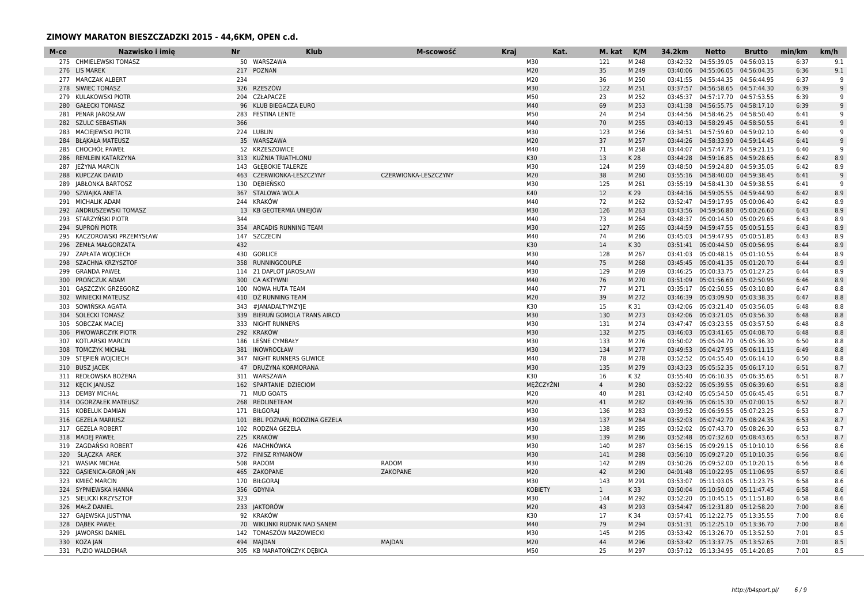| M-ce | Nazwisko i imie          | <b>Nr</b> | <b>Klub</b>                    | M-scowość            | <b>Kraj</b> |                | Kat. | M. kat         | K/M   | 34.2km   | <b>Netto</b>                       | <b>Brutto</b> | min/km | km/h |
|------|--------------------------|-----------|--------------------------------|----------------------|-------------|----------------|------|----------------|-------|----------|------------------------------------|---------------|--------|------|
|      | 275 CHMIELEWSKI TOMASZ   |           | 50 WARSZAWA                    |                      |             | M30            |      | 121            | M 248 | 03:42:32 | 04:55:39.05                        | 04:56:03.15   | 6:37   | 9.1  |
|      | 276 LIS MAREK            |           | 217 POZNAN                     |                      |             | M20            |      | 35             | M 249 |          | 03:40:06  04:55:06.05  04:56:04.35 |               | 6:36   | 9.1  |
|      | 277 MARCZAK ALBERT       | 234       |                                |                      |             | M20            |      | 36             | M 250 |          | 03:41:55  04:55:44.35  04:56:44.95 |               | 6:37   | q    |
|      | 278 SIWIEC TOMASZ        | 326       | <b>RZESZÓW</b>                 |                      |             | M30            |      | 122            | M 251 |          | 03:37:57  04:56:58.65  04:57:44.30 |               | 6:39   | 9    |
|      | 279 KULAKOWSKI PIOTR     |           | 204 CZŁAPACZE                  |                      |             | M50            |      | 23             | M 252 |          | 03:45:37  04:57:17.70  04:57:53.55 |               | 6:39   | q    |
| 280  | <b>GAŁECKI TOMASZ</b>    |           | 96 KLUB BIEGACZA EURO          |                      |             | M40            |      | 69             | M 253 |          | 03:41:38  04:56:55.75  04:58:17.10 |               | 6:39   | 9    |
|      | 281 PENAR JAROSŁAW       |           | 283 FESTINA LENTE              |                      |             | M50            |      | 24             | M 254 |          | 03:44:56  04:58:46.25  04:58:50.40 |               | 6:41   | q    |
|      | 282 SZULC SEBASTIAN      | 366       |                                |                      |             | M40            |      | 70             | M 255 |          | 03:40:13  04:58:29.45  04:58:50.55 |               | 6:41   | 9    |
| 283  | MACIEJEWSKI PIOTR        |           | 224 LUBLIN                     |                      |             | M30            |      | 123            | M 256 |          | 03:34:51  04:57:59.60  04:59:02.10 |               | 6:40   | 9    |
|      | 284 BŁĄKAŁA MATEUSZ      |           | 35 WARSZAWA                    |                      |             | M20            |      | 37             | M 257 |          | 03:44:26 04:58:33.90 04:59:14.45   |               | 6:41   | 9    |
|      | 285 CHOCHOL PAWEŁ        |           | 52 KRZESZOWICE                 |                      |             | M40            |      | 71             | M 258 |          | 03:44:07  04:57:47.75  04:59:21.15 |               | 6:40   | q    |
|      | 286 REMLEIN KATARZYNA    |           | 313 KUŹNIA TRIATHLONU          |                      |             | K30            |      | 13             | K 28  |          | 03:44:28  04:59:16.85  04:59:28.65 |               | 6:42   | 8.9  |
| 287  | JEŻYNA MARCIN            |           | 143 GŁEBOKIE TALERZE           |                      |             | M30            |      | 124            | M 259 |          | 03:48:50  04:59:24.80  04:59:35.05 |               | 6:42   | 8.9  |
|      | 288 KUPCZAK DAWID        |           | 463 CZERWIONKA-LESZCZYNY       | CZERWIONKA-LESZCZYNY |             | M20            |      | 38             | M 260 |          | 03:55:16  04:58:40.00  04:59:38.45 |               | 6:41   | 9    |
|      | 289 JABŁONKA BARTOSZ     |           | 130 DEBIEŃSKO                  |                      |             | M30            |      | 125            | M 261 |          | 03:55:19  04:58:41.30  04:59:38.55 |               | 6:41   | -9   |
|      | 290 SZWAJKA ANETA        |           | 367 STALOWA WOLA               |                      |             | K40            |      | 12             | K 29  |          | 03:44:16  04:59:05.55  04:59:44.90 |               | 6:42   | 8.9  |
|      | 291 MICHALIK ADAM        |           | 244 KRAKÓW                     |                      |             | M40            |      | 72             | M 262 |          | 03:52:47  04:59:17.95  05:00:06.40 |               | 6:42   | 8.9  |
|      | 292 ANDRUSZEWSKI TOMASZ  |           | 13 KB GEOTERMIA UNIEJÓW        |                      |             | M30            |      | 126            | M 263 |          | 03:43:56 04:59:56.80 05:00:26.60   |               | 6:43   | 8.9  |
|      | 293 STARZYŃSKI PIOTR     | 344       |                                |                      |             | M40            |      | 73             | M 264 |          | 03:48:37  05:00:14.50  05:00:29.65 |               | 6:43   | 8.9  |
|      | 294 SUPRON PIOTR         |           | 354 ARCADIS RUNNING TEAM       |                      |             | M30            |      | 127            | M 265 |          | 03:44:59  04:59:47.55  05:00:51.55 |               | 6:43   | 8.9  |
| 295  | KACZOROWSKI PRZEMYSŁAW   |           | 147 SZCZECIN                   |                      |             | M40            |      | 74             | M 266 |          | 03:45:03  04:59:47.95  05:00:51.85 |               | 6:43   | 8.9  |
|      | 296 ZEMŁA MAŁGORZATA     | 432       |                                |                      |             | K30            |      | 14             | K 30  |          | 03:51:41  05:00:44.50  05:00:56.95 |               | 6:44   | 8.9  |
|      |                          |           | 430 GORLICE                    |                      |             | M30            |      | 128            | M 267 |          | 03:41:03  05:00:48.15  05:01:10.55 |               | 6:44   | 8.9  |
|      | 297 ZAPŁATA WOJCIECH     |           |                                |                      |             | M40            |      | 75             | M 268 |          |                                    |               | 6:44   |      |
| 298  | SZACHNA KRZYSZTOF        |           | 358 RUNNINGCOUPLE              |                      |             |                |      |                |       |          | 03:45:45  05:00:41.35  05:01:20.70 |               |        | 8.9  |
| 299  | <b>GRANDA PAWEŁ</b>      |           | 114 21 DAPLOT JAROSŁAW         |                      |             | M30            |      | 129            | M 269 |          | 03:46:25 05:00:33.75 05:01:27.25   |               | 6:44   | 8.9  |
| 300  | PRONCZUK ADAM            |           | 300 CA AKTYWNI                 |                      |             | M40            |      | 76             | M 270 |          | 03:51:09  05:01:56.60  05:02:50.95 |               | 6:46   | 8.9  |
| 301  | <b>GASZCZYK GRZEGORZ</b> |           | 100 NOWA HUTA TEAM             |                      |             | M40            |      | 77             | M 271 |          | 03:35:17 05:02:50.55 05:03:10.80   |               | 6:47   | 8.8  |
| 302  | <b>WINIECKI MATEUSZ</b>  |           | 410 DŹ RUNNING TEAM            |                      |             | M20            |      | 39             | M 272 |          | 03:46:39  05:03:09.90  05:03:38.35 |               | 6:47   | 8.8  |
| 303  | SOWIŃSKA AGATA           |           | 343 #JANADALTYMZYJE            |                      |             | K30            |      | 15             | K 31  |          | 03:42:06 05:03:21.40 05:03:56.05   |               | 6:48   | 8.8  |
|      | 304 SOLECKI TOMASZ       |           | 339 BIERUŃ GOMOLA TRANS AIRCO  |                      |             | M30            |      | 130            | M 273 |          | 03:42:06 05:03:21.05 05:03:56.30   |               | 6:48   | 8.8  |
| 305  | SOBCZAK MACIEJ           |           | 333 NIGHT RUNNERS              |                      |             | M30            |      | 131            | M 274 |          | 03:47:47 05:03:23.55 05:03:57.50   |               | 6:48   | 8.8  |
|      | 306 PIWOWARCZYK PIOTR    |           | 292 KRAKÓW                     |                      |             | M30            |      | 132            | M 275 |          | 03:46:03 05:03:41.65 05:04:08.70   |               | 6:48   | 8.8  |
|      | 307 KOTLARSKI MARCIN     |           | 186 LEŚNE CYMBAŁY              |                      |             | M30            |      | 133            | M 276 |          | 03:50:02  05:05:04.70  05:05:36.30 |               | 6:50   | 8.8  |
|      | 308 TOMCZYK MICHAŁ       |           | 381 INOWROCŁAW                 |                      |             | M30            |      | 134            | M 277 |          | 03:49:53  05:04:27.95  05:06:11.15 |               | 6:49   | 8.8  |
| 309  | STEPIEŃ WOJCIECH         |           | 347 NIGHT RUNNERS GLIWICE      |                      |             | M40            |      | 78             | M 278 |          | 03:52:52 05:04:55.40               | 05:06:14.10   | 6:50   | 8.8  |
|      | 310 BUSZ JACEK           |           | 47 DRUŻYNA KORMORANA           |                      |             | M30            |      | 135            | M 279 |          | 03:43:23  05:05:52.35  05:06:17.10 |               | 6:51   | 8.7  |
|      | 311 REDŁOWSKA BOŻENA     |           | 311 WARSZAWA                   |                      |             | K30            |      | 16             | K 32  |          | 03:55:40  05:06:10.35  05:06:35.65 |               | 6:51   | 8.7  |
|      | 312 KECIK JANUSZ         |           | 162 SPARTANIE DZIECIOM         |                      |             | MEŻCZYŹNI      |      | $\overline{4}$ | M 280 |          | 03:52:22 05:05:39.55 05:06:39.60   |               | 6:51   | 8.8  |
|      | 313 DEMBY MICHAŁ         |           | 71 MUD GOATS                   |                      |             | M20            |      | 40             | M 281 |          | 03:42:40  05:05:54.50  05:06:45.45 |               | 6:51   | 8.7  |
|      | 314 OGORZAŁEK MATEUSZ    |           | 268 REDLINETEAM                |                      |             | M20            |      | 41             | M 282 |          | 03:49:36 05:06:15.30 05:07:00.15   |               | 6:52   | 8.7  |
|      | 315 KOBELUK DAMIAN       |           | 171 BIŁGORAJ                   |                      |             | M30            |      | 136            | M 283 |          | 03:39:52  05:06:59.55  05:07:23.25 |               | 6:53   | 8.7  |
|      | 316 GEZELA MARIUSZ       |           | 101 BBL POZNAŃ, RODZINA GEZELA |                      |             | M30            |      | 137            | M 284 |          | 03:52:03  05:07:42.70  05:08:24.35 |               | 6:53   | 8.7  |
|      | 317 GEZELA ROBERT        |           | 102 RODZNA GEZELA              |                      |             | M30            |      | 138            | M 285 |          | 03:52:02 05:07:43.70 05:08:26.30   |               | 6:53   | 8.7  |
|      | 318 MADEJ PAWEŁ          |           | 225 KRAKÓW                     |                      |             | M30            |      | 139            | M 286 |          | 03:52:48  05:07:32.60  05:08:43.65 |               | 6:53   | 8.7  |
| 319  | ZAGDAŃSKI ROBERT         |           | 426 MACHNÓWKA                  |                      |             | M30            |      | 140            | M 287 |          | 03:56:15 05:09:29.15 05:10:10.10   |               | 6:56   | 8.6  |
|      | 320 SLACZKA AREK         |           | 372 FINISZ RYMANÓW             |                      |             | M30            |      | 141            | M 288 |          | 03:56:10 05:09:27.20 05:10:10.35   |               | 6:56   | 8.6  |
|      | 321 WASIAK MICHAŁ        |           | 508 RADOM                      | <b>RADOM</b>         |             | M30            |      | 142            | M 289 |          | 03:50:26 05:09:52.00 05:10:20.15   |               | 6:56   | 8.6  |
|      | 322 GASIENICA-GRON JAN   |           | 465 ZAKOPANE                   | ZAKOPANE             |             | M20            |      | 42             | M 290 |          | 04:01:48  05:10:22.95  05:11:06.95 |               | 6:57   | 8.6  |
| 323  | KMIEĆ MARCIN             |           | 170 BIŁGORAJ                   |                      |             | M30            |      | 143            | M 291 |          | 03:53:07  05:11:03.05  05:11:23.75 |               | 6:58   | 8.6  |
|      | 324 SYPNIEWSKA HANNA     |           | 356 GDYNIA                     |                      |             | <b>KOBIETY</b> |      | $\mathbf{1}$   | K 33  |          | 03:50:04  05:10:50.00  05:11:47.45 |               | 6:58   | 8.6  |
|      | 325 SIELICKI KRZYSZTOF   | 323       |                                |                      |             | M30            |      | 144            | M 292 |          | 03:52:20 05:10:45.15 05:11:51.80   |               | 6:58   | 8.6  |
|      | 326 MAŁŻ DANIEL          |           | 233 JAKTORÓW                   |                      |             | M20            |      | 43             | M 293 |          | 03:54:47  05:12:31.80  05:12:58.20 |               | 7:00   | 8.6  |
|      | 327 GAJEWSKA JUSTYNA     |           | 92 KRAKÓW                      |                      |             | K30            |      | 17             | K 34  |          | 03:57:41  05:12:22.75  05:13:35.55 |               | 7:00   | 8.6  |
|      | 328 DABEK PAWEŁ          |           | 70 WIKLINKI RUDNIK NAD SANEM   |                      |             | M40            |      | 79             | M 294 |          | 03:51:31  05:12:25.10  05:13:36.70 |               | 7:00   | 8.6  |
|      | 329 JAWORSKI DANIEL      |           | 142 TOMASZÓW MAZOWIECKI        |                      |             | M30            |      | 145            | M 295 |          | 03:53:42  05:13:26.70  05:13:52.50 |               | 7:01   | 8.5  |
|      | 330 KOZA JAN             |           | 494 MAIDAN                     | <b>MAJDAN</b>        |             | M20            |      | 44             | M 296 |          | 03:53:42  05:13:37.75  05:13:52.65 |               | 7:01   | 8.5  |
|      | 331 PUZIO WALDEMAR       |           | 305 KB MARATOŃCZYK DĘBICA      |                      |             | M50            |      | 25             | M 297 |          | 03:57:12  05:13:34.95  05:14:20.85 |               | 7:01   | 8.5  |
|      |                          |           |                                |                      |             |                |      |                |       |          |                                    |               |        |      |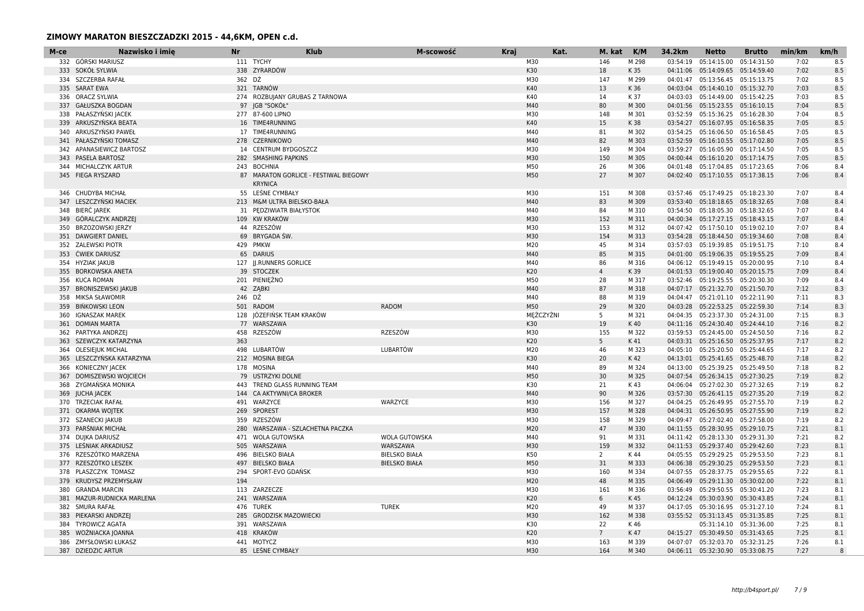| M-ce | Nazwisko i imie            | <b>Nr</b> | <b>Klub</b>                           | M-scowość            | <b>Kraj</b> | Kat.       | M. kat          | K/M   | 34.2km   | <b>Netto</b>                       | <b>Brutto</b> | min/km | km/h         |
|------|----------------------------|-----------|---------------------------------------|----------------------|-------------|------------|-----------------|-------|----------|------------------------------------|---------------|--------|--------------|
|      | 332 GÓRSKI MARIUSZ         |           | 111 TYCHY                             |                      |             | M30        | 146             | M 298 | 03:54:19 | 05:14:15.00                        | 05:14:31.50   | 7:02   | 8.5          |
|      | 333 SOKÓŁ SYLWIA           |           | 338 ZYRARDÓW                          |                      |             | K30        | 18              | K 35  | 04:11:06 | 05:14:09.65 05:14:59.40            |               | 7:02   | 8.5          |
|      | 334 SZCZERBA RAFAŁ         | 362 DŻ    |                                       |                      |             | M30        | 147             | M 299 | 04:01:47 | 05:13:56.45 05:15:13.75            |               | 7:02   | 8.5          |
|      | 335 SARAT EWA              |           | 321 TARNÓW                            |                      |             | K40        | 13              | K 36  |          | 04:03:04  05:14:40.10  05:15:32.70 |               | 7:03   | 8.5          |
|      | 336 ORACZ SYLWIA           |           | 274 ROZBUJANY GRUBAS Z TARNOWA        |                      |             | K40        | 14              | K 37  |          | 04:03:03  05:14:49.00  05:15:42.25 |               | 7:03   | 8.5          |
| 337  | GAŁUSZKA BOGDAN            |           | 97 JGB "SOKÓŁ"                        |                      |             | M40        | 80              | M 300 |          | 04:01:56  05:15:23.55  05:16:10.15 |               | 7:04   | 8.5          |
|      | 338 PAŁASZYŃSKI JACEK      |           | 277 87-600 LIPNO                      |                      |             | M30        | 148             | M 301 |          | 03:52:59 05:15:36.25 05:16:28.30   |               | 7:04   | 8.5          |
|      | 339 ARKUSZYŃSKA BEATA      |           | 16 TIME4RUNNING                       |                      |             | K40        | 15              | K 38  |          | 03:54:27  05:16:07.95  05:16:58.35 |               | 7:05   | 8.5          |
| 340  | ARKUSZYŃSKI PAWEŁ          |           | 17 TIME4RUNNING                       |                      |             | M40        | 81              | M 302 |          | 03:54:25  05:16:06.50  05:16:58.45 |               | 7:05   | 8.5          |
|      | 341 PAŁASZYŃSKI TOMASZ     |           | 278 CZERNIKOWO                        |                      |             | M40        | 82              | M 303 |          | 03:52:59  05:16:10.55  05:17:02.80 |               | 7:05   | 8.5          |
|      | 342 APANASIEWICZ BARTOSZ   |           | 14 CENTRUM BYDGOSZCZ                  |                      |             | M30        | 149             | M 304 |          | 03:59:27  05:16:05.90  05:17:14.50 |               | 7:05   | 8.5          |
|      | 343 PASELA BARTOSZ         |           | 282 SMASHING PAPKINS                  |                      |             | M30        | 150             | M 305 |          | 04:00:44  05:16:10.20  05:17:14.75 |               | 7:05   | 8.5          |
|      | 344 MICHALCZYK ARTUR       |           | 243 BOCHNIA                           |                      |             | M50        | 26              | M 306 |          | 04:01:48  05:17:04.85  05:17:23.65 |               | 7:06   | 8.4          |
|      | 345 FIEGA RYSZARD          |           | 87 MARATON GORLICE - FESTIWAL BIEGOWY |                      |             | M50        | 27              | M 307 |          | 04:02:40  05:17:10.55  05:17:38.15 |               | 7:06   | 8.4          |
|      |                            |           | <b>KRYNICA</b>                        |                      |             |            |                 |       |          |                                    |               |        |              |
|      | 346 CHUDYBA MICHAŁ         |           | 55 LEŚNE CYMBAŁY                      |                      |             | M30        | 151             | M 308 |          | 03:57:46 05:17:49.25 05:18:23.30   |               | 7:07   | 8.4          |
| 347  | LESZCZYŃSKI MACIEK         |           | 213 M&M ULTRA BIELSKO-BAŁA            |                      |             | M40        | 83              | M 309 |          | 03:53:40  05:18:18.65  05:18:32.65 |               | 7:08   | 8.4          |
|      | 348 BIERC JAREK            |           | 31 PEDZIWIATR BIAŁYSTOK               |                      |             | M40        | 84              | M 310 |          | 03:54:50  05:18:05.30  05:18:32.65 |               | 7:07   | 8.4          |
|      | 349 GÓRALCZYK ANDRZEJ      |           | 109 KW KRAKÓW                         |                      |             | M30        | 152             | M 311 |          | 04:00:34  05:17:27.15  05:18:43.15 |               | 7:07   | 8.4          |
| 350  | BRZOZOWSKI JERZY           |           | 44 RZESZÓW                            |                      |             | M30        | 153             | M 312 |          | 04:07:42  05:17:50.10  05:19:02.10 |               | 7:07   | 8.4          |
|      | 351 DAWGIERT DANIEL        |           | 69 BRYGADA ŚW.                        |                      |             | M30        | 154             | M 313 |          | 03:54:28  05:18:44.50  05:19:34.60 |               | 7:08   | 8.4          |
|      |                            |           |                                       |                      |             |            |                 |       |          |                                    |               |        |              |
|      | 352 ZALEWSKI PIOTR         |           | 429 PMKW                              |                      |             | M20<br>M40 | 45<br>85        | M 314 |          | 03:57:03 05:19:39.85 05:19:51.75   |               | 7:10   | 8.4          |
|      | 353 ĆWIEK DARIUSZ          |           | 65 DARIUS                             |                      |             |            |                 | M 315 |          | 04:01:00  05:19:06.35  05:19:55.25 |               | 7:09   | 8.4          |
|      | 354 HYZIAK JAKUB           |           | 127 JJ.RUNNERS GORLICE                |                      |             | M40        | 86              | M 316 |          | 04:06:12  05:19:49.15  05:20:00.95 |               | 7:10   | 8.4          |
|      | 355 BORKOWSKA ANETA        |           | 39 STOCZEK                            |                      |             | K20        | $\overline{4}$  | K 39  |          | 04:01:53  05:19:00.40  05:20:15.75 |               | 7:09   | 8.4          |
|      | 356 KUCA ROMAN             |           | 201 PIENIEŻNO                         |                      |             | M50        | 28              | M 317 |          | 03:52:46 05:19:25.55 05:20:30.30   |               | 7:09   | 8.4          |
|      | 357 BRONISZEWSKI JAKUB     |           | 42 ZABKI                              |                      |             | M40        | 87              | M 318 |          | 04:07:17  05:21:32.70  05:21:50.70 |               | 7:12   | 8.3          |
|      | 358 MIKSA SŁAWOMIR         | 246 DŹ    |                                       |                      |             | M40        | 88              | M 319 |          | 04:04:47  05:21:01.10  05:22:11.90 |               | 7:11   | 8.3          |
|      | 359 BIŃKOWSKI LEON         |           | 501 RADOM                             | <b>RADOM</b>         |             | M50        | 29              | M 320 |          | 04:03:28  05:22:53.25  05:22:59.30 |               | 7:14   | 8.3          |
|      | 360 IGNASZAK MAREK         |           | 128 JÓZEFIŃSK TEAM KRAKÓW             |                      |             | MĘŻCZYŹNI  | -5              | M 321 |          | 04:04:35  05:23:37.30  05:24:31.00 |               | 7:15   | 8.3          |
| 361  | <b>DOMIAN MARTA</b>        |           | 77 WARSZAWA                           |                      |             | K30        | 19              | K 40  |          | 04:11:16  05:24:30.40  05:24:44.10 |               | 7:16   | 8.2          |
|      | 362 PARTYKA ANDRZEJ        | 458       | RZESZÓW                               | RZESZÓW              |             | M30        | 155             | M 322 |          | 03:59:53  05:24:45.00  05:24:50.50 |               | 7:16   | 8.2          |
|      | 363 SZEWCZYK KATARZYNA     | 363       |                                       |                      |             | K20        | 5               | K 41  |          | 04:03:31  05:25:16.50  05:25:37.95 |               | 7:17   | 8.2          |
|      | 364 OLESIEJUK MICHAL       |           | 498 LUBARTÓW                          | LUBARTÓW             |             | M20        | 46              | M 323 |          | 04:05:10 05:25:20.50 05:25:44.65   |               | 7:17   | 8.2          |
| 365  | LESZCZYŃSKA KATARZYNA      |           | 212 MOSINA BIEGA                      |                      |             | K30        | 20              | K 42  |          | 04:13:01  05:25:41.65  05:25:48.70 |               | 7:18   | 8.2          |
|      | 366 KONIECZNY JACEK        |           | 178 MOSINA                            |                      |             | M40        | 89              | M 324 |          | 04:13:00 05:25:39.25 05:25:49.50   |               | 7:18   | 8.2          |
|      | 367 DOMISZEWSKI WOJCIECH   |           | 79 USTRZYKI DOLNE                     |                      |             | M50        | 30              | M 325 |          | 04:07:54 05:26:34.15 05:27:30.25   |               | 7:19   | 8.2          |
| 368  | ZYGMAŃSKA MONIKA           |           | 443 TREND GLASS RUNNING TEAM          |                      |             | K30        | 21              | K 43  |          | 04:06:04  05:27:02.30  05:27:32.65 |               | 7:19   | 8.2          |
| 369  | <b>JUCHA JACEK</b>         |           | 144 CA AKTYWNI/CA BROKER              |                      |             | M40        | 90              | M 326 |          | 03:57:30  05:26:41.15  05:27:35.20 |               | 7:19   | 8.2          |
|      | 370 TRZECIAK RAFAŁ         |           | 491 WARZYCE                           | WARZYCE              |             | M30        | 156             | M 327 |          | 04:04:25 05:26:49.95 05:27:55.70   |               | 7:19   | 8.2          |
|      | 371 OKARMA WOJTEK          |           | 269 SPOREST                           |                      |             | M30        | 157             | M 328 |          | 04:04:31  05:26:50.95  05:27:55.90 |               | 7:19   | 8.2          |
| 372  | SZANECKI JAKUB             |           | 359 RZESZÓW                           |                      |             | M30        | 158             | M 329 |          | 04:09:47  05:27:02.40  05:27:58.00 |               | 7:19   | 8.2          |
|      | 373 PARŚNIAK MICHAŁ        |           | 280 WARSZAWA - SZLACHETNA PACZKA      |                      |             | M20        | 47              | M 330 |          | 04:11:55  05:28:30.95  05:29:10.75 |               | 7:21   | 8.1          |
|      | 374 DUJKA DARIUSZ          |           | 471 WOLA GUTOWSKA                     | WOLA GUTOWSKA        |             | M40        | 91              | M 331 |          | 04:11:42  05:28:13.30  05:29:31.30 |               | 7:21   | 8.2          |
|      | 375 LEŚNIAK ARKADIUSZ      |           | 505 WARSZAWA                          | WARSZAWA             |             | M30        | 159             | M 332 |          | 04:11:53  05:29:37.40  05:29:42.60 |               | 7:23   | 8.1          |
|      | 376 RZESZÓTKO MARZENA      |           | 496 BIELSKO BIAŁA                     | <b>BIELSKO BIAŁA</b> |             | K50        | 2               | K 44  |          | 04:05:55  05:29:29.25  05:29:53.50 |               | 7:23   | 8.1          |
|      | 377 RZESZÓTKO LESZEK       |           | 497 BIELSKO BIAŁA                     | <b>BIELSKO BIAŁA</b> |             | M50        | 31              | M 333 |          | 04:06:38  05:29:30.25  05:29:53.50 |               | 7:23   | 8.1          |
|      | 378 PLASZCZYK TOMASZ       |           | 294 SPORT-EVO GDAŃSK                  |                      |             | M30        | 160             | M 334 |          | 04:07:55 05:28:37.75 05:29:55.65   |               | 7:22   | 8.1          |
| 379  | KRUDYSZ PRZEMYSŁAW         | 194       |                                       |                      |             | M20        | 48              | M 335 |          | 04:06:49  05:29:11.30  05:30:02.00 |               | 7:22   | 8.1          |
| 380  | <b>GRANDA MARCIN</b>       |           | 113 ZARZECZE                          |                      |             | M30        | 161             | M 336 |          | 03:56:49  05:29:50.55  05:30:41.20 |               | 7:23   | 8.1          |
|      | 381 MAZUR-RUDNICKA MARLENA |           | 241 WARSZAWA                          |                      |             | K20        | 6               | K 45  |          | 04:12:24  05:30:03.90  05:30:43.85 |               | 7:24   | 8.1          |
|      | 382 SMURA RAFAŁ            |           | 476 TUREK                             | <b>TUREK</b>         |             | M20        | 49              | M 337 |          | 04:17:05 05:30:16.95 05:31:27.10   |               | 7:24   | 8.1          |
| 383  | PIEKARSKI ANDRZEJ          |           | 285 GRODZISK MAZOWIECKI               |                      |             | M30        | 162             | M 338 |          | 03:55:52  05:31:13.45  05:31:35.85 |               | 7:25   | 8.1          |
|      | 384 TYROWICZ AGATA         |           | 391 WARSZAWA                          |                      |             | K30        | 22              | K 46  |          | 05:31:14.10  05:31:36.00           |               | 7:25   | 8.1          |
|      | 385 WOŻNIACKA JOANNA       |           | 418 KRAKÓW                            |                      |             | K20        | $7\overline{ }$ | K 47  |          | 04:15:27  05:30:49.50  05:31:43.65 |               | 7:25   | 8.1          |
|      | 386 ZMYSŁOWSKI ŁUKASZ      |           | 441 MOTYCZ                            |                      |             | M30        | 163             | M 339 |          | 04:07:07 05:32:03.70 05:32:31.25   |               | 7:26   | 8.1          |
|      | 387 DZIEDZIC ARTUR         |           | 85 LEŚNE CYMBAŁY                      |                      |             | M30        | 164             | M 340 |          | 04:06:11  05:32:30.90  05:33:08.75 |               | 7:27   | $\mathsf{R}$ |
|      |                            |           |                                       |                      |             |            |                 |       |          |                                    |               |        |              |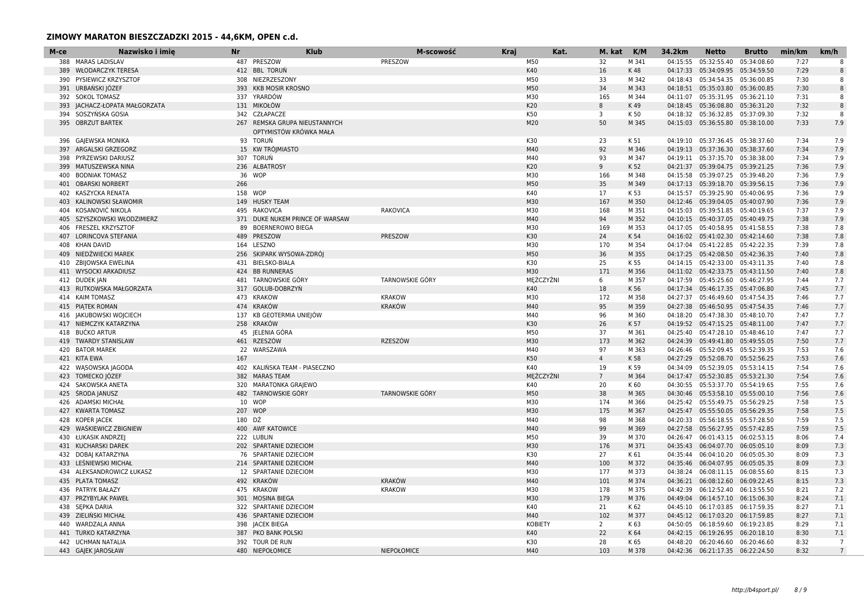| M-ce | Nazwisko i imie           | <b>Nr</b> | <b>Klub</b>                     | M-scowość              | <b>Kraj</b> |                | Kat. | M. kat         | K/M   | 34.2km   | <b>Netto</b>                       | <b>Brutto</b> | min/km | km/h           |
|------|---------------------------|-----------|---------------------------------|------------------------|-------------|----------------|------|----------------|-------|----------|------------------------------------|---------------|--------|----------------|
|      | 388 MARAS LADISLAV        |           | 487 PRESZOW                     | PRESZOW                |             | M50            |      | 32             | M 341 | 04:15:55 | 05:32:55.40                        | 05:34:08.60   | 7:27   | 8              |
| 389  | <b>WŁODARCZYK TERESA</b>  |           | 412 BBL TORUN                   |                        |             | K40            |      | 16             | K 48  | 04:17:33 | 05:34:09.95                        | 05:34:59.50   | 7:29   | 8              |
| 390  | PYSIEWICZ KRZYSZTOF       |           | 308 NIEZRZESZONY                |                        |             | M50            |      | 33             | M 342 | 04:18:43 | 05:34:54.35                        | 05:36:00.85   | 7:30   | 8              |
|      | 391 URBAŃSKI JÓZEF        |           | 393 KKB MOSIR KROSNO            |                        |             | M50            |      | 34             | M 343 |          | 04:18:51 05:35:03.80               | 05:36:00.85   | 7:30   | 8              |
|      | 392 SOKOL TOMASZ          |           | 337 YRARDÓW                     |                        |             | M30            |      | 165            | M 344 |          | 04:11:07  05:35:31.95  05:36:21.10 |               | 7:31   | 8              |
| 393  | JACHACZ-ŁOPATA MAŁGORZATA |           | 131 MIKOŁÓW                     |                        |             | K20            |      | 8              | K 49  | 04:18:45 | 05:36:08.80                        | 05:36:31.20   | 7:32   | 8              |
| 394  | SOSZYŃSKA GOSIA           |           | 342 CZŁAPACZE                   |                        |             | K50            |      | 3              | K 50  |          | 04:18:32  05:36:32.85              | 05:37:09.30   | 7:32   | 8              |
| 395  | <b>OBRZUT BARTEK</b>      |           | 267 REMSKA GRUPA NIEUSTANNYCH   |                        |             | M20            |      | 50             | M 345 |          | 04:15:03  05:36:55.80  05:38:10.00 |               | 7:33   | 7.9            |
|      |                           |           | OPTYMISTÓW KRÓWKA MAŁA          |                        |             |                |      |                |       |          |                                    |               |        |                |
|      | 396 GAJEWSKA MONIKA       |           | 93 TORUŃ                        |                        |             | K30            |      | 23             | K 51  | 04:19:10 | 05:37:36.45                        | 05:38:37.60   | 7:34   | 7.9            |
|      | 397 ARGALSKI GRZEGORZ     |           | 15 KW TRÓJMIASTO                |                        |             | M40            |      | 92             | M 346 |          | 04:19:13  05:37:36.30              | 05:38:37.60   | 7:34   | 7.9            |
|      | 398 PYRZEWSKI DARIUSZ     |           | 307 TORUN                       |                        |             | M40            |      | 93             | M 347 |          | 04:19:11  05:37:35.70  05:38:38.00 |               | 7:34   | 7.9            |
| 399  | MATUSZEWSKA NINA          |           | 236 ALBATROSY                   |                        |             | K20            |      | $\overline{9}$ | K 52  |          | 04:21:37  05:39:04.75  05:39:21.25 |               | 7:36   | 7.9            |
| 400  | <b>BODNIAK TOMASZ</b>     |           | 36 WOP                          |                        |             | M30            |      | 166            | M 348 | 04:15:58 | 05:39:07.25                        | 05:39:48.20   | 7:36   | 7.9            |
| 401  | <b>OBARSKI NORBERT</b>    | 266       |                                 |                        |             | M50            |      | 35             | M 349 |          | 04:17:13  05:39:18.70  05:39:56.15 |               | 7:36   | 7.9            |
| 402  | KASZYCKA RENATA           | 158 WOP   |                                 |                        |             | K40            |      | 17             | K 53  |          | 04:15:57 05:39:25.90 05:40:06.95   |               | 7:36   | 7.9            |
| 403  | KALINOWSKI SŁAWOMIR       |           | 149 HUSKY TEAM                  |                        |             | M30            |      | 167            | M 350 | 04:12:46 | 05:39:04.05                        | 05:40:07.90   | 7:36   | 7.9            |
| 404  | KOSANOVIĆ NIKOLA          |           | 495 RAKOVICA                    | RAKOVICA               |             | M30            |      | 168            | M 351 |          | 04:15:03 05:39:51.85               | 05:40:19.65   | 7:37   | 7.9            |
| 405  | SZYSZKOWSKI WŁODZIMIERZ   |           | 371 DUKE NUKEM PRINCE OF WARSAW |                        |             | M40            |      | 94             | M 352 |          | 04:10:15 05:40:37.05               | 05:40:49.75   | 7:38   | 7.9            |
| 406  | <b>FRESZEL KRZYSZTOF</b>  | 89        | <b>BOERNEROWO BIEGA</b>         |                        |             | M30            |      | 169            | M 353 | 04:17:05 | 05:40:58.95 05:41:58.55            |               | 7:38   | 7.8            |
| 407  | <b>LORINCOVA STEFANIA</b> | 489       | PRESZOW                         | PRESZOW                |             | K30            |      | 24             | K 54  |          | 04:16:02 05:41:02.30               | 05:42:14.60   | 7:38   | 7.8            |
| 408  | <b>KHAN DAVID</b>         |           | 164 LESZNO                      |                        |             | M30            |      | 170            | M 354 |          | 04:17:04 05:41:22.85               | 05:42:22.35   | 7:39   | 7.8            |
| 409  | NIEDŻWIECKI MAREK         |           | 256 SKIPARK WYSOWA-ZDRÓJ        |                        |             | M50            |      | 36             | M 355 |          | 04:17:25  05:42:08.50  05:42:36.35 |               | 7:40   | 7.8            |
| 410  | ZBIJOWSKA EWELINA         |           | 431 BIELSKO-BIALA               |                        |             | K30            |      | 25             | K 55  |          | 04:14:15 05:42:33.00               | 05:43:11.35   | 7:40   | 7.8            |
|      | 411 WYSOCKI ARKADIUSZ     |           | 424 BB RUNNERAS                 |                        |             | M30            |      | 171            | M 356 |          | 04:11:02  05:42:33.75  05:43:11.50 |               | 7:40   | 7.8            |
|      |                           |           | 481 TARNOWSKIE GÓRY             | <b>TARNOWSKIE GÓRY</b> |             | MEŻCZYŹNI      |      |                | M 357 |          | 05:45:25.60                        | 05:46:27.95   |        |                |
|      | 412 DUDEK JAN             |           |                                 |                        |             | K40            |      | 6              |       | 04:17:59 |                                    |               | 7:44   | 7.7            |
|      | 413 RUTKOWSKA MAŁGORZATA  |           | 317 GOLUB-DOBRZYN               |                        |             |                |      | 18             | K 56  |          | 04:17:34 05:46:17.35 05:47:06.80   |               | 7:45   | 7.7            |
| 414  | <b>KAIM TOMASZ</b>        |           | 473 KRAKOW                      | <b>KRAKOW</b>          |             | M30            |      | 172            | M 358 | 04:27:37 | 05:46:49.60                        | 05:47:54.35   | 7:46   | 7.7            |
|      | 415 PIATEK ROMAN          |           | 474 KRAKÓW                      | <b>KRAKÓW</b>          |             | M40            |      | 95             | M 359 | 04:27:38 | 05:46:50.95 05:47:54.35            |               | 7:46   | 7.7            |
|      | 416 JAKUBOWSKI WOJCIECH   |           | 137 KB GEOTERMIA UNIEJÓW        |                        |             | M40            |      | 96             | M 360 |          | 04:18:20 05:47:38.30 05:48:10.70   |               | 7:47   | 7.7            |
| 417  | NIEMCZYK KATARZYNA        |           | 258 KRAKÓW                      |                        |             | K30            |      | 26             | K 57  |          | 04:19:52  05:47:15.25  05:48:11.00 |               | 7:47   | 7.7            |
| 418  | <b>BUCKO ARTUR</b>        | 45        | JELENIA GÓRA                    |                        |             | M50            |      | 37             | M 361 | 04:25:40 | 05:47:28.10 05:48:46.10            |               | 7:47   | 7.7            |
| 419  | <b>TWARDY STANISLAW</b>   |           | 461 RZESZÓW                     | <b>RZESZÓW</b>         |             | M30            |      | 173            | M 362 |          | 04:24:39  05:49:41.80  05:49:55.05 |               | 7:50   | 7.7            |
| 420  | <b>BATOR MAREK</b>        |           | 22 WARSZAWA                     |                        |             | M40            |      | 97             | M 363 |          | 04:26:46 05:52:09.45 05:52:39.35   |               | 7:53   | 7.6            |
| 421  | <b>KITA EWA</b>           | 167       |                                 |                        |             | K50            |      | $\overline{4}$ | K 58  | 04:27:29 | 05:52:08.70                        | 05:52:56.25   | 7:53   | 7.6            |
|      | 422 WASOWSKA JAGODA       |           | 402 KALIŃSKA TEAM - PIASECZNO   |                        |             | K40            |      | 19             | K 59  |          | 04:34:09 05:52:39.05 05:53:14.15   |               | 7:54   | 7.6            |
|      | 423 TOMECKO JÓZEF         | 382       | <b>MARAS TEAM</b>               |                        |             | MEŻCZYŹNI      |      | $\overline{7}$ | M 364 | 04:17:47 | 05:52:30.85 05:53:21.30            |               | 7:54   | 7.6            |
| 424  | SAKOWSKA ANETA            | 320       | MARATONKA GRAJEWO               |                        |             | K40            |      | 20             | K 60  | 04:30:55 | 05:53:37.70 05:54:19.65            |               | 7:55   | 7.6            |
| 425  | ŚRODA JANUSZ              |           | 482 TARNOWSKIE GÓRY             | TARNOWSKIE GÓRY        |             | M50            |      | 38             | M 365 |          | 04:30:46 05:53:58.10 05:55:00.10   |               | 7:56   | 7.6            |
| 426  | <b>ADAMSKI MICHAŁ</b>     |           | 10 WOP                          |                        |             | M30            |      | 174            | M 366 |          | 04:25:42 05:55:49.75 05:56:29.25   |               | 7:58   | 7.5            |
| 427  | <b>KWARTA TOMASZ</b>      | 207 WOP   |                                 |                        |             | M30            |      | 175            | M 367 |          | 04:25:47 05:55:50.05 05:56:29.35   |               | 7:58   | 7.5            |
| 428  | <b>KOPER JACEK</b>        | 180 DŹ    |                                 |                        |             | M40            |      | 98             | M 368 | 04:20:33 | 05:56:18.55 05:57:28.50            |               | 7:59   | 7.5            |
| 429  | WAŚKIEWICZ ZBIGNIEW       |           | 400 AWF KATOWICE                |                        |             | M40            |      | 99             | M 369 |          | 04:27:58 05:56:27.95 05:57:42.85   |               | 7:59   | 7.5            |
|      | 430 ŁUKASIK ANDRZEJ       |           | 222 LUBLIN                      |                        |             | M50            |      | 39             | M 370 |          | 04:26:47 06:01:43.15 06:02:53.15   |               | 8:06   | 7.4            |
|      | 431 KUCHARSKI DAREK       |           | 202 SPARTANIE DZIECIOM          |                        |             | M30            |      | 176            | M 371 |          | 04:35:43 06:04:07.70 06:05:05.10   |               | 8:09   | 7.3            |
| 432  | DOBAJ KATARZYNA           | 76        | SPARTANIE DZIECIOM              |                        |             | K30            |      | 27             | K 61  | 04:35:44 | 06:04:10.20                        | 06:05:05.30   | 8:09   | 7.3            |
|      | 433 LEŚNIEWSKI MICHAŁ     |           | 214 SPARTANIE DZIECIOM          |                        |             | M40            |      | 100            | M 372 |          | 04:35:46 06:04:07.95 06:05:05.35   |               | 8:09   | 7.3            |
| 434  | ALEKSANDROWICZ ŁUKASZ     |           | 12 SPARTANIE DZIECIOM           |                        |             | M30            |      | 177            | M 373 |          | 04:38:24 06:08:11.15 06:08:55.60   |               | 8:15   | 7.3            |
| 435  | PLATA TOMASZ              |           | 492 KRAKÓW                      | <b>KRAKÓW</b>          |             | M40            |      | 101            | M 374 |          | 04:36:21 06:08:12.60 06:09:22.45   |               | 8:15   | 7.3            |
| 436  | PATRYK BAŁAZY             |           | 475 KRAKOW                      | <b>KRAKOW</b>          |             | M30            |      | 178            | M 375 |          | 04:42:39 06:12:52.40               | 06:13:55.50   | 8:21   | 7.2            |
| 437  | PRZYBYLAK PAWEŁ           |           | 301 MOSINA BIEGA                |                        |             | M30            |      | 179            | M 376 |          | 04:49:04  06:14:57.10  06:15:06.30 |               | 8:24   | 7.1            |
|      | 438 SEPKA DARIA           |           | 322 SPARTANIE DZIECIOM          |                        |             | K40            |      | 21             | K 62  |          | 04:45:10 06:17:03.85 06:17:59.35   |               | 8:27   | 7.1            |
|      | 439 ZIELIŃSKI MICHAŁ      |           | 436 SPARTANIE DZIECIOM          |                        |             | M40            |      | 102            | M 377 |          | 04:45:12 06:17:03.20 06:17:59.85   |               | 8:27   | 7.1            |
| 440  | WARDZALA ANNA             |           | 398 JACEK BIEGA                 |                        |             | <b>KOBIETY</b> |      | $\overline{2}$ | K 63  |          | 04:50:05 06:18:59.60               | 06:19:23.85   | 8:29   | 7.1            |
|      | 441 TURKO KATARZYNA       | 387       | PKO BANK POLSKI                 |                        |             | K40            |      | 22             | K 64  |          | 04:42:15 06:19:26.95 06:20:18.10   |               | 8:30   | 7.1            |
| 442  | <b>UCHMAN NATALIA</b>     |           | 392 TOUR DE RUN                 |                        |             | K30            |      | 28             | K 65  |          | 04:48:20 06:20:46.60               | 06:20:46.60   | 8:32   | $\overline{7}$ |
|      | 443 GAJEK JAROSŁAW        |           | 480 NIEPOŁOMICE                 | NIEPOŁOMICE            |             | M40            |      | 103            | M 378 |          | 04:42:36 06:21:17.35 06:22:24.50   |               | 8:32   | $\overline{7}$ |
|      |                           |           |                                 |                        |             |                |      |                |       |          |                                    |               |        |                |